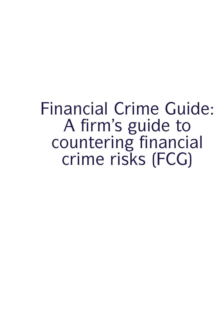Financial Crime Guide:<br>A firm's guide to<br>countering financial ancial Crime Guide:<br>A firm's guide to<br>buntering financial<br>crime risks (FCG) inancial Crime Guide:<br>A firm's guide to<br>countering financial<br>crime risks (FCG) ancial Crime Guion<br>A firm's guide to<br>ountering financia<br>crime risks (FCG)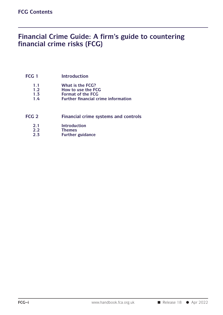### FCG Contents<br> **Financial Crime Guide: A firm's guide to countering<br>
financial crime risks (FCG)** FCG Contents<br> **Financial Crime Guide: A firm's guide to countering<br>
financial crime risks (FCG) FCG 1 Introduction**<br>**FCG 1 Introduction**<br>**1.1 What is the FCG?**

- 
- **1.1 1.1 What is the FCG?**<br> **1.2 How to use the FCG**<br> **1.3 Format of the FCG**
- 
- **1.1 How Introduction**<br> **1.1 What is the FCG?**<br> **1.2 How to use the FCG**<br> **1.3 Format of the FCG**<br> **1.4 Further financial crime information 1.1 Format of the FCG?**<br> **1.1 Format of the FCG**<br> **1.3 Format of the FCG**<br> **1.4 Further financial crime informat 1.1 Example 1.1**<br> **1.1 Example 1.2**<br> **Format of the FCG**<br> **1.3 Format of the FCG**<br> **1.4 Further financial crime information**
- 1.1 What is the FCG?<br>
1.2 How to use the FCG<br>
1.3 Format of the FCG<br>
1.4 Further financial crime information<br>
FCG 2 Financial crime systems and controls<br>
2.1 Introduction **2.3 Financial crime systems a**<br> **2.2 Themes**<br> **2.3 Further guidance** 
	- **2.1 Introduction**
	-
	- **2.2 Themes**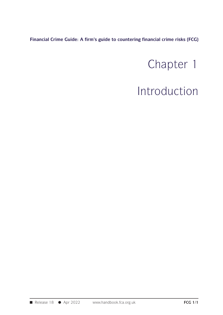**Financial Crime Guide: A firm's guide to countering financial crime risks (FCG)**

# ancial crime risks (FCG)<br>
Chapter 1<br>
troduction

### Introduction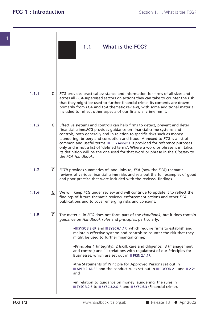|       |                | 1.1<br>What is the FCG?                                                                                                                                                                                                                                                                                                                                                                                                                                                                                                                                                              |
|-------|----------------|--------------------------------------------------------------------------------------------------------------------------------------------------------------------------------------------------------------------------------------------------------------------------------------------------------------------------------------------------------------------------------------------------------------------------------------------------------------------------------------------------------------------------------------------------------------------------------------|
| 1.1.1 | G              | FCG provides practical assistance and information for firms of all sizes and<br>across all FCA-supervised sectors on actions they can take to counter the risk<br>that they might be used to further financial crime. Its contents are drawn<br>primarily from FCA and FSA thematic reviews, with some additional material<br>included to reflect other aspects of our financial crime remit.                                                                                                                                                                                        |
| 1.1.2 | G              | Effective systems and controls can help firms to detect, prevent and deter<br>financial crime. FCG provides guidance on financial crime systems and<br>controls, both generally and in relation to specific risks such as money<br>laundering, bribery and corruption and fraud. Annexed to FCG is a list of<br>common and useful terms. ■ FCG Annex 1 is provided for reference purposes<br>only and is not a list of 'defined terms'. Where a word or phrase is in italics,<br>its definition will be the one used for that word or phrase in the Glossary to<br>the FCA Handbook. |
| 1.1.3 | G              | FCTR provides summaries of, and links to, FSA (now the FCA) thematic<br>reviews of various financial crime risks and sets out the full examples of good<br>and poor practice that were included with the reviews' findings.                                                                                                                                                                                                                                                                                                                                                          |
| 1.1.4 | G              | We will keep FCG under review and will continue to update it to reflect the<br>findings of future thematic reviews, enforcement actions and other FCA<br>publications and to cover emerging risks and concerns.                                                                                                                                                                                                                                                                                                                                                                      |
| 1.1.5 | $\overline{G}$ | The material in FCG does not form part of the Handbook, but it does contain<br>guidance on Handbook rules and principles, particularly:<br>• SYSC 3.2.6R and SYSC 6.1.1R, which require firms to establish and                                                                                                                                                                                                                                                                                                                                                                       |
|       |                | maintain effective systems and controls to counter the risk that they<br>might be used to further financial crime;<br>. Principles 1 (integrity), 2 (skill, care and diligence), 3 (management<br>and control) and 11 (relations with regulators) of our Principles for<br>Businesses, which are set out in PRIN 2.1.1R;                                                                                                                                                                                                                                                             |
|       |                | •the Statements of Principle for Approved Persons set out in<br>APER 2.1A.3R and the conduct rules set out in COCON 2.1 and 2.2;<br>and                                                                                                                                                                                                                                                                                                                                                                                                                                              |
|       |                | •in relation to guidance on money laundering, the rules in<br>SYSC 3.2.6 to SYSC 3.2.6 IR and SYSC 6.3 (Financial crime).                                                                                                                                                                                                                                                                                                                                                                                                                                                            |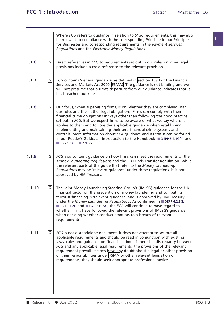| 1.1.11 | $\overline{G}$ | FCG is not a standalone document; it does not attempt to set out all<br>applicable requirements and should be read in conjunction with existing<br>laws, rules and guidance on financial crime. If there is a discrepancy between<br>FCG and any applicable legal requirements, the provisions of the relevant<br>requirement prevail. If firms have any doubt about a legal or other provision<br>or their responsibilities under FSMA or other relevant legislation or<br>requirements, they should seek appropriate professional advice.                                                                                                            |  |
|--------|----------------|--------------------------------------------------------------------------------------------------------------------------------------------------------------------------------------------------------------------------------------------------------------------------------------------------------------------------------------------------------------------------------------------------------------------------------------------------------------------------------------------------------------------------------------------------------------------------------------------------------------------------------------------------------|--|
| 1.1.10 | $\overline{G}$ | The Joint Money Laundering Steering Group's (JMLSG) guidance for the UK<br>financial sector on the prevention of money laundering and combating<br>terrorist financing is 'relevant guidance' and is approved by HM Treasury<br>under the Money Laundering Regulations. As confirmed in ■DEPP 6.2.3G,<br>■ EG 12.1.2G and ■ EG 19.15.5G, the FCA will continue to have regard to<br>whether firms have followed the relevant provisions of JMLSG's guidance<br>when deciding whether conduct amounts to a breach of relevant<br>requirements.                                                                                                          |  |
| 1.1.9  | G              | FCG also contains guidance on how firms can meet the requirements of the<br>Money Laundering Regulations and the EU Funds Transfer Regulation. While<br>the relevant parts of the guide that refer to the Money Laundering<br>Regulations may be 'relevant guidance' under these regulations, it is not<br>approved by HM Treasury.                                                                                                                                                                                                                                                                                                                    |  |
| 1.1.8  | $\overline{G}$ | Our focus, when supervising firms, is on whether they are complying with<br>our rules and their other legal obligations. Firms can comply with their<br>financial crime obligations in ways other than following the good practice<br>set out in FCG. But we expect firms to be aware of what we say where it<br>applies to them and to consider applicable guidance when establishing,<br>implementing and maintaining their anti-financial crime systems and<br>controls. More information about FCA guidance and its status can be found<br>in our Reader's Guide: an introduction to the Handbook; DEPP 6.2.1G(4) and<br>■ EG 2.9.1G $-$ ■ 2.9.6G. |  |
| 1.1.7  | $ {\tt G} $    | FCG contains 'general guidance' as defined in section 139B of the Financial<br>Services and Markets Act 2000 (FSMA). The guidance is not binding and we<br>will not presume that a firm's departure from our guidance indicates that it<br>has breached our rules.                                                                                                                                                                                                                                                                                                                                                                                     |  |
| 1.1.6  | $\overline{G}$ | Direct references in FCG to requirements set out in our rules or other legal<br>provisions include a cross reference to the relevant provision.                                                                                                                                                                                                                                                                                                                                                                                                                                                                                                        |  |
|        |                | Where FCG refers to quidance in relation to SYSC requirements, this may also<br>be relevant to compliance with the corresponding Principle in our Principles<br>for Businesses and corresponding requirements in the Payment Services<br>Regulations and the Electronic Money Regulations.                                                                                                                                                                                                                                                                                                                                                             |  |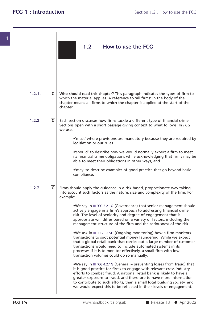**1 1.2.1. G Who should read this chapter? This paragraph indicates the types of firm to 1.2.2 G 1.2.3 G** Firms should apply the quidance in a risk-based, proportionate way taking greater exposure to fraud, and therefore to have more information<br>to contribute to such efforts, than a small local building society, and<br>we would expect this to be reflected in their levels of engagement.<br>FCG 1/4 www.han Section 1.2 : How to use the<br> **1.2** How to use the FCG **Who should read this chapter?** This paragraph indicates the types of firm to which the material applies. A reference to 'all firms' in the body of the chapter means all firms to which the chapter is applied at the start o Who should read this chapter? This paragraph indicates the types of firm to<br>which the material applies. A reference to 'all firms' in the body of the<br>chapter means all firms to which the chapter is applied at the start of Who should read this chapter? This paragraph indicates the types of firm to which the material applies. A reference to 'all firms' in the body of the chapter means all firms to which the chapter is applied at the start of chapter. Who should read this chapter? This paragraph indicates the types of firm to<br>which the material applies. A reference to 'all firms' in the body of the<br>chapter means all firms to which the chapter is applied at the start of which the material applies. A reference to 'all firms' in the body of the<br>chapter means all firms to which the chapter is applied at the start of the<br>chapter.<br>Each section discusses how firms tackle a different type of fin chapter meal<br>chapter.<br>Each section<br>Sections opel<br>we use: •tion discusses how firms tackle a different type of financial crime.<br>• open with a short passage giving context to what follows. In FCG<br>• 'must' where provisions are mandatory because they are required by<br>legislation or o legislation discusses how firms tacklum<br>or open with a short passage given<br>the provisions are requisible to the provisions are requisible to describe how we •'must' where provisions are mandatory because they are required by<br>•'must' where provisions are mandatory because they are required by<br>legislation or our rules<br>•'should' to describe how we would normally expect a firm to • 'must' where provisions are mandatory because they are required by<br>legislation or our rules<br>• 'should' to describe how we would normally expect a firm to meet<br>its financial crime obligations while acknowledging that firm • 'must' where provisions are mandatory because they are required by legislation or our rules<br>• 'should' to describe how we would normally expect a firm to meet<br>its financial crime obligations while acknowledging that firm •'should' to describe how we would normally expect a firm to meet<br>•'should' to describe how we would normally expect a firm to meet<br>its financial crime obligations while acknowledging that firms may be<br>able to meet their o compliance. able to meet their obligations in other ways, and<br>
• 'may' to describe examples of good practice that go beyond basic<br>
compliance.<br>
Firms should apply the guidance in a risk-based, proportionate way taking<br>
into account su • 'may' to describe examples of good practice that go beyond basic<br>compliance.<br>Firms should apply the guidance in a risk-based, proportionate way taking<br>into account such factors as the nature, size and complexity of the f Firms should apply the guidance in a risk-based, proportionate way taking<br>into account such factors as the nature, size and complexity of the firm. For<br>example:<br>•We say in ■ FCG 2.2.1G (Governance) that senior management s action apply the guidance in a risk-based, proportionate way taking<br>
bunt such factors as the nature, size and complexity of the firm. For<br>
atively engage in a firm's approach to addressing financial crime<br>
risk. The level into account such factors as the nature, size and complexity of the firm. For<br>example:<br>We say in FCG 2.2.1G (Governance) that senior management should<br>actively engage in a firm's approach to addressing financial crime<br>risk ount such factors as the nature, size and complexity of the firm. For<br>e:<br>We say in TFCG 2.2.1G (Governance) that senior management should<br>actively engage in a firm's approach to addressing financial crime<br>risk. The level o **•** We say in ■ FCG 2.2.1G (Governance) that senior management should actively engage in a firm's approach to addressing financial crime risk. The level of seniority and degree of engagement that is appropriate will diffe actively engage in a firm's approach to addressing financial crime<br>risk. The level of seniority and degree of engagement that is<br>appropriate will differ based on a variety of factors, including the<br>management structure of risk. The level of seniority and degree of engagement that is<br>appropriate will differ based on a variety of factors, including the<br>management structure of the firm and the seriousness of the risk.<br><br>We ask in FCG 3.2.5G (On • We ask in  $\blacksquare$  FCG 3.2.5G (Ongoing monitoring) how a firm monitors transactions to spot potential money laundering. While we expect that a global retail bank that carries out a large number of customer transactions wo management structure of the firm and the seriousness of the risk.<br>
•We ask in FFCG 3.2.5G (Ongoing monitoring) how a firm monitors<br>
transactions to spot potential money laundering. While we expect<br>
that a global retail ban •We ask in ■ FCG 3.2.5G (Ongoing monitoring) how a firm monitors<br>transactions to spot potential money laundering. While we expect<br>that a global retail bank that carries out a large number of customer<br>transactions would ne that a global retail bank that carries out a large number of customer<br>transactions would need to include automated systems in its<br>processes if it is to monitor effectively, a small firm with low<br>transaction volumes could d transactions would need to include automated systems in its<br>processes if it is to monitor effectively, a small firm with low<br>transaction volumes could do so manually.<br><br>We say in TFCG 4.2.1G (General – preventing losses fro processes it it is to monitor effectively, a small firm with low<br>transaction volumes could do so manually.<br>
•We say in TFCG 4.2.1G (General – preventing losses from fraud) that<br>
it is good practice for firms to engage with transaction volumes could do so manually.<br>
• We say in TFCG 4.2.1G (General – preventing losses from fraud) that<br>
it is good practice for firms to engage with relevant cross-industry<br>
efforts to combat fraud. A national re We say in  $\blacksquare$  FCG 4.2.1G (General – preventing losses from fraud) that<br>it is good practice for firms to engage with relevant cross-industry<br>efforts to combat fraud. A national retail bank is likely to have a<br>greater ex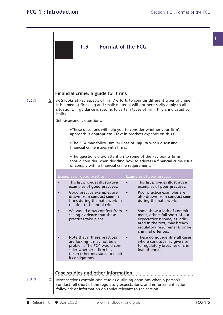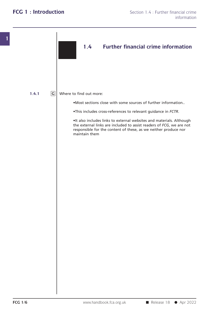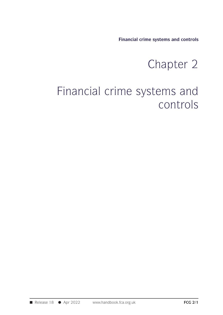**Financial crime systems and controls**

# Endemand controls<br>
e systems and controls<br>
cterns and

## Financial crime systems and controls<br>
Chapter 2<br>
Financial crime systems and<br>
controls controls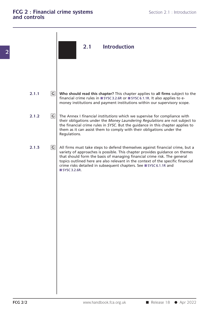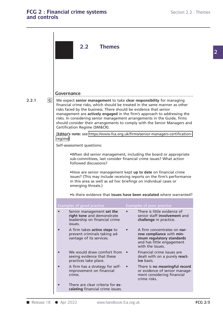## **2.2 Themes**

**2.2.1 G** We expect senior management to take clear responsibility for managing Frame. Financial crime is the metron of the considering intancial<br>
■ Release 18 ● Apr 2022 www.handbook.fca.org.uk<br>
■ Release 18 ● Apr 2022 www.handbook.fca.org.uk **Covernance**<br> **We expect senior management** to take **clear responsibility** for managing<br>
financial crime risks, which should be treated in the same manner as other<br>
risks faced by the business. There should be evidence tha Forthermance<br>We expect senior management to take clear responsibility for managing<br>financial crime risks, which should be treated in the same manner as other<br>risks faced by the business. There should be evidence that senio **COVETNANCE**<br>We expect senior management to take clear responsibility for managing<br>financial crime risks, which should be treated in the same manner as other<br>trisks faced by the business. There should be evidence that seni **Governance**<br>We expect senior management to take clear responsibility for managing<br>financial crime risks, which should be treated in the same manner as other<br>risks faced by the business. There should be evidence that senio **Governance**<br>We expect senior management to take clear responsibility for managing<br>financial crime risks, which should be treated in the same manner as other<br>risks faced by the business. There should be evidence that senio We expect **senior management** to take **clear responsibility** for managing<br>financial crime risks, which should be treated in the same manner as other<br>risks faced by the business. There should be evidence that senior<br>managem We expect senior management to t<br>financial crime risks, which should b<br>risks faced by the business. There sh<br>management are **actively engaged**<br>risks. In considering senior manager<br>should consider their arrangements<br>Certifi risks faced by the business. There should be evidence that senior<br>management are **actively engaged** in the firm's approach to addressing the<br>risks. In considering senior management arrangements in the Guide, firms<br>should c regime] risks. In considering senior management arrangements in the Guide, firms<br>should consider their arrangements to comply with the Senior Managers and<br>Certification Regime (SM&CR).<br>[**Editor's note**: see https://www.fca.org.uk/ sub-committees, last consider financial crime issues? What action<br>sub-committees, last consider financial crime issues? What action<br>followed discussions? Followed Support Controlling<br>Followed discussions?<br>The followed discussions?<br>The senior management •When did senior management, including the board or appropriate<br>
sub-committees, last consider financial crime issues? What action<br>
followed discussions?<br>
•How are senior management kept **up to date** on financial crime<br>
is Whendid senior management, including the board or appropriate<br>sub-committees, last consider financial crime issues? What action<br>followed discussions?<br>How are senior management kept **up to date** on financial crime<br>issues? •When did senior management, including the board or appropriate<br>sub-committees, last consider financial crime issues? What action<br>followed discussions?<br>•How are senior management kept up to date on financial crime<br>issues? sub-committees, last consider financial crime issues? What action<br>followed discussions?<br>•How are senior management kept **up to date** on financial crime<br>issues? (This may include receiving reports on the firm's performance<br> Examples of good practice<br>
Senior management set the<br>
Senior management set the<br>
Contract of the senior management set the<br>
Contract of the senior management set the<br>
Contract of the senior management set the<br>
Contract of • Sumples of good practice<br>
• Sumples of good practice<br>
• Senior management set the<br>
• There is little evidence of<br>
• There is little evidence of<br>
• There is little evidence of<br>
• There is little evidence of<br>
• There is li **right tone** and demonstrate issues **involvement** set the senior management set the senior staff involvement and leadership on financial crime is little evidence of senior staff involvement and leadership on financial crim leadership on financial crime **challenge** in practice. issues. <table>\n<tbody>\n<tr>\n<th>Examples of good practice</th>\n<th>Examples of poor practice</th>\n</tr>\n<tr>\n<td>•</td>\n<td>Senior management set the right tone and demonstrate</td>\n<td>the<br/>leading to the and demonstrate</td>\n<td>the<br/>the adership on financial crime</td>\n<td>the<br/>isuses.</td>\n</tr>\n<tr>\n<td>•</td>\n<td>A firm takes active steps to<br/>prevent criminals taking ad-</td>\n<td>A firm concentrates on<br/>row compliance with min-variance of its services.</td>\n</tr>\n</tbody>\n</table> **Examples or yoon prottice**<br> **Senior management set the**<br> **right tone** and demonstrate<br>
leadership on financial crime<br>
issues.<br>
A firm takes active steps to<br> **a** the challenge in practice.<br>
A firm concentrates on nar-<br>
pre Senior management **set the**<br> **ight tone** and demonstrate<br>
leadership on financial crime<br>
issues.<br>
A firm takes **active steps to**<br> **issues.**<br>
A firm concentrates on **nar-**<br>
prevent criminals taking ad-<br>
vantage of its servi senior staff involvement and<br>challenge in practice.<br>A firm concentrates on nar-<br>row compliance with min-<br>imum regulatory standards<br>and has little engagement<br>with the issues. Franciscus external crime issues.<br>
• A firm takes active steps to <br>
prevent criminals taking advantage of its services.<br>
• We would draw comfort from • Financial crime issues are<br>
seeing evidence that these seeing evidence A firm takes **active steps to**<br>
prevent criminals taking ad-<br>
vantage of its services.<br>
<br>
We would draw comfort from example in the issues.<br>
We would draw comfort from example in the issues are<br>
seeing evidence that these<br> prevent criminals taking ad-<br>
vantage of its services.<br>
• We would draw comfort from<br>
• We would draw comfort from<br>
• Simancial crime issues are<br>
seeing evidence that these<br>
practices take place.<br>
• A firm has a strategy f We would draw comfort from <br>seeing evidence that these<br>seeing evidence that these<br>practices take place.<br>A firm has a strategy for self-<br>improvement on financial<br>or evidence of senior manage-<br>or evidence of senior manage-<br>o We would draw comfort from <br>seeing evidence that these seeing evidence that these dealt with on a purely react-<br>practices take place.<br>A firm has a strategy for self-<br>improvement on financial crime is **no** meaningful record • We would draw comfort from • Financial crime is<br>seeing evidence that these dealt with on a<br>practices take place.<br>A firm has a strategy for self- • There is **no meal**<br>improvement on financial<br>crime.<br>There are clear criter A firm has a strategy for self-<br>improvement on financial<br>crime.<br>There are clear criteria for **es-**<br>calating financial crime issues.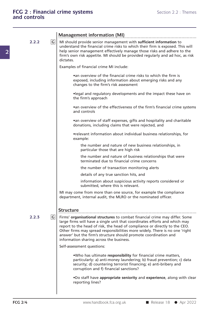|       |   | <b>Management information (MI)</b>                                                                                                                                                                                                                                                                                                                                                                                                                         |
|-------|---|------------------------------------------------------------------------------------------------------------------------------------------------------------------------------------------------------------------------------------------------------------------------------------------------------------------------------------------------------------------------------------------------------------------------------------------------------------|
| 2.2.2 | G | MI should provide senior management with sufficient information to<br>understand the financial crime risks to which their firm is exposed. This will<br>help senior management effectively manage those risks and adhere to the<br>firm's own risk appetite. MI should be provided regularly and ad hoc, as risk<br>dictates.                                                                                                                              |
|       |   | Examples of financial crime MI include:                                                                                                                                                                                                                                                                                                                                                                                                                    |
|       |   | •an overview of the financial crime risks to which the firm is<br>exposed, including information about emerging risks and any<br>changes to the firm's risk assessment                                                                                                                                                                                                                                                                                     |
|       |   | .legal and regulatory developments and the impact these have on<br>the firm's approach                                                                                                                                                                                                                                                                                                                                                                     |
|       |   | • an overview of the effectiveness of the firm's financial crime systems<br>and controls                                                                                                                                                                                                                                                                                                                                                                   |
|       |   | •an overview of staff expenses, gifts and hospitality and charitable<br>donations, including claims that were rejected, and                                                                                                                                                                                                                                                                                                                                |
|       |   | •relevant information about individual business relationships, for<br>example:                                                                                                                                                                                                                                                                                                                                                                             |
|       |   | the number and nature of new business relationships, in<br>particular those that are high risk                                                                                                                                                                                                                                                                                                                                                             |
|       |   | the number and nature of business relationships that were<br>terminated due to financial crime concerns                                                                                                                                                                                                                                                                                                                                                    |
|       |   | the number of transaction monitoring alerts                                                                                                                                                                                                                                                                                                                                                                                                                |
|       |   | details of any true sanction hits, and                                                                                                                                                                                                                                                                                                                                                                                                                     |
|       |   | information about suspicious activity reports considered or<br>submitted, where this is relevant.                                                                                                                                                                                                                                                                                                                                                          |
|       |   | MI may come from more than one source, for example the compliance<br>department, internal audit, the MLRO or the nominated officer.                                                                                                                                                                                                                                                                                                                        |
| 2.2.3 | G | <b>Structure</b><br>Firms' organisational structures to combat financial crime may differ. Some<br>large firms will have a single unit that coordinates efforts and which may<br>report to the head of risk, the head of compliance or directly to the CEO.<br>Other firms may spread responsibilities more widely. There is no one 'right<br>answer' but the firm's structure should promote coordination and<br>information sharing across the business. |
|       |   | Self-assessment questions:                                                                                                                                                                                                                                                                                                                                                                                                                                 |
|       |   | .Who has ultimate responsibility for financial crime matters,<br>particularly: a) anti-money laundering; b) fraud prevention; c) data<br>security; d) countering terrorist financing; e) anti-bribery and<br>corruption and f) financial sanctions?                                                                                                                                                                                                        |
|       |   | .Do staff have appropriate seniority and experience, along with clear<br>reporting lines?                                                                                                                                                                                                                                                                                                                                                                  |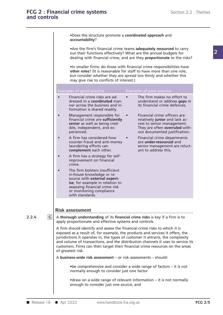|             | .Does the structure promote a coordinated approach and<br>accountability?                                                                                                                                                                                                                                                                                                                                                                |                                                                                                                                                                 |
|-------------|------------------------------------------------------------------------------------------------------------------------------------------------------------------------------------------------------------------------------------------------------------------------------------------------------------------------------------------------------------------------------------------------------------------------------------------|-----------------------------------------------------------------------------------------------------------------------------------------------------------------|
|             | • Are the firm's financial crime teams adequately resourced to carry<br>out their functions effectively? What are the annual budgets for<br>dealing with financial crime, and are they proportionate to the risks?                                                                                                                                                                                                                       |                                                                                                                                                                 |
|             | . In smaller firms: do those with financial crime responsibilities have<br>other roles? (It is reasonable for staff to have more than one role,<br>but consider whether they are spread too thinly and whether this<br>may give rise to conflicts of interest.)                                                                                                                                                                          |                                                                                                                                                                 |
|             | Examples of good practice<br>Examples of poor practice                                                                                                                                                                                                                                                                                                                                                                                   |                                                                                                                                                                 |
|             | Financial crime risks are ad-<br>dressed in a coordinated man-<br>ner across the business and in-<br>formation is shared readily.                                                                                                                                                                                                                                                                                                        | The firm makes no effort to<br>understand or address gaps in<br>its financial crime defences.                                                                   |
|             | Management responsible for<br>$\bullet$<br>financial crime are sufficiently<br>senior as well as being cred-<br>ible, independent, and ex-<br>perienced.                                                                                                                                                                                                                                                                                 | Financial crime officers are<br>relatively junior and lack ac-<br>cess to senior management.<br>They are often overruled with-<br>out documented justification. |
|             | A firm has considered how<br>counter-fraud and anti-money<br>laundering efforts can<br>complement each other.                                                                                                                                                                                                                                                                                                                            | Financial crime departments<br>are under-resourced and<br>senior management are reluct-<br>ant to address this.                                                 |
|             | A firm has a strategy for self-<br>improvement on financial<br>crime.                                                                                                                                                                                                                                                                                                                                                                    |                                                                                                                                                                 |
|             | The firm bolsters insufficient<br>in-house knowledge or re-<br>source with external expert-<br>ise, for example in relation to<br>assessing financial crime risk<br>or monitoring compliance<br>with standards.                                                                                                                                                                                                                          |                                                                                                                                                                 |
|             | <b>Risk assessment</b>                                                                                                                                                                                                                                                                                                                                                                                                                   |                                                                                                                                                                 |
| G <br>2.2.4 | A thorough understanding of its financial crime risks is key if a firm is to<br>apply proportionate and effective systems and controls.                                                                                                                                                                                                                                                                                                  |                                                                                                                                                                 |
|             | A firm should identify and assess the financial crime risks to which it is<br>exposed as a result of, for example, the products and services it offers, the<br>jurisdictions it operates in, the types of customer it attracts, the complexity<br>and volume of transactions, and the distribution channels it uses to service its<br>customers. Firms can then target their financial crime resources on the areas<br>of greatest risk. |                                                                                                                                                                 |
|             | A business-wide risk assessment – or risk assessments – should:                                                                                                                                                                                                                                                                                                                                                                          |                                                                                                                                                                 |
|             | • be comprehensive and consider a wide range of factors – it is not<br>normally enough to consider just one factor                                                                                                                                                                                                                                                                                                                       |                                                                                                                                                                 |
|             | • draw on a wide range of relevant information – it is not normally<br>enough to consider just one source, and                                                                                                                                                                                                                                                                                                                           |                                                                                                                                                                 |
|             |                                                                                                                                                                                                                                                                                                                                                                                                                                          |                                                                                                                                                                 |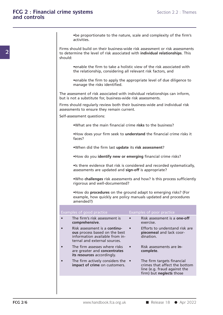FCG 2/6 www.handbook.fca.org.uk ■ Release 18 ● Apr 2022 **existems**<br>• **be proportionate to the nature, scale and complexity of the firm's**<br>**activities.** activities. **Example 3**<br>Firms should build on their business-wide risk assessment or risk assessments<br>to determine the level of risk associated with **individual relationships**. This<br>should: the proportionate to the nature, scale and complexity of the firm's<br>activities.<br>Firms should build on their business-wide risk assessment or risk assessments<br>to determine the level of risk associated with **individual relat** activities.<br>Firms should build on their business-wide risk assessment or risk assessments<br>to determine the level of risk associated with **individual relationships**. This<br>should:<br>enable the firm to take a holistic view of t Firms should build on their business-wide risk assessment or risk assessments<br>to determine the level of risk associated with **individual relationships**. This<br>should:<br>eenable the firm to take a holistic view of the risk ass •enable the firm to take a holistic view of the risk associated with<br>•enable the firm to take a holistic view of the risk associated with<br>the relationship, considering all relevant risk factors, and<br>•enable the firm to app the relationship, considering all relevant risk factors, and<br>
•enable the firm to apply the appropriate level of due dil<br>
manage the risks identified. • enable the firm to take a holistic view of the risk associated with<br>the relationship, considering all relevant risk factors, and<br>• enable the firm to apply the appropriate level of due diligence to<br>manage the risks ident the relationship, considering all relevant risk factors, an<br>
• enable the firm to apply the appropriate level of due<br>
manage the risks identified.<br>
The assessment of risk associated with individual relationships<br>
but is no Firms should relationships should relationships an inform,<br>Firms should regularly review both their business-wide and individual risk<br>assessments.<br>Firms should regularly review both their business-wide and individual risk<br> manage the risks identified.<br>The assessment of risk associated with individua<br>but is not a substitute for, business-wide risk ass<br>Firms should regularly review both their busines<br>assessments to ensure they remain current.<br> The assessment of risk associated with individual relationships can inform,<br>but is not a substitute for, business-wide risk assessments.<br>Firms should regularly review both their business-wide and individual risk<br>assessment Frame they remain current.<br>
•What are the main financial crime **risks** to the business?<br>
•How does your firm seek to **understand** the financial crime risks it faces? faces? •What are the main financial crime **risks** to the business?<br>•How does your firm seek to **understand** the financial crime if<br>aces?<br>•When did the firm last **update** its **risk assessment**?<br>•How do you identify new or emerging •How does your firm seek to **understand** the financial crime risks it<br>faces?<br>•When did the firm last **update** its **risk assessment**?<br>•How do you **identify new or emerging** financial crime risks?<br>•Is there evidence that ris •When did the firm last **update** its **risk assessment**?<br>•How do you **identify new or emerging** financial crime risks?<br>•Is there evidence that risk is considered and recorded systematically, assessments are updated and **sig •When did the firm last update its risk assessment?**<br>•How do you **identify new or emerging** financial crime risks?<br>•Is there evidence that risk is considered and recorded systema<br>assessments are updated and **sign-off** is •How do you **identify new or emerging** financial crime risks?<br>•Is there evidence that risk is considered and recorded systematically, assessments are updated and **sign-off** is appropriate?<br>•Who **challenges** risk assessment • How do you identify new or emerging t<br>• Is there evidence that risk is considered assessments are updated and **sign-off** is a<br>• Who challenges risk assessments and ho<br>rigorous and well-documented?<br>• How do procedures on •Is there evidence that risk is considered and recorded systematically,<br>assessments are updated and **sign-off** is appropriate?<br>•Who **challenges** risk assessments and how? Is this process sufficiently<br>rigorous and well-docu assessments are updated and **sign-off** is appropriate?<br>
•Who challenges risk assessments and how? Is this process sufficiently<br>
rigorous and well-documented?<br>
•How do **procedures** on the ground adapt to emerging risks? (Fo amended?) • How do procedures on the ground adapt to emerging risks? (For example, how quickly are policy manuals updated and procedures amended?)<br>Examples of good practice Examples of poor practice The firm's risk assessment is • R • How do **procedures** on the ground adapt to emerging risks? (For example, how quickly are policy manuals updated and procedures amended?)<br>
Examples of good practice Examples of poor practice<br>
• The firm's risk assessment **comprehensive.** exercise. **Examples of good practice**<br>
• The firm's risk assessment is • Risk assessment is a **one-off**<br>
• Risk assessment is a **continu-** • Efforts to understand risk are<br>
• Risk assessment is a **continu-** • Efforts to understand r **ouse of good practice**<br> **ouse based on the best**<br> **ous** process based on the best<br> **ous** process based on the best<br> **ous** process based on the best<br> **ous** process based on the best<br> **ous** piecemeal and lack coor-<br>
informa vertice and the Examples of poor practice<br>
The firm's risk assessment is<br> **COMPTE EXAMPLE FROM INTERENT COMPTE EXAMPLE FROM INCRED EXAMPLE FROM AVAILABLE FROM INCREME PRECEDED AND SERVED AND SERVED AND SERVED SERVED AND SE** The firm's risk assessment is<br>
• The firm's risk assessment is<br>
• Risk assessment is a continu-<br>
• Efforts to understand risk are<br>
ous process based on the best<br>
information available from in-<br>
ternal and external sources. **Exercise:**<br>
Risk assessment is a **continu-**<br> **exercise:**<br> **complete**.<br> **complete**<br> **complete**<br> **complete**.<br> **complete.**<br> **complete.**<br> **complete.**<br> **complete.**<br> **complete.**<br> **complete.**<br> **complete.**<br> **complete.** Fiforts to understand risk are<br>
ous process based on the best<br>
information available from in-<br>
ternal and external sources.<br>
The firm assesses where risks<br> **its resources** accordingly.<br>
The firm actively considers the • Th **included** and external sources.<br>
The firm assesses where risks<br> **its resources** accordingly.<br>
The firm actively considers the the firm targets financial<br> **impact of crime** on customers.<br> **its resources** accordingly.<br>
The Risk assessments are in-<br> **complete**.<br>
The firm targets financial<br>
crimes that affect the bottom<br>
line (e.g. fraud against the<br>
firm) but **neglects** those Risk assessments are in-<br> **complete.**<br>
The firm targets financial<br>
crimes that affect the bottom<br>
line (e.g. fraud against the<br>
firm) but **neglects** those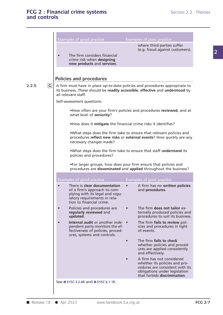|             | Examples of good practice                                                                                                                                                           | Examples of poor practice                                                                                                                                                          |
|-------------|-------------------------------------------------------------------------------------------------------------------------------------------------------------------------------------|------------------------------------------------------------------------------------------------------------------------------------------------------------------------------------|
|             | The firm considers financial<br>crime risk when designing<br>new products and services.                                                                                             | where third parties suffer<br>(e.g. fraud against customers).                                                                                                                      |
|             |                                                                                                                                                                                     |                                                                                                                                                                                    |
|             | Policies and procedures                                                                                                                                                             |                                                                                                                                                                                    |
| G <br>2.2.5 | A firm must have in place up-to-date policies and procedures appropriate to<br>its business. These should be readily accessible, effective and understood by<br>all relevant staff. |                                                                                                                                                                                    |
|             | Self-assessment questions:                                                                                                                                                          |                                                                                                                                                                                    |
|             | . How often are your firm's policies and procedures reviewed, and at<br>what level of seniority?                                                                                    |                                                                                                                                                                                    |
|             | . How does it mitigate the financial crime risks it identifies?                                                                                                                     |                                                                                                                                                                                    |
|             | .What steps does the firm take to ensure that relevant policies and<br>procedures reflect new risks or external events? How quickly are any<br>necessary changes made?              |                                                                                                                                                                                    |
|             | .What steps does the firm take to ensure that staff understand its<br>policies and procedures?                                                                                      |                                                                                                                                                                                    |
|             | .For larger groups, how does your firm ensure that policies and<br>procedures are disseminated and applied throughout the business?                                                 |                                                                                                                                                                                    |
|             | Examples of good practice                                                                                                                                                           | <b>Examples of poor practice</b>                                                                                                                                                   |
|             | There is clear documentation<br>of a firm's approach to com-<br>plying with its legal and regu-<br>latory requirements in rela-<br>tion to financial crime.                         | A firm has no written policies<br>and procedures.                                                                                                                                  |
|             | Policies and procedures are<br>regularly reviewed and<br>updated.                                                                                                                   | The firm does not tailor ex-<br>ternally produced policies and<br>procedures to suit its business.                                                                                 |
|             | Internal audit or another inde- •<br>pendent party monitors the ef-                                                                                                                 | The firm fails to review pol-                                                                                                                                                      |
|             | fectiveness of policies, proced-                                                                                                                                                    | icies and procedures in light<br>of events.                                                                                                                                        |
|             | ures, systems and controls.                                                                                                                                                         | The firm fails to check<br>whether policies and proced-<br>ures are applied consistently                                                                                           |
|             |                                                                                                                                                                                     | and effectively.<br>A firm has not considered<br>whether its policies and pro-<br>cedures are consistent with its<br>obligations under legislation<br>that forbids discrimination. |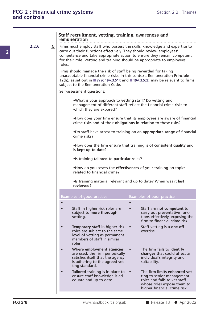| and controls |   |                                                                                                                                                                                                                                                                                                                    |                                                                                                                                                          |
|--------------|---|--------------------------------------------------------------------------------------------------------------------------------------------------------------------------------------------------------------------------------------------------------------------------------------------------------------------|----------------------------------------------------------------------------------------------------------------------------------------------------------|
|              |   | Staff recruitment, vetting, training, awareness and<br>remuneration                                                                                                                                                                                                                                                |                                                                                                                                                          |
| 2.2.6        | G | Firms must employ staff who possess the skills, knowledge and expertise to<br>carry out their functions effectively. They should review employees'<br>competence and take appropriate action to ensure they remain competent<br>for their role. Vetting and training should be appropriate to employees'<br>roles. |                                                                                                                                                          |
|              |   | Firms should manage the risk of staff being rewarded for taking<br>unacceptable financial crime risks. In this context, Remuneration Principle<br>subject to the Remuneration Code.                                                                                                                                | 12(h), as set out in ■ SYSC 19A.3.51R and ■ 19A.3.52E, may be relevant to firms                                                                          |
|              |   | Self-assessment questions:                                                                                                                                                                                                                                                                                         |                                                                                                                                                          |
|              |   | .What is your approach to vetting staff? Do vetting and<br>which they are exposed?                                                                                                                                                                                                                                 | management of different staff reflect the financial crime risks to                                                                                       |
|              |   |                                                                                                                                                                                                                                                                                                                    | . How does your firm ensure that its employees are aware of financial<br>crime risks and of their obligations in relation to those risks?                |
|              |   | crime risks?                                                                                                                                                                                                                                                                                                       | .Do staff have access to training on an appropriate range of financial                                                                                   |
|              |   | is kept up to date?                                                                                                                                                                                                                                                                                                | . How does the firm ensure that training is of consistent quality and                                                                                    |
|              |   | •Is training tailored to particular roles?                                                                                                                                                                                                                                                                         |                                                                                                                                                          |
|              |   | related to financial crime?                                                                                                                                                                                                                                                                                        | . How do you assess the effectiveness of your training on topics                                                                                         |
|              |   | reviewed?                                                                                                                                                                                                                                                                                                          | . Is training material relevant and up to date? When was it last                                                                                         |
|              |   | Examples of good practice                                                                                                                                                                                                                                                                                          | Examples of poor practice                                                                                                                                |
|              |   | Staff in higher risk roles are<br>subject to more thorough<br>vetting.                                                                                                                                                                                                                                             | $\bullet$<br>Staff are not competent to<br>carry out preventative func-<br>tions effectively, exposing the<br>firm to financial crime risk.              |
|              |   | <b>Temporary staff in higher risk</b><br>roles are subject to the same<br>level of vetting as permanent<br>members of staff in similar<br>roles.                                                                                                                                                                   | Staff vetting is a one-off<br>exercise.                                                                                                                  |
|              |   | Where employment agencies<br>are used, the firm periodically<br>satisfies itself that the agency<br>is adhering to the agreed vet-<br>ting standard.                                                                                                                                                               | The firm fails to identify<br>changes that could affect an<br>individual's integrity and<br>suitability.                                                 |
|              |   | Tailored training is in place to<br>ensure staff knowledge is ad-<br>equate and up to date.                                                                                                                                                                                                                        | The firm limits enhanced vet-<br>ting to senior management<br>roles and fails to vet staff<br>whose roles expose them to<br>higher financial crime risk. |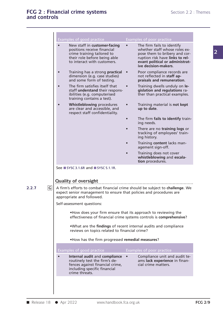| <b>Examples of good practice</b>                                                                                                                                                  | <b>Examples of poor practice</b>                                                                                                                                                          |
|-----------------------------------------------------------------------------------------------------------------------------------------------------------------------------------|-------------------------------------------------------------------------------------------------------------------------------------------------------------------------------------------|
| New staff in customer-facing<br>positions receive financial<br>crime training tailored to<br>their role before being able<br>to interact with customers.                          | The firm fails to identify<br>whether staff whose roles ex-<br>pose them to bribery and cor-<br>ruption risk have links to rel-<br>evant political or administrat-<br>ive decision-makers |
| Training has a strong practical<br>dimension (e.g. case studies)<br>and some form of testing.                                                                                     | Poor compliance records are<br>not reflected in staff ap-<br>praisals and remuneration.                                                                                                   |
| The firm satisfies itself that<br>staff understand their respons-<br>ibilities (e.g. computerised<br>training contains a test).                                                   | Training dwells unduly on le-<br>gislation and regulations ra-<br>ther than practical examples.                                                                                           |
| <b>Whistleblowing procedures</b><br>are clear and accessible, and<br>respect staff confidentiality.                                                                               | Training material is not kept<br>up to date.                                                                                                                                              |
|                                                                                                                                                                                   | The firm fails to identify train-<br>ing needs.                                                                                                                                           |
|                                                                                                                                                                                   | There are no training logs or<br>tracking of employees' train-<br>ing history.                                                                                                            |
|                                                                                                                                                                                   | Training content lacks man-<br>agement sign-off.                                                                                                                                          |
|                                                                                                                                                                                   | Training does not cover<br>whistleblowing and escala-<br>tion procedures.                                                                                                                 |
|                                                                                                                                                                                   |                                                                                                                                                                                           |
| See ■ SYSC 3.1.6R and ■ SYSC 5.1.1R.                                                                                                                                              |                                                                                                                                                                                           |
|                                                                                                                                                                                   |                                                                                                                                                                                           |
| <b>Quality of oversight</b>                                                                                                                                                       |                                                                                                                                                                                           |
| A firm's efforts to combat financial crime should be subject to challenge. We<br>expect senior management to ensure that policies and procedures are<br>appropriate and followed. |                                                                                                                                                                                           |
| Self-assessment questions:                                                                                                                                                        |                                                                                                                                                                                           |
| • How does your firm ensure that its approach to reviewing the<br>effectiveness of financial crime systems controls is comprehensive?                                             |                                                                                                                                                                                           |
| .What are the findings of recent internal audits and compliance<br>reviews on topics related to financial crime?                                                                  |                                                                                                                                                                                           |
| . How has the firm progressed remedial measures?                                                                                                                                  |                                                                                                                                                                                           |
| <b>Examples of good practice</b>                                                                                                                                                  | Examples of poor practice                                                                                                                                                                 |

**2.2.7 G**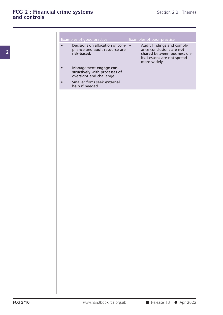|                                   |  | Exa |
|-----------------------------------|--|-----|
|                                   |  |     |
| $\mathbf{D}% _{t}\left( t\right)$ |  |     |

|           | <b>THE Systems</b>                                                                  | Section 2.2 : Themes                                                                                                                 |
|-----------|-------------------------------------------------------------------------------------|--------------------------------------------------------------------------------------------------------------------------------------|
|           |                                                                                     |                                                                                                                                      |
|           | Examples of good practice                                                           | Examples of poor practice                                                                                                            |
| $\bullet$ | Decisions on allocation of com- •<br>pliance and audit resource are<br>risk-based.  | Audit findings and compli-<br>ance conclusions are not<br>shared between business un-<br>its. Lessons are not spread<br>more widely. |
|           | Management engage con-<br>structively with processes of<br>oversight and challenge. |                                                                                                                                      |
|           | Smaller firms seek external<br>help if needed.                                      |                                                                                                                                      |
|           |                                                                                     |                                                                                                                                      |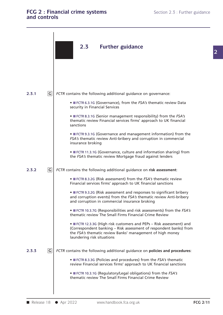### **FCG 2 : Financial crime systems** Section 2.3 : Further guidance and controls **FCG 2 : Financial crim**<br>and controls

| and controls |                | FCG 2 : Financial crime systems<br>Section 2.3 : Further guidance                                                                                                                                                                    |                 |
|--------------|----------------|--------------------------------------------------------------------------------------------------------------------------------------------------------------------------------------------------------------------------------------|-----------------|
|              |                | 2.3<br><b>Further guidance</b>                                                                                                                                                                                                       |                 |
| 2.3.1        | $\overline{G}$ | FCTR contains the following additional guidance on governance:                                                                                                                                                                       |                 |
|              |                | • FCTR 6.3.1G (Governance), from the FSA's thematic review Data<br>security in Financial Services                                                                                                                                    |                 |
|              |                | • FCTR 8.3.1G (Senior management responsibility) from the FSA's<br>thematic review Financial services firms' approach to UK financial<br>sanctions                                                                                   |                 |
|              |                | • FCTR 9.3.1G (Governance and management information) from the<br>FSA's thematic review Anti-bribery and corruption in commercial<br>insurance broking                                                                               |                 |
|              |                | • FCTR 11.3.1G (Governance, culture and information sharing) from<br>the FSA's thematic review Mortgage fraud against lenders                                                                                                        |                 |
| 2.3.2        | $\overline{G}$ | FCTR contains the following additional guidance on risk assessment:                                                                                                                                                                  |                 |
|              |                | • FCTR 8.3.2G (Risk assessment) from the FSA's thematic review<br>Financial services firms' approach to UK financial sanctions                                                                                                       |                 |
|              |                | • FCTR 9.3.2G (Risk assessment and responses to significant bribery<br>and corruption events) from the FSA's thematic review Anti-bribery<br>and corruption in commercial insurance broking                                          |                 |
|              |                | • FCTR 10.3.7G (Responsibilities and risk assessments) from the FSA's<br>thematic review The Small Firms Financial Crime Review                                                                                                      |                 |
|              |                | • FCTR 12.3.3G (High risk customers and PEPs - Risk assessment) and<br>(Correspondent banking - Risk assessment of respondent banks) from<br>the FSA's thematic review Banks' management of high money<br>laundering risk situations |                 |
| 2.3.3        | $\mathsf C$    | FCTR contains the following additional guidance on policies and procedures:                                                                                                                                                          |                 |
|              |                | • FCTR 8.3.3G (Policies and procedures) from the FSA's thematic<br>review Financial services firms' approach to UK financial sanctions                                                                                               |                 |
|              |                | • FCTR 10.3.1G (Regulatory/Legal obligations) from the FSA's<br>thematic review The Small Firms Financial Crime Review                                                                                                               |                 |
|              |                |                                                                                                                                                                                                                                      | <b>FCG 2/11</b> |
| Release 18   |                | ● Apr 2022<br>www.handbook.fca.org.uk                                                                                                                                                                                                |                 |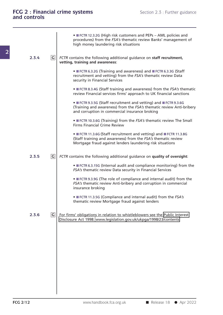|                               | • FCTR 12.3.2G (High risk customers and PEPs - AML policies and<br>procedures) from the FSA's thematic review Banks' management of<br>high money laundering risk situations                   |
|-------------------------------|-----------------------------------------------------------------------------------------------------------------------------------------------------------------------------------------------|
| $ {\mathsf G} $<br>2.3.4      | FCTR contains the following additional guidance on staff recruitment,<br>vetting, training and awareness:                                                                                     |
|                               | • FCTR 6.3.2G (Training and awareness) and FCTR 6.3.3G (Staff<br>recruitment and vetting) from the FSA's thematic review Data<br>security in Financial Services                               |
|                               | • FCTR 8.3.4G (Staff training and awareness) from the FSA's thematic<br>review Financial services firms' approach to UK financial sanctions                                                   |
|                               | • FCTR 9.3.5G (Staff recruitment and vetting) and FCTR 9.3.6G<br>(Training and awareness) from the FSA's thematic review Anti-bribery<br>and corruption in commercial insurance broking       |
|                               | • FCTR 10.3.6G (Training) from the FSA's thematic review The Small<br><b>Firms Financial Crime Review</b>                                                                                     |
|                               | • FCTR 11.3.6G (Staff recruitment and vetting) and FCTR 11.3.8G<br>(Staff training and awareness) from the FSA's thematic review<br>Mortgage fraud against lenders laundering risk situations |
| $\boxed{\mathsf{C}}$<br>2.3.5 | FCTR contains the following additional guidance on quality of oversight:                                                                                                                      |
|                               | • FCTR 6.3.15G (Internal audit and compliance monitoring) from the<br>FSA's thematic review Data security in Financial Services                                                               |
|                               | • FCTR 9.3.9G (The role of compliance and internal audit) from the<br>FSA's thematic review Anti-bribery and corruption in commercial<br>insurance broking                                    |
|                               | • FCTR 11.3.5G (Compliance and internal audit) from the FSA's<br>thematic review Mortgage fraud against lenders                                                                               |
| G <br>2.3.6                   | For firms' obligations in relation to whistleblowers see the Public Interest<br>Disclosure Act 1998: www.legislation.gov.uk/ukpga/1998/23/contents                                            |
|                               |                                                                                                                                                                                               |
|                               |                                                                                                                                                                                               |
|                               |                                                                                                                                                                                               |
|                               |                                                                                                                                                                                               |
|                               |                                                                                                                                                                                               |
|                               |                                                                                                                                                                                               |

**2**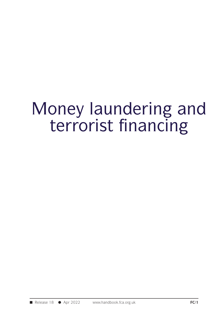# Money laundering and<br>terrorist financing oney laundering and<br>terrorist financing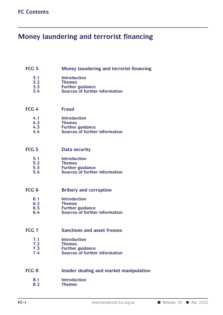### **FC Contents**<br> **Money laundering and terrorist financing FCG 3 Money laundering and terrorist financing**<br>**FCG 3 Money laundering and terrorist financing**<br>**1.1 Introduction**

### **3.3 Further guidance**<br> **3.2 Further guidance**<br> **3.3 Further guidance**<br> **3.4 Sources of further informat 3.5 Money laundering and terrorist financ**<br> **3.1 Introduction**<br> **3.2 Themes**<br> **5.3 Further guidance**<br> **5.4 Sources of further information**

- **3.1 Introduction**
- **3.2 Themes**
- 
- 3.1 Introduction<br>
3.2 Themes<br>
3.3 Further guidance<br>
3.4 Sources of further<br>
FCG 4 Fraud<br>
4.1 Introduction

- **4.1 Introduction**
- 
- **4.2 Themes**
- 4.1 **Fraud**<br>
4.2 **Themes**<br>
4.3 Further guidance<br>
4.4 Sources of further informat 4.1 **Fraud**<br>
4.1 **Introduction**<br>
4.2 **Themes**<br>
4.3 Further guidance<br>
4.4 Sources of further information 4.1 Introduction<br>
4.2 Themes<br>
4.3 Further guidance<br>
4.4 Sources of further inform<br>
FCG 5 Data security<br>
5.1 Introduction

- **5.1 Introduction**
- 
- **5.2 Themes**
- **5.3 Furntify**<br> **5.1 Example 11**<br> **5.2 Further guidance**<br> **5.3 Further guidance**<br> **5.4 Sources of further informat 5.5 Data security**<br> **5.1 Introduction**<br> **5.2 Themes**<br> **5.3 Further guidance**<br> **5.4 Sources of further information** 5.1 Introduction<br>
5.2 Themes<br>
5.3 Further guidance<br>
5.4 Sources of further information<br>
FCG 6 Bribery and corruption<br>
6.1 Introduction

- **6.1 Introduction**
- 
- **6.2 Themes**
- **6.1 Example 18 Introduction**<br> **6.2 Further guidance**<br> **6.3 Further guidance**<br> **6.4 Sources of further informat 6.1 Introduction**<br> **6.2 Themes**<br> **6.3 Further guidance**<br> **6.4 Sources of further information**

### 6.1 Introduction<br>
6.2 Themes<br>
6.3 Further guidance<br>
6.4 Sources of further information<br>
FCG 7 Sanctions and asset freezes<br>
7.1 Introduction **7.1 Sanctions and asset freez**<br> **7.1 Introduction**<br> **7.2 Further guidance**<br> **7.4 Sources of further informat 7.1 Sanctions and asset freezes**<br> **7.1 Introduction**<br> **7.2 Themes**<br> **7.3 Further guidance**<br> **7.4** Sources of further information

- **7.1 Introduction**
- 
- **7.2 Themes**
- 

### **FRUCE 7.1 Introduction**<br> **FCG 8 Insider dealing and market manipulation**<br> **FCG 8 Insider dealing and market manipulation**<br> **REG 8 Insider dealing and market manipulation**<br> **REG 8 Introduction**

- **8.1 Introduction FC–i FC–i FC–i FC–i WWW.handbook.fca.org.uk** ■ Release 18 ● Apr 2022
	- **8.2 Themes**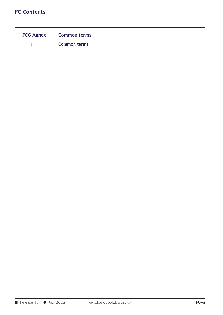## **FC Contents**

| <b>Contents</b>       |                                            |
|-----------------------|--------------------------------------------|
| <b>FCG Annex</b><br>1 | <b>Common terms</b><br><b>Common terms</b> |
|                       |                                            |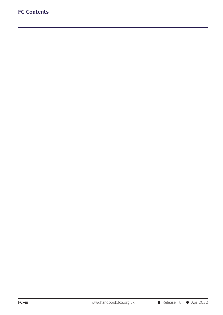## **FC Contents**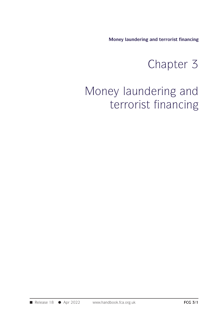**Money laundering and terrorist financing**

# and terrorist financing

# Money laundering and terrorist financing<br>Chapter 3<br>Money laundering and<br>terrorist financing Money laundering and terrorist financing<br>Chapter 3<br>ey laundering and<br>terrorist financing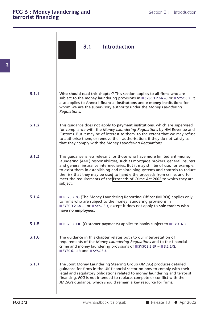|       | 3.1<br><b>Introduction</b>                                                                                                                                                                                                                                                                                                                                                                                                                                                                         |
|-------|----------------------------------------------------------------------------------------------------------------------------------------------------------------------------------------------------------------------------------------------------------------------------------------------------------------------------------------------------------------------------------------------------------------------------------------------------------------------------------------------------|
| 3.1.1 | Who should read this chapter? This section applies to all firms who are<br>subject to the money laundering provisions in ■ SYSC 3.2.6A-J or ■ SYSC 6.3. It<br>also applies to Annex I financial institutions and e-money institutions for<br>whom we are the supervisory authority under the Money Laundering<br>Regulations.                                                                                                                                                                      |
| 3.1.2 | This guidance does not apply to payment institutions, which are supervised<br>for compliance with the Money Laundering Regulations by HM Revenue and<br>Customs. But it may be of interest to them, to the extent that we may refuse<br>to authorise them, or remove their authorisation, if they do not satisfy us<br>that they comply with the Money Laundering Regulations.                                                                                                                     |
| 3.1.3 | This guidance is less relevant for those who have more limited anti-money<br>laundering (AML) responsibilities, such as mortgage brokers, general insurers<br>and general insurance intermediaries. But it may still be of use, for example,<br>to assist them in establishing and maintaining systems and controls to reduce<br>the risk that they may be used to handle the proceeds from crime; and to<br>meet the requirements of the Proceeds of Crime Act 2002 to which they are<br>subject. |
| 3.1.4 | FCG 3.2.2G (The Money Laundering Reporting Officer (MLRO)) applies only<br>to firms who are subject to the money laundering provisions in<br>SYSC 3.2.6A-J or SYSC 6.3, except it does not apply to sole traders who<br>have no employees.                                                                                                                                                                                                                                                         |
| 3.1.5 | ■ FCG 3.2.13G (Customer payments) applies to banks subject to ■ SYSC 6.3.                                                                                                                                                                                                                                                                                                                                                                                                                          |
| 3.1.6 | The guidance in this chapter relates both to our interpretation of<br>requirements of the Money Laundering Regulations and to the financial<br>crime and money laundering provisions of ■ SYSC 3.2.6R - ■ 3.2.6JG,<br>$\blacksquare$ SYSC 6.1.1R and $\blacksquare$ SYSC 6.3.                                                                                                                                                                                                                      |
| 3.1.7 | The Joint Money Laundering Steering Group (JMLSG) produces detailed<br>guidance for firms in the UK financial sector on how to comply with their<br>legal and regulatory obligations related to money laundering and terrorist<br>financing. FCG is not intended to replace, compete or conflict with the<br>JMLSG's guidance, which should remain a key resource for firms.                                                                                                                       |
|       | www.handbook.fca.org.uk<br>Release $18$ $\bullet$ Apr 2022                                                                                                                                                                                                                                                                                                                                                                                                                                         |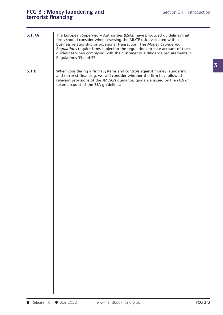### FCG 3 : Money laundering and<br> **FCG 3 : Money laundering and**<br> **Section 3.1 : Introduction FCG 3 : Money laundering and<br>terrorist financing**

- **3.1.7A The European Supervisory Authorities (ESAs) have produced guidelines that**<br>The European Supervisory Authorities (ESAs) have produced guidelines that<br>firms should consider when assessing the ML/TF risk associated with a<br>hu **firms should consider and the Section 3.1 : Introduction**<br> **fine European Supervisory Authorities (ESAs) have produced guidelines that**<br>
firms should consider when assessing the ML/TF risk associated with a<br>
business rela **Subsiding The European Supervisory Authorities (ESAs) have produced guidelines that**<br>firms should consider when assessing the ML/TF risk associated with a<br>business relationship or occasional transaction. The *Money Launde* The European Supervisory Authorities (ESAs) have produced guidelines that<br>firms should consider when assessing the ML/TF risk associated with a<br>business relationship or occasional transaction. The *Money Laundering*<br>*Regul* The European Supervisory Authorities (ESAs) have produced guidelines that<br>firms should consider when assessing the ML/TF risk associated with a<br>business relationship or occasional transaction. The *Money Laundering*<br>*Regul* The European Supervisory A<br>firms should consider when<br>business relationship or occa<br>*Regulations* require firms su<br>guidelines when complying<br>Regulations 33 and 37. business relationship or occasional transaction. The *Money Laundering*<br>Regulations require firms subject to the regulations to take account of these<br>guidelines when complying with the customer due diligence requirements i
- **3.1.8** When considering a firm's systems and controls against money laundering and terrorist financing, we will consider whether the firm has followed Regulations require firms subject to the regulations to take account of these<br>guidelines when complying with the customer due diligence requirements in<br>Regulations 33 and 37.<br>When considering a firm's systems and controls guidelines when complying with the customer due diligence requirements in<br>Regulations 33 and 37.<br>When considering a firm's systems and controls against money laundering<br>and terrorist financing, we will consider whether the Regulations 33 and 37.<br>When considering a firm's systems an<br>and terrorist financing, we will consider<br>relevant provisions of the JMLSG's gu<br>taken account of the ESA guidelines.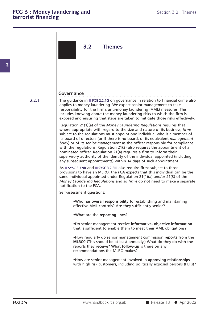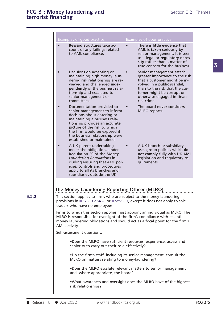|           | <b>Examples of good practice</b>                                                                                                                                                                                                                                                                                           |           | Examples of poor practice                                                                                                                                                                                                              |  |
|-----------|----------------------------------------------------------------------------------------------------------------------------------------------------------------------------------------------------------------------------------------------------------------------------------------------------------------------------|-----------|----------------------------------------------------------------------------------------------------------------------------------------------------------------------------------------------------------------------------------------|--|
| $\bullet$ | Reward structures take ac-<br>count of any failings related<br>to AML compliance.                                                                                                                                                                                                                                          | $\bullet$ | There is little evidence that<br>AML is taken seriously by<br>senior management. It is seen<br>as a legal or regulatory neces-<br>sity rather than a matter of<br>true concern for the business.                                       |  |
| $\bullet$ | Decisions on accepting or<br>maintaining high money laun-<br>dering risk relationships are re-<br>viewed and challenged inde-<br>pendently of the business rela-<br>tionship and escalated to<br>senior management or<br>committees.                                                                                       |           | Senior management attach<br>greater importance to the risk<br>that a customer might be in-<br>volved in a public scandal,<br>than to the risk that the cus-<br>tomer might be corrupt or<br>otherwise engaged in finan-<br>cial crime. |  |
| $\bullet$ | Documentation provided to<br>senior management to inform<br>decisions about entering or<br>maintaining a business rela-<br>tionship provides an accurate<br>picture of the risk to which<br>the firm would be exposed if<br>the business relationship were<br>established or maintained.                                   |           | The board never considers<br>MLRO reports.                                                                                                                                                                                             |  |
| $\bullet$ | A UK parent undertaking<br>meets the obligations under<br>Regulation 20 of the Money<br>Laundering Regulations in-<br>cluding ensuring that AML pol-<br>icies, controls and procedures<br>apply to all its branches and<br>subsidiaries outside the UK.                                                                    | $\bullet$ | A UK branch or subsidiary<br>uses group policies which do<br>not comply fully with UK AML<br>legislation and regulatory re-<br>quirements.                                                                                             |  |
|           | The Money Laundering Reporting Officer (MLRO)<br>This section applies to firms who are subject to the money laundering<br>provisions in ■ SYSC 3.2.6A – J or ■ SYSC 6.3, except it does not apply to sole<br>traders who have no employees.<br>Firms to which this section applies must appoint an individual as MLRO. The |           |                                                                                                                                                                                                                                        |  |
|           | MLRO is responsible for oversight of the firm's compliance with its anti-<br>money laundering obligations and should act as a focal point for the firm's<br>AML activity.                                                                                                                                                  |           |                                                                                                                                                                                                                                        |  |
|           | Self-assessment questions:<br>.Does the MLRO have sufficient resources, experience, access and<br>seniority to carry out their role effectively?                                                                                                                                                                           |           |                                                                                                                                                                                                                                        |  |
|           | .Do the firm's staff, including its senior management, consult the<br>MLRO on matters relating to money-laundering?                                                                                                                                                                                                        |           |                                                                                                                                                                                                                                        |  |
|           | .Does the MLRO escalate relevant matters to senior management<br>and, where appropriate, the board?                                                                                                                                                                                                                        |           |                                                                                                                                                                                                                                        |  |
|           | .What awareness and oversight does the MLRO have of the highest<br>risk relationships?                                                                                                                                                                                                                                     |           |                                                                                                                                                                                                                                        |  |

**3.2.2**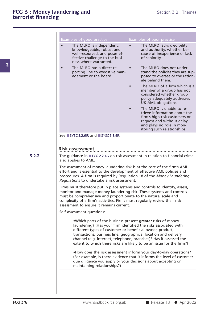|       | Examples of good practice<br>The MLRO is independent,<br>knowledgeable, robust and<br>well-resourced, and poses ef-<br>fective challenge to the busi-<br>ness where warranted.                                                                                                                                                                                                                              | Examples of poor practice<br>The MLRO lacks credibility<br>and authority, whether be-<br>cause of inexperience or lack<br>of seniority.                                             |
|-------|-------------------------------------------------------------------------------------------------------------------------------------------------------------------------------------------------------------------------------------------------------------------------------------------------------------------------------------------------------------------------------------------------------------|-------------------------------------------------------------------------------------------------------------------------------------------------------------------------------------|
|       | The MLRO has a direct re-<br>porting line to executive man-<br>agement or the board.                                                                                                                                                                                                                                                                                                                        | The MLRO does not under-<br>stand the policies they are sup-<br>posed to oversee or the ration-<br>ale behind them.                                                                 |
|       |                                                                                                                                                                                                                                                                                                                                                                                                             | The MLRO of a firm which is a<br>member of a group has not<br>considered whether group<br>policy adequately addresses<br>UK AML obligations.                                        |
|       |                                                                                                                                                                                                                                                                                                                                                                                                             | The MLRO is unable to re-<br>trieve information about the<br>firm's high-risk customers on<br>request and without delay<br>and plays no role in mon-<br>itoring such relationships. |
|       | See ■ SYSC 3.2.6IR and ■ SYSC 6.3.9R.                                                                                                                                                                                                                                                                                                                                                                       |                                                                                                                                                                                     |
|       |                                                                                                                                                                                                                                                                                                                                                                                                             |                                                                                                                                                                                     |
|       | <b>Risk assessment</b>                                                                                                                                                                                                                                                                                                                                                                                      |                                                                                                                                                                                     |
| 3.2.3 | The guidance in FCG 2.2.4G on risk assessment in relation to financial crime                                                                                                                                                                                                                                                                                                                                |                                                                                                                                                                                     |
|       |                                                                                                                                                                                                                                                                                                                                                                                                             |                                                                                                                                                                                     |
|       | effort and is essential to the development of effective AML policies and<br>procedures. A firm is required by Regulation 18 of the Money Laundering<br>Regulations to undertake a risk assessment.<br>Firms must therefore put in place systems and controls to identify, assess,<br>monitor and manage money laundering risk. These systems and controls                                                   | The assessment of money laundering risk is at the core of the firm's AML                                                                                                            |
|       | must be comprehensive and proportionate to the nature, scale and<br>complexity of a firm's activities. Firms must regularly review their risk<br>assessment to ensure it remains current.                                                                                                                                                                                                                   |                                                                                                                                                                                     |
|       | Self-assessment questions:                                                                                                                                                                                                                                                                                                                                                                                  |                                                                                                                                                                                     |
|       | .Which parts of the business present greater risks of money<br>laundering? (Has your firm identified the risks associated with<br>different types of customer or beneficial owner, product,<br>transactions, business line, geographical location and delivery<br>channel (e.g. internet, telephone, branches)? Has it assessed the<br>extent to which these risks are likely to be an issue for the firm?) |                                                                                                                                                                                     |
|       | •How does the risk assessment inform your day-to-day operations?<br>(For example, is there evidence that it informs the level of customer<br>due diligence you apply or your decisions about accepting or<br>maintaining relationships?)                                                                                                                                                                    |                                                                                                                                                                                     |
|       |                                                                                                                                                                                                                                                                                                                                                                                                             |                                                                                                                                                                                     |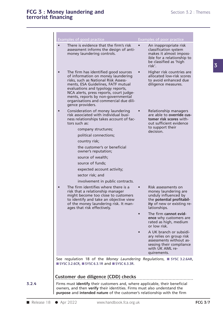| Examples of good practice                                                                                                                                                                                                                                                                                                                                                                                    | <b>Examples of poor practice</b>                                                                                                                                                     |  |
|--------------------------------------------------------------------------------------------------------------------------------------------------------------------------------------------------------------------------------------------------------------------------------------------------------------------------------------------------------------------------------------------------------------|--------------------------------------------------------------------------------------------------------------------------------------------------------------------------------------|--|
| There is evidence that the firm's risk<br>$\bullet$<br>assessment informs the design of anti-<br>money laundering controls.                                                                                                                                                                                                                                                                                  | An inappropriate risk<br>classification system<br>makes it almost imposs-<br>ible for a relationship to<br>be classified as 'high<br>risk'.                                          |  |
| The firm has identified good sources<br>$\bullet$<br>of information on money laundering<br>risks, such as National Risk Assess-<br>ments, ESA Guidelines, FATF mutual<br>evaluations and typology reports,<br>NCA alerts, press reports, court judge-<br>ments, reports by non-governmental<br>organisations and commercial due dili-<br>gence providers.                                                    | Higher risk countries are<br>allocated low-risk scores<br>to avoid enhanced due<br>diligence measures.                                                                               |  |
| Consideration of money laundering<br>$\bullet$<br>risk associated with individual busi-<br>ness relationships takes account of fac-<br>tors such as:<br>company structures;<br>political connections;<br>country risk;<br>the customer's or beneficial<br>owner's reputation;<br>source of wealth;<br>source of funds;<br>expected account activity;<br>sector risk; and<br>involvement in public contracts. | Relationship managers<br>are able to override cus-<br>tomer risk scores with-<br>out sufficient evidence<br>to support their<br>decision.                                            |  |
| The firm identifies where there is a<br>$\bullet$<br>risk that a relationship manager<br>might become too close to customers<br>to identify and take an objective view<br>of the money laundering risk. It man-<br>ages that risk effectively.                                                                                                                                                               | Risk assessments on<br>money laundering are<br>unduly influenced by<br>the potential profitabil-<br>ity of new or existing re-<br>lationships.<br>The firm cannot evid-<br>$\bullet$ |  |
|                                                                                                                                                                                                                                                                                                                                                                                                              | ence why customers are<br>rated as high, medium<br>or low risk.                                                                                                                      |  |
|                                                                                                                                                                                                                                                                                                                                                                                                              | A UK branch or subsidi-<br>ary relies on group risk<br>assessments without as-<br>sessing their compliance<br>with UK AML re-<br>quirements.                                         |  |
| See regulation 18 of the Money Laundering Regulations, ■ SYSC 3.2.6AR,<br>$\blacksquare$ SYSC 3.2.6CR, $\blacksquare$ SYSC 6.3.1R and $\blacksquare$ SYSC 6.3.3R.                                                                                                                                                                                                                                            |                                                                                                                                                                                      |  |
| Customer due diligence (CDD) checks<br>Firms must identify their customers and, where applicable, their beneficial<br>owners, and then verify their identities. Firms must also understand the<br>purpose and intended nature of the customer's relationship with the firm                                                                                                                                   |                                                                                                                                                                                      |  |

**3.2.4**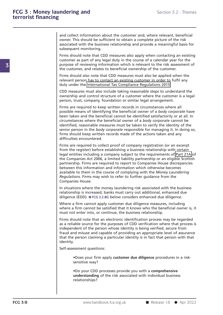**3**

and collect information about the customer and, where relevant, beneficial<br>owner. This should be sufficient to obtain a complete picture of the risk<br>associated with the business relationship and provide a meaningful basis and collect information about the customer and, where relevant, beneficial<br>owner. This should be sufficient to obtain a complete picture of the risk<br>associated with the business relationship and provide a meaningful basis and collect information about the customer and, where relevant, beneficial<br>owner. This should be sufficient to obtain a complete picture of the risk<br>associated with the business relationship and provide a meaningful basis and collect information abou<br>owner. This should be sufficie<br>associated with the business<br>subsequent monitoring.<br>Firms should note that CDD r and collect information about the customer and, where relevant, beneficial<br>owner. This should be sufficient to obtain a complete picture of the risk<br>associated with the business relationship and provide a meaningful basis and collect information about the customer and, where relevant, beneficial<br>owner. This should be sufficient to obtain a complete picture of the risk<br>associated with the business relationship and provide a meaningful basis

purpose. This should be sufficient to obtain a complete picture of the risk associated with the business relationship and provide a meaningful basis for subsequent monitoring.<br>Firms should note that CDD measures also apply associated with the business relationship and provide a meaningful basis subsequent monitoring.<br>Subsequent monitoring.<br>Firms should note that CDD measures also apply when contacting an ex<br>customer as part of any legal duty subsequent monitoring.<br>Firms should note that CDD measures also apply when contacting an existing<br>customer as part of any legal duty in the course of a calendar year for the<br>purpose of reviewing information which is releva Firms should note that CDD measures also apply when contacting an existing<br>customer as part of any legal duty in the course of a calendar year for the<br>purpose of reviewing information which is relevant to the risk assessme customer as part of any legal duty in the course of a calendar year for purpose of reviewing information which is relevant to the risk assess the customer, and relates to beneficial ownership of the customer.<br>Firms should

purpose of reviewing information which is relevant to the risk assessment of<br>the customer, and relates to beneficial ownership of the customer.<br>Firms should also note that CDD measures must also be applied when the<br>relevan Firms should also note that CDD measures must also be applied when relevant person has to contact an existing customer in order to fulfil a duty under the International Tax Compliance Regulations 2015.<br>CDD measures must al

the customer, and relates to beneficial ownership of the customer.<br>Firms should also note that CDD measures must also be applied when the<br>relevant person has to contact an existing customer in order to fulfil any<br>duty unde relevant person has to contact an existing customer in order to fulfil any<br>duty under the International Tax Compliance Regulations 2015.<br>CDD measures must also include taking reasonable steps to understand the<br>ownership an

duty under the International Tax Compliance Regulations 2015.<br>CDD measures must also include taking reasonable steps to understand the<br>ownership and control structure of a customer where the customer is a legal<br>person, tru CDD measures must also include taking reasonable steps to understand the<br>ownership and control structure of a customer where the customer is a legal<br>person, trust, company, foundation or similar legal arrangement.<br>Firms ar ownership and control structure of a customer where the customer is a legal<br>person, trust, company, foundation or similar legal arrangement.<br>Firms are required to keep written records in circumstances where all<br>possible me person, trust, company, foundation or similar legal arrangement.<br>Firms are required to keep written records in circumstances where all<br>possible means of identifying the beneficial owner of a *body corporate* have<br>been take Firms are required to keep written records in circumstances where all<br>possible means of identifying the beneficial owner of a *body corporate* have<br>been taken and the beneficial cannot be identified satisfactorily or at al Firms are required to keep written records in circumstances where all<br>possible means of identifying the beneficial owner of a *body corporate* have<br>been taken and the beneficial cannot be identified satisfactorily or at al possible means of identifying<br>been taken and the beneficia<br>circumstances where the bene<br>identified, reasonable measur<br>senior person in the *body cor*,<br>firms should keep written rec<br>difficulties encountered.<br>Firms are requi circumstances where the beneficial owner of a *body corporate* cannot be<br>identified, reasonable measures must be taken to verify the identity of the<br>senior person in the *body corporate* responsible for managing it. In doi identified, reasonable measures must be taken to verify the identity of the<br>senior person in the *body corporate* responsible for managing it. In doing so,<br>firms should keep written records made of the actions taken and an

Senior person in the *body corporate* responsible for managing it. In doing so,<br>firms should keep written records made of the actions taken and any<br>difficulties encountered.<br>Firms are required to collect proof of company r firms should keep written records made of the actions taken and any<br>difficulties encountered.<br>Firms are required to collect proof of company registration (or an excerpt<br>from the register) before establishing a business rel difficulties encountered.<br>Firms are required to collect proof of company registration (or an excerpt<br>from the register) before establishing a business relationship with certain<br>legal entities including a company subject to Firms are required to collect proof of company registration (or an excerpt<br>from the register) before establishing a business relationship with certain<br>legal entities including a company subject to the requirements of Part Firms are required to collect proot of company registration (or an excerpt<br>from the register) before establishing a business relationship with certain<br>legal entities including a company subject to the requirements of Part from the register) before establishing a business relationship with certain<br>legal entities including a company subject to the requirements of Part 21A or<br>the Companies Act 2006, a limited liability partnership or an eligib the Companies Act 2006, a limited liability partnership or an eligible Scottish<br>partnership. Firms are required to report to Companies House discrepancies<br>between this information and information which otherwise becomes<br>av partnership.Firms are required to report to Companies House discrepancies<br>between this information and information which otherwise becomes<br>available to them in the course of complying with the *Money Laundering*<br>Regulatio For the information and information which otherwise becomes<br>available to them in the course of complying with the *Money Laundering*<br>Regulations. Firms may wish to refer to further guidance from the<br>Companies House.<br>In sit available to them in the course of complying with the *Money Laundering*<br>Regulations. Firms may wish to refer to further guidance from the<br>Companies House.<br>In situations where the money laundering risk associated with the

Regulations. Firms may wish to refer to turther guidance from the<br>Companies House.<br>In situations where the money laundering risk associated with the business<br>relationship is increased, banks must carry out additional, enha Companies House.<br>
In situations where the money laundering risk associated with the business<br>
relationship is increased, banks must carry out additional, enhanced due<br>
diligence (EDD). FCG 3.2.8G below considers enhanced d In situations where the money laundering risk associated with the relationship is increased, banks must carry out additional, enhandiligence (EDD). **FGG 3.2.8G below considers enhanced due diligent Where a firm cannot appl** 

relationship is increased, banks must carry out additional, enhanced due<br>diligence (EDD). FFCG 3.2.8G below considers enhanced due diligence.<br>Where a firm cannot apply customer due diligence measures, including<br>where a fir

diligence (EDD). **F**CG 3.2.8G below considers enhanced due diligence.<br>Where a firm cannot apply customer due diligence measures, including<br>where a firm cannot be satisfied that it knows who the beneficial owner is, it<br>must Where a firm cannot apply customer due diligence measures, including<br>where a firm cannot be satisfied that it knows who the beneficial owner is, it<br>must not enter into, or continue, the business relationship.<br>Firms should where a firm cannot be satisfied that it knows who the beneficial owner is, it<br>must not enter into, or continue, the business relationship.<br>Firms should note that an electronic identification process may be regarded<br>as a r must not enter into, or continue, the business relationship.<br>Firms should note that an electronic identification process may be regarded<br>as a reliable source for the purposes of CDD verification where that process is<br>indep identity. Self-assessment questions:<br>
•Self-assessment questions: •Does your firm and misuse and capable of providing an appropriate level of assuran<br>
fraud and misuse and capable of providing an appropriate level of assuran<br>
that t Person claiming a part<br>
Sessment questions:<br>
Poes your firm apply consitive way?<br>
Po your CDD processes

**FCG 3/8** www.handbook.fca.org.uk ■ Release 18 ● Apr 2022 •Does your firm apply **customer due diligence** procedures in a risk-<br>•Do your CDD processes provide you with a **comprehensive**<br>•Do your CDD processes provide you with a **comprehensive**<br>understanding of the risk associated **•**Does your firm apply **customer due diligence** procedures in a risk-<br>•Do your CDD processes provide you with a **comprehensive**<br>•Do your CDD processes provide you with a **comprehensive**<br>understanding of the risk associate relationships?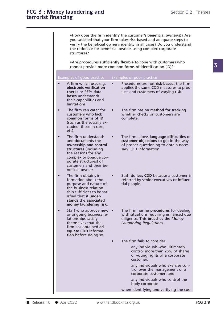**examplement in the customer's densition** S.2 : Themes<br>
•How does the firm **identify** the customer's **beneficial owner**(**s**)? Are<br>
you satisfied that your firm takes risk-based and adequate steps to<br>
yerify the beneficial Section 5.2 : Theme<br>
Section 5.2 : Theme<br>
Section 5.2 : Theme<br>
Section 5.2 : Theme<br>
Section 5.2 : Theme<br>
Section 5.2 : Theme<br>
Section 5.2 : Theme<br>
Section 5.2 : Theme<br>
Section 5.2 : Theme<br>
Section 5.2 : Theme<br>
Section 5.2 • How does the firm **identify** the customer's **beneficial owner(s)**? Are you satisfied that your firm takes risk-based and adequate steps to verify the beneficial owner's identity in all cases? Do you understand the ration • How does the firm **identify** the customer's **beneficial owner(s)**? Are you satisfied that your firm takes risk-based and adequate steps to verify the beneficial owner's identity in all cases? Do you understand the ration structures? •How does the firm **identify** the customer's **beneficial owner(s**)? Are you satisfied that your firm takes risk-based and adequate steps to verify the beneficial owner's identity in all cases? Do you understand the rationa verify the beneficial owner's identity in all cases? Do you understand<br>the rationale for beneficial owners using complex corporate<br>structures?<br>• Are procedures sufficiently flexible to cope with customers who

| Examples of good practice                                                                                                                                                                                                         | Examples of poor practice                                                                                                                                         |  |
|-----------------------------------------------------------------------------------------------------------------------------------------------------------------------------------------------------------------------------------|-------------------------------------------------------------------------------------------------------------------------------------------------------------------|--|
| A firm which uses e.g.<br>$\bullet$<br>electronic verification<br>checks or PEPs data-<br><b>bases</b> understands<br>their capabilities and<br>limitations.                                                                      | Procedures are not risk-based: the firm<br>applies the same CDD measures to prod-<br>ucts and customers of varying risk.                                          |  |
| The firm can cater for<br>$\bullet$<br>customers who lack<br>common forms of ID<br>(such as the socially ex-<br>cluded, those in care,<br>etc).                                                                                   | The firm has no method for tracking<br>$\bullet$<br>whether checks on customers are<br>complete.                                                                  |  |
| The firm understands<br>$\bullet$<br>and documents the<br>ownership and control<br>structures (including<br>the reasons for any<br>complex or opaque cor-<br>porate structures) of<br>customers and their be-<br>neficial owners. | The firm allows language difficulties or<br>$\bullet$<br>customer objections to get in the way<br>of proper questioning to obtain neces-<br>sary CDD information. |  |
| The firm obtains in-<br>$\bullet$<br>formation about the<br>purpose and nature of<br>the business relation-<br>ship sufficient to be sat-<br>isfied that it under-<br>stands the associated<br>money laundering risk.             | Staff do less CDD because a customer is<br>referred by senior executives or influen-<br>tial people.                                                              |  |
| Staff who approve new •<br>$\bullet$<br>or ongoing business re-<br>lationships satisfy<br>themselves that the<br>firm has obtained ad-<br>equate CDD informa-<br>tion before doing so.                                            | The firm has no procedures for dealing<br>with situations requiring enhanced due<br>diligence. This breaches the Money<br>Laundering Regulations.                 |  |
|                                                                                                                                                                                                                                   | The firm fails to consider:                                                                                                                                       |  |
|                                                                                                                                                                                                                                   | any individuals who ultimately<br>control more than 25% of shares<br>or voting rights of a corporate<br>customer;                                                 |  |
|                                                                                                                                                                                                                                   | any individuals who exercise con-<br>trol over the management of a<br>corporate customer; and                                                                     |  |
|                                                                                                                                                                                                                                   | any individuals who control the<br>body corporate                                                                                                                 |  |
|                                                                                                                                                                                                                                   | when identifying and verifying the cus-                                                                                                                           |  |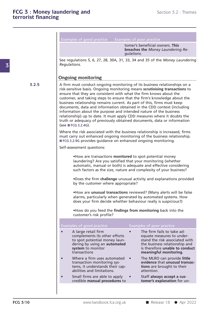Section 5.2<br>Examples of good practice Examples of poor practice<br>Examples of good practice Examples of poor practice<br>tomer's beneficial owners. This

ples of poor practice<br>tomer's beneficial owners. **This**<br>breaches the *Money Laundering Re-*<br>*qulations.* Examples of good practice Examples of poor practice<br> **breaches the** *Money Laundering Regulations*.<br> **See regulations 5, 6, 27, 28, 30A, 31, 33, 34 and 35 of the** *Money Laundering* 

Examples of good practice Examples of poor practice<br> **tomer's beneficial owners. This**<br> **breaches the** *Money Laundering Regulations***.<br>
See regulations 5, 6, 27, 28, 30A, 31, 33, 34 and 35 of the** *Money Laundering***<br>** *Regula* 

**3.2.5**

tomer's beneficial owners. This<br>
breaches the Money Laundering Re-<br>
gulations.<br>
See regulations 5, 6, 27, 28, 30A, 31, 33, 34 and 35 of the Money Laundering<br>
Regulations.<br> **Ongoing monitoring**<br>
............................ **Communister Sensitive basis.** Ongoing monitoring means scrutinising transactions in a<br>A firm must conduct ongoing monitoring of its business relationships on a<br>risk-sensitive basis. Ongoing monitoring means **scrutinising Ongoing monitoring**<br>A firm must conduct ongoing monitoring of its business relationships on a<br>risk-sensitive basis. Ongoing monitoring means **scrutinising transactions** to<br>ensure that they are consistent with what the fir **Curies Containstance Consumers and taking steps in the firm must conduct ongoing monitoring of its business relationships on a risk-sensitive basis. Ongoing monitoring means <b>scrutinising transactions** to ensure that they **Ongoing monitoring**<br>A firm must conduct ongoing monitoring of its business relationships on a<br>risk-sensitive basis. Ongoing monitoring means **scrutinising transactions** to<br>ensure that they are consistent with what the fir documents, data and information obtained in the CDD context (including the plationships on a risk-sensitive basis. Ongoing monitoring means **scrutinising transactions** to ensure that they are consistent with what the firm risk-sensitive basis. Ongoing monitoring means **scrutinising transactions** to ensure that they are consistent with what the firm knows about the customer, and taking steps to ensure that the firm's knowledge about the busi risk-sensitive basis. Ongoing monitoring means **scrutinising transactions** to<br>ensure that they are consistent with what the firm knows about the<br>customer, and taking steps to ensure that the firm's knowledge about the<br>busi ensure that they are consistent with what the firm knows about the<br>customer, and taking steps to ensure that the firm's knowledge about the<br>business relationship remains current. As part of this, firms must keep<br>documents, business relationship redocuments, data and information about the relationship) up to dat truth or adequacy of p (see TFCG 3.2.4G).<br>Where the risk association documents, data and information obtained in the CDD context (including<br>information about the purpose and intended nature of the business<br>relationship) up to date. It must apply CDD measures where it doubts the<br>truth or ade information about the purpose and intended nature of the business<br>relationship) up to date. It must apply CDD measures where it doubts the<br>truth or adequacy of previously obtained documents, data or information<br>(see FCG 3. relationship) up to date. It must apply CDD measures where it doubts t<br>truth or adequacy of previously obtained documents, data or informat<br>(see FCG 3.2.4G).<br>Where the risk associated with the business relationship is incr

Fruth or adequacy of previously obtained documents, data or information<br>
(see FCG 3.2.4G).<br>
Where the risk associated with the business relationship is increased, firms<br>
must carry out enhanced ongoing monitoring of the bu

Implementations are the business relationship.<br>
1998 provides guidance on enhanced ongoing monitoring.<br>
1998 essment questions:<br>
• How are transactions **monitored** to spot potential money<br>
Indundering? Are you satisfied th Autorian Sessment questions:<br>
Also provides guidance on enhanced ongoing monitoring.<br>
Also are transactions **monitored** to spot potential money<br>
laundering? Are you satisfied that your monitoring (whether<br>
automatic, manua **Example 12 Sections:**<br>
• How are transactions **monitored** to spot potential money<br>
laundering? Are you satisfied that your monitoring (whether<br>
automatic, manual or both) is adequate and effective considering<br>
such factor •How are transactions **monitored** to spot potential money<br>laundering? Are you satisfied that your monitoring (whether<br>automatic, manual or both) is adequate and effective considering<br>such factors as the size, nature and co •How are transactions **monitored** to spot pote<br>laundering? Are you satisfied that your monit<br>automatic, manual or both) is adequate and e<br>such factors as the size, nature and complexity<br>•Does the firm **challenge** unusual a

automatic, manual or both) is adequate and effective considering<br>
such factors as the size, nature and complexity of your business?<br>
•Does the firm **challenge** unusual activity and explanations provided<br>
by the customer wh such factors as the size, nature and complexity of your business?<br>
•Does the firm challenge unusual activity and explanations provided<br>
by the customer where appropriate?<br>
•How are **unusual transactions** reviewed? (Many al Other the firm challenge unusual activity and explanations provided<br>by the customer where appropriate?<br>
•How are **unusual transactions** reviewed? (Many alerts will be false<br>
alarms, particularly when generated by automated How are **unusual transactions** r<br>alarms, particularly when generations your firm decide whether k<br>How do you feed the **findings** is<br>customer's risk profile?

|          | $\alpha$ . The particularly miles in generated by adtomated systems from<br>does your firm decide whether behaviour really is suspicious?)                 |           |                                                                                                                                                                                        |
|----------|------------------------------------------------------------------------------------------------------------------------------------------------------------|-----------|----------------------------------------------------------------------------------------------------------------------------------------------------------------------------------------|
|          | . How do you feed the findings from monitoring back into the<br>customer's risk profile?                                                                   |           |                                                                                                                                                                                        |
|          | Examples of good practice                                                                                                                                  |           | Examples of poor practice                                                                                                                                                              |
|          | A large retail firm<br>complements its other efforts<br>to spot potential money laun-<br>dering by using an automated<br>system to monitor<br>transactions |           | The firm fails to take ad-<br>equate measures to under-<br>stand the risk associated with<br>the business relationship and<br>is therefore unable to conduct<br>meaningful monitoring. |
|          | Where a firm uses automated<br>transaction monitoring sys-<br>tems, it understands their cap-<br>abilities and limitations.                                | $\bullet$ | The MLRO can provide little<br>evidence that unusual transac-<br>tions are brought to their<br>attention.                                                                              |
|          | Small firms are able to apply<br>credible manual procedures to                                                                                             |           | Staff always accept a cus-<br>tomer's explanation for un-                                                                                                                              |
|          |                                                                                                                                                            |           |                                                                                                                                                                                        |
| FCG 3/10 | www.handbook.fca.org.uk                                                                                                                                    |           | Release 18<br>• Apr 2022                                                                                                                                                               |
|          |                                                                                                                                                            |           |                                                                                                                                                                                        |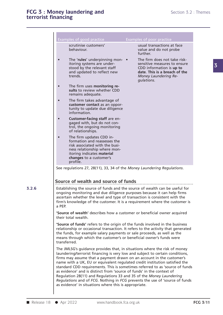| Toney faundering and<br>financing                                                                                                                                                                                                              | Section 5.2 : Themes                                                                                                                                            |
|------------------------------------------------------------------------------------------------------------------------------------------------------------------------------------------------------------------------------------------------|-----------------------------------------------------------------------------------------------------------------------------------------------------------------|
|                                                                                                                                                                                                                                                |                                                                                                                                                                 |
|                                                                                                                                                                                                                                                |                                                                                                                                                                 |
| Examples of good practice                                                                                                                                                                                                                      | <b>Examples of poor practice</b>                                                                                                                                |
| scrutinise customers'<br>behaviour.                                                                                                                                                                                                            | usual transactions at face<br>value and do not probe<br>further.                                                                                                |
| The 'rules' underpinning mon-<br>itoring systems are under-<br>stood by the relevant staff<br>and updated to reflect new<br>trends.                                                                                                            | The firm does not take risk-<br>sensitive measures to ensure<br>CDD information is up to<br>date. This is a breach of the<br>Money Laundering Re-<br>gulations. |
| The firm uses monitoring re-<br>sults to review whether CDD<br>remains adequate.                                                                                                                                                               |                                                                                                                                                                 |
| The firm takes advantage of<br>customer contact as an oppor-<br>tunity to update due diligence<br>information.                                                                                                                                 |                                                                                                                                                                 |
| Customer-facing staff are en-<br>gaged with, but do not con-<br>trol, the ongoing monitoring<br>of relationships.                                                                                                                              |                                                                                                                                                                 |
| The firm updates CDD in-<br>formation and reassesses the<br>risk associated with the busi-<br>ness relationship where mon-<br>itoring indicates material<br>changes to a customer's<br>profile.                                                |                                                                                                                                                                 |
| See regulations 27, 28(11), 33, 34 of the Money Laundering Regulations.                                                                                                                                                                        |                                                                                                                                                                 |
| Source of wealth and source of funds                                                                                                                                                                                                           |                                                                                                                                                                 |
| ongoing monitoring and due diligence purposes because it can help firms<br>ascertain whether the level and type of transaction is consistent with the<br>a PEP.                                                                                | Establishing the source of funds and the source of wealth can be useful for<br>firm's knowledge of the customer. It is a requirement where the customer is      |
| 'Source of wealth' describes how a customer or beneficial owner acquired<br>their total wealth.                                                                                                                                                |                                                                                                                                                                 |
| 'Source of funds' refers to the origin of the funds involved in the business<br>the funds, for example salary payments or sale proceeds, as well as the<br>means through which the customer's or beneficial owner's funds were<br>transferred. | relationship or occasional transaction. It refers to the activity that generated                                                                                |
|                                                                                                                                                                                                                                                |                                                                                                                                                                 |

transferred. "Source of funds" refers to the origin of the funds involved in the business<br>relationship or occasional transaction. It refers to the activity that generated<br>the funds, for example salary payments or sale proceeds, as well relationship or occasional transaction. It refers to the activity that generated<br>the funds, for example salary payments or sale proceeds, as well as the<br>means through which the customer's or beneficial owner's funds were<br>t

Regulation 28(11) and Regulations 33 and 35 of the *Money Laundering<br>
Regulations* and of *FCG*. Nothing in *FCG* prevents the use of 'source of funds<br>
as evidence' in situations where this is appropriate.<br> **FCG 3/11**<br> **FC** the funds, for example salary payments or sale proceeds, as well as the<br>means through which the customer's or beneficial owner's funds were<br>transferred.<br>The JMLSG's guidance provides that, in situations where the risk of m means through which the customer's or beneficial owner's funds were<br>transferred.<br>The JMLSG's guidance provides that, in situations where the risk of money<br>laundering/terrorist financing is very low and subject to certain c transferred.<br>The JMLSG's guidance provides that, in situations where the risk of money<br>laundering/terrorist financing is very low and subject to certain conditions,<br>firms may assume that a payment drawn on an account in th The JMLSG's guidance provides that, in situations where the risk of money<br>laundering/terrorist financing is very low and subject to certain conditions<br>firms may assume that a payment drawn on an account in the customer's<br>n The JMLSG's guidance provides that, in situations where the risk of money<br>laundering/terrorist financing is very low and subject to certain conditions,<br>firms may assume that a payment drawn on an account in the customer's<br> Frame *Regulations* and *Regulations* and *Regulated* creation conditions, firms may assume that a payment drawn on an account in the customer's name with a UK, EU or equivalent regulated credit institution satisfied the s firms may assume that a payment drawn on an acc<br>name with a UK, EU or equivalent regulated credit<br>standard CDD requirements. This is sometimes refe<br>as evidence' and is distinct from 'source of funds' if<br>Regulation 28(11) a

**3.2.6**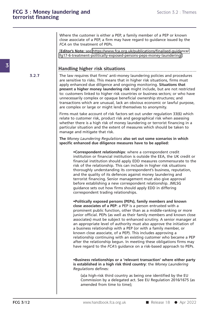Where the customer is either a PEP, a family member of a PEP or known<br>close associate of a PEP, a firm may have regard to guidance issued by the<br>ECA on the treatment of PEPs Where the customer is either a PEP, a family member of a PEP or known<br>close associate of a PEP, a firm may have regard to guidance issued by the<br>FCA on the treatment of PEPs. *FCA* on the treatment is either a PEP, a family member of a PEP or known<br>close associate of a PEP, a firm may have regard to guidance issued by the<br>*FCA* on the treatment of PEPs.<br>[Editor's Note: see https://www.fca.org.u Where the customer is either a PEP, a family member of a PEP or known<br>close associate of a PEP, a firm may have regard to guidance issued by the<br>FCA on the treatment of PEPs.<br>[**Editor's Note**: see https://www.fca.org.uk/pu

fg17-6-treatment-politically-exposed-persons-peps-money-laundering.]

**3.2.7** The law requires that firms' anti-money laundering policies and procedures Fandling higher risk situations<br> **Handling higher risk situations**<br> **Handling higher risk situations**<br> **Handling higher risk situations**<br>
The law requires that firms' anti-money laundering policies and procedures<br>
are sens FallT-6-treatment-politically-exposed-persons-peps-money-laundering.]<br> **Handling higher risk situations**<br>
The law requires that firms' anti-money laundering policies and procedures<br>
are sensitive to risks. This means that **Handling higher risk situations**<br>The law requires that firms' anti-money laundering policies and procedures<br>are sensitive to risks. This means that in higher risk situations, firms must<br>apply enhanced due diligence and on **produced a higher money is a higher money is a higher more vertex**<br>The law requires that firms' anti-money laundering policies and procedures<br>are sensitive to risks. This means that in higher risk situations, firms must<br>a Handlinghigher risk situations<br>The law requires that firms' anti-money laundering policies and procedures<br>are sensitive to risks. This means that in higher risk situations, firms must<br>apply enhanced due diligence and ongo The law requires that firms' anti-money laundering policies and procedures<br>are sensitive to risks. This means that in higher risk situations, firms must<br>apply enhanced due diligence and ongoing monitoring. **Situations that** The law requires that tirms' anti-money laundering policies and procedures<br>are sensitive to risks. This means that in higher risk situations, firms must<br>apply enhanced due diligence and ongoing monitoring. **Situations that** apply enhanced due diligence and ongoing monitoring. **Situations that** present a higher money laundering risk might include, but are not restricted to: customers linked to higher risk countries or business sectors; or who **Firms must take account of risk factors set out under regulation** of restricted to: customers linked to higher risk countries or business sectors; or who have unnecessarily complex or opaque beneficial ownership structure For customers linked to higher risk countries or business sectors; or who have<br>unnecessarily complex or opaque beneficial ownership structures; and<br>transactions which are unusual, lack an obvious economic or lawful purpose

unnecessarily complex or opaque beneficial ownership structures; and<br>transactions which are unusual, lack an obvious economic or lawful purpose,<br>are complex or large or might lend themselves to anonymity.<br>Firms must take a marreactions which are unusual, lack an obvious economic or lawful purpose,<br>are complex or large or might lend themselves to anonymity.<br>Firms must take account of risk factors set out under regulation 33(6) which<br>relate to are complex or large or might lend themselves to anonymity.<br>Firms must take account of risk factors set out under regulation 33(6) which<br>relate to customer risk, product risk and geographical risk when assessing<br>whether th Firms must take account of risk factors set out under regulation 33(6) which relate to customer risk, product risk and geographical risk when assessing whether there is a high risk of money laundering or terrorist financin **Specific enhanced due diligence measures have to be applied:**<br> **Specifical right** studient there is a high risk of money laundering or terrorist financing in a particular situation and the extent of measures which should

Institution or financial institutions also set out some scenarios in which<br>then thanced due diligence measures have to be applied:<br>
•Correspondent relationships: where a correspondent credit<br>
institution or financial insti Final imagine measures also set out some scenarios in which<br>
enhanced due diligence measures have to be applied:<br>
•Correspondent relationships: where a correspondent credit<br>
institution or financial institution is outside risk *numering Regulations* also set out some scenarios in which<br>
enhanced due diligence measures have to be applied:<br>
•Correspondent relationships: where a correspondent credit<br>
institution or financial institution is out enhanced due diligence measures have to be applied:<br>•Correspondent relationships: where a correspondent credit<br>institution or financial institution is outside the EEA, the UK credit or<br>financial institution should apply ED •Correspondent relationships: where a correspondent credit institution or financial institution is outside the EEA, the UK credit or financial institution should apply EDD measures commensurate to the risk of the relations •Correspondent relationships: where a correspondent credit institution or financial institution is outside the EEA, the UK credit or financial institution should apply EDD measures commensurate to the risk of the relation institution or financial institution is outside the EEA, the UK credit or<br>financial institution should apply EDD measures commensurate to the<br>risk of the relationship. This can include in higher risk situations<br>thoroughly financial institution should apply EDD measures commensurate to the<br>risk of the relationship. This can include in higher risk situations<br>thoroughly understanding its correspondent's business, reputation,<br>and the quality of risk of the relationship. This can include in higher risk situations<br>thoroughly understanding its correspondent's business, reputation,<br>and the quality of its defences against money laundering and<br>terrorist financing. Seni **contains and the symbol symbol set as a periodic set soutiding a new correspondent relationship. JMLSG**<br> **contained sets out how firms should apply EDD in differing**<br> **correspondent trading relationships.**<br> **ePolitically** 

before establishing a new correspondent relationship. JMLSG<br>guidance sets out how firms should apply EDD in differing<br>correspondent trading relationships.<br><br>**•Politically exposed persons (PEPs), family members and known<br>clo** guidance sets out how firms should apply EDD in differing<br>correspondent trading relationships.<br>
• Politically exposed persons (PEPs), family members and known<br>
close associates of a PEP: a PEP is a person entrusted with a<br> correspondent trading relationships.<br>
• Politically exposed persons (PEPs), family members and known<br>
close associates of a PEP: a PEP is a person entrusted with a<br>
prominent public function, other than as a middle-ranking •Politically exposed persons (PEPs), family members and known<br>close associates of a PEP: a PEP is a person entrusted with a<br>prominent public function, other than as a middle-ranking or more<br>junior official. PEPs (as well a •Politically exposed persons (PEPs), family members and known close associates of a PEP: a PEP is a person entrusted with a prominent public function, other than as a middle-ranking or more junior official. PEPs (as well a relationship continuing with an existing customer who became a PEP after the relationship begun. In meeting these obligations firms may prominent public function, other than as a middle-ranking or more<br>junior official. PEPs (as well as their family members and known close<br>associates) must be subject to enhanced scrutiny. A senior manager at<br>an appropriate junior official. PEPs (as well as their family members and known close<br>associates) must be subject to enhanced scrutiny. A senior manager at<br>an appropriate level of authority must also approve the initiation of<br>a business associates) must be subject to enhanced scrutiny. A senior manager at<br>an appropriate level of authority must also approve the initiation of<br>a business relationship with a PEP (or with a family member, or<br>known close associ **Example 19 System Constant Constant Constant Constant Constant Constant Constant Telationship continuing with an existing customer who became a PEP after the relationship begun. In meeting these obligations firms may have** 

relationship continuing with an existing customer who became a PEP<br>after the relationship begun. In meeting these obligations firms may<br>have regard to the *FCA's* guidance on a risk-based approach to PEPs.<br>•**Business relat** *Regulations* defines: (a)a high-risk third country: the Money Laundering<br>
(a)a high-risk third country: the Money Laundering<br>
(a)a high-risk third country as being one identified by the EU<br>
Commission by a delegated act. See EU Regulation 2016/ iness relationships or a 'relevant transaction' where either party<br>tablished in a high risk third country: the *Money Laundering*<br>ulations defines:<br>(a)a high-risk third country as being one identified by the EU<br>Commission Frankington a "Televatablished in a high risk third<br>alations defines:<br>(a)a high-risk third country as<br>Commission by a delegated a amended from time to time);

**FCG 3/12** WWW.handbook.fca.org.uk<br>
THE Release 18 ● Apr 2022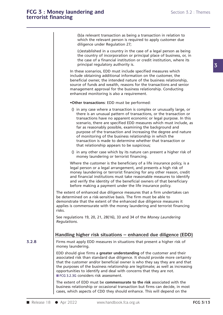Section 3.2 : Them<br>
(b)a relevant transaction as being a transaction in relation to<br>
which the relevant person is required to apply customer due<br>
diligence under Requistion 27: Section 5.2 : The<br>(b)a relevant transaction as being a transaction in relation to<br>which the relevant person is required to apply customer due<br>diligence under Regulation 27; (b)a relevant transaction as being a<br>which the relevant person is require<br>diligence under Regulation 27;<br>(c)established in a country in the cas (b)a relevant transaction as being a transaction in relation to<br>which the relevant person is required to apply customer due<br>diligence under Regulation 27;<br>(c)established in a country in the case of a legal person as being<br>

(b)a relevant transaction as being a transaction in relation to<br>which the relevant person is required to apply customer due<br>diligence under Regulation 27;<br>(c)established in a country in the case of a legal person as being (b)a relevant transaction as being a transaction in relation to<br>which the relevant person is required to apply customer due<br>diligence under Regulation 27;<br>(c)established in a country in the case of a legal person as being<br> which the relevant person is required<br>diligence under Regulation 27;<br>(c)established in a country in the case<br>the country of incorporation or princi<br>the case of a financial institution or c<br>principal regulatory authority is diligence under Regulation 2/;<br>
(c)established in a country in the case of a legal person as being<br>
the country of incorporation or principal place of business, or, in<br>
the case of a financial institution or credit institu (c)established in a country in the case of a legal person as being<br>the country of incorporation or principal place of business, or, in<br>the case of a financial institution or credit institution, where its<br>principal regulato

the country of incorporation or principal place of business, or, in<br>the case of a financial institution or credit institution, where its<br>principal regulatory authority is.<br>In these scenarios, EDD must include specified mea the case of a financial institution or credit institution, where its<br>principal regulatory authority is.<br>In these scenarios, EDD must include specified measures which<br>include obtaining additional information on the customer principal regulatory authority is.<br>In these scenarios, EDD must include specified measures which<br>include obtaining additional information on the customer, the<br>beneficial owner, the intended nature of the business relations In these scenarios, EDD must include specified measinclude obtaining additional information on the cultum be performed:<br>
• Source of funds and wealth, reasons for the transactionship<br>
• The pusiness relationship<br>
• The pus ource of funds and wealth, reasons for the transactions and senior<br>nanagement approval for the business relationship. Conducting<br>inhanced monitoring is also a requirement.<br>**Other transactions:** EDD must be performed:<br>() in

- 
- There is an unusual for the business relationship. Conducting<br>
there transactions: EDD must be performed:<br>
in any case where a transaction is complex or unusually large, or<br>
there is an unusual pattern of transactions, or anced monitoring is also a requirement.<br> **her transactions:** EDD must be performed:<br>
in any case where a transaction is complex or unusually large, or<br>
there is an unusual pattern of transactions, or the transaction or<br>
tr her transactions: EDD must be performed:<br>in any case where a transaction is complex or unusually large, or<br>there is an unusual pattern of transactions, or the transaction or<br>transactions have no apparent economic or legal her transactions: EDD must be performed:<br>in any case where a transaction is complex or unusually large, or<br>there is an unusual pattern of transactions, or the transaction or<br>transactions have no apparent economic or legal in any case where a transaction is complex or unusually large, or<br>there is an unusual pattern of transactions, or the transaction or<br>transactions have no apparent economic or legal purpose. In this<br>scenario, there are spec () in any case where a transaction is complex or unusually large, or there is an unusual pattern of transactions, or the transaction or transactions have no apparent economic or legal purpose. In this scenario, there are s there is an unusual pattern of transactions, or the transaction or<br>transactions have no apparent economic or legal purpose. In this<br>scenario, there are specified EDD measures which must include, as<br>far as reasonably possib far as reasonably possible, examining the background and<br>purpose of the transaction and increasing the degree and nature<br>of monitoring of the business relationship in which the<br>transaction is made to determine whether that far as reasonably possible, examining the background and<br>purpose of the transaction and increasing the degree and nature<br>of monitoring of the business relationship in which the<br>transaction is made to determine whether that of monitoring of the business relationship in which the<br>transaction is made to determine whether that transaction or<br>that relationship appears to be suspicious;<br>() in any other case which by its nature can present a higher
- transaction is made to determine whether that transaction or<br>that relationship appears to be suspicious;<br>() in any other case which by its nature can present a higher risk<br>money laundering or terrorist financing.<br>Where the

money laundering or terrorist financing for any other reason, credit and financial institutions must take reasonable measures to identify that relationship appears to be suspicious;<br>
() in any other case which by its nature can present a higher risk of<br>
money laundering or terrorist financing.<br>
Where the customer is the beneficiary of a life insurance policy () in any other case which by its nature can present a higher risk of<br>money laundering or terrorist financing.<br>Where the customer is the beneficiary of a life insurance policy, is a<br>legal person or a legal arrangement, and money laundering or terrorist financing.<br>
Where the customer is the beneficiary of a life insurance policy, is a<br>
legal person or a legal arrangement, and presents a high risk of<br>
money laundering or terrorist financing fo Where the customer is the beneficiary of a life insurance policy, is a legal person or a legal arrangement, and presents a high risk of money laundering or terrorist financing for any other reason, credit and financial ins I legal person or a legal arrangement, and presents a high risk of<br>money laundering or terrorist financing for any other reason, credit<br>and financial institutions must take reasonable measures to identify<br>and verify the id money laundering or terrorist financing for any other reason, credit<br>and financial institutions must take reasonable measures to identify<br>and verify the identity of the beneficial owners of that beneficiary<br>before making a

and financial institutions must take reasonable measures to identify<br>and verify the identity of the beneficial owners of that beneficiary<br>before making a payment under the life insurance policy.<br>The extent of enhanced due and verify the identity of the beneficial owners of that beneficiary<br>before making a payment under the life insurance policy.<br>The extent of enhanced due diligence measures that a firm undertakes can<br>be determined on a risk risks. The extent of enhanced due diligence measures that a firm undertakes can<br>be determined on a risk-sensitive basis. The firm must be able to<br>demonstrate that the extent of the enhanced due diligence measures it<br>applies is co **Regulations** 19, 20, 21, 28(16), 33 and 34 of the *Money Laundering*<br>**Regulations**. **Handling higher risk situations** – **enhanced due diligence (EDD)**<br>**Handling higher risk situations – enhanced due diligence (EDD)**<br>Firms

**3.2.8** Firms must apply EDD measures in situations that present a higher risk of **.....................................................................................................** Firms must apply EDD measures in situations that present a higher risk of money and the segulations.<br>
Handling higher risk<br>
Firms must apply EDD m<br>
money laundering.<br>
EDD should give firms a

**Handling higher risk situations – enhanced due diligence (EDD)**<br>Firms must apply EDD measures in situations that present a higher risk of<br>money laundering.<br>EDD should give firms a **greater understanding** of the customer a Handling higher risk situations – enhanced due diligence (EDD)<br>Firms must apply EDD measures in situations that present a higher risk of<br>money laundering.<br>EDD should give firms a **greater understanding** of the customer and Handling nigher risk situations — ennanced due diligence (EDD)<br>Firms must apply EDD measures in situations that present a higher risk of<br>money laundering.<br>EDD should give firms a **greater understanding** of the customer an Firms must apply EDD measures in situations that present a higher risk of<br>money laundering.<br>EDD should give firms a **greater understanding** of the customer and their<br>associated risk than standard due diligence. It should p **EDD** should give firms a **greater understanding** of the customer and the associated risk than standard due diligence. It should provide more certa that the customer and/or beneficial owner is who they say they are and the EDD should give firms a **greater understan**<br>associated risk than standard due diligence<br>that the customer and/or beneficial owner<br>the purposes of the business relationship a<br>opportunities to identify and deal with contract associated risk than standard due diligence. It should provide more certainty<br>that the customer and/or beneficial owner is who they say they are and that<br>the purposes of the business relationship are legitimate; as well as that the customer and/or beneficial owner is who they say they are and that<br>the purposes of the business relationship are legitimate; as well as increasing<br>opportunities to identify and deal with concerns that they are not that the customer and/or beneficial owner is who they say they are and that<br>the purposes of the business relationship are legitimate; as well as increasing<br>opportunities to identify and deal with concerns that they are not

■ FCG 3.2.3G considers risk assessment.<br>
The extent of EDD must be **commensurate to the risk** associated with the<br>
business relationship or occasional transaction but firms can decide, in most<br>
cases, which aspects of CDD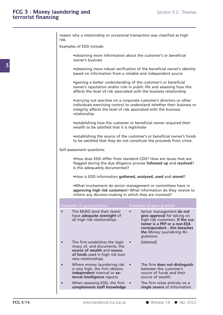| risk. | reason why a relationship or occasional transaction was classified as high                                                                                |                                                                                                                                                                                                                                   |
|-------|-----------------------------------------------------------------------------------------------------------------------------------------------------------|-----------------------------------------------------------------------------------------------------------------------------------------------------------------------------------------------------------------------------------|
|       | Examples of EDD include:                                                                                                                                  |                                                                                                                                                                                                                                   |
|       | owner's business                                                                                                                                          | • obtaining more information about the customer's or beneficial                                                                                                                                                                   |
|       |                                                                                                                                                           | .obtaining more robust verification of the beneficial owner's identity<br>based on information from a reliable and independent source                                                                                             |
|       |                                                                                                                                                           | •gaining a better understanding of the customer's or beneficial<br>owner's reputation and/or role in public life and assessing how this<br>affects the level of risk associated with the business relationship                    |
|       | relationship                                                                                                                                              | • carrying out searches on a corporate customer's directors or other<br>individuals exercising control to understand whether their business or<br>integrity affects the level of risk associated with the business                |
|       | wealth to be satisfied that it is legitimate                                                                                                              | • establishing how the customer or beneficial owner acquired their                                                                                                                                                                |
|       |                                                                                                                                                           | • establishing the source of the customer's or beneficial owner's funds<br>to be satisfied that they do not constitute the proceeds from crime.                                                                                   |
|       | Self-assessment questions:                                                                                                                                |                                                                                                                                                                                                                                   |
|       | Is this adequately documented?                                                                                                                            | . How does EDD differ from standard CDD? How are issues that are<br>flagged during the due diligence process followed up and resolved?                                                                                            |
|       |                                                                                                                                                           | .How is EDD information gathered, analysed, used and stored?                                                                                                                                                                      |
|       | inform any decision-making in which they are involved?                                                                                                    | .What involvement do senior management or committees have in<br>approving high risk customers? What information do they receive to                                                                                                |
|       |                                                                                                                                                           |                                                                                                                                                                                                                                   |
|       |                                                                                                                                                           |                                                                                                                                                                                                                                   |
|       | Examples of good practice<br>The MLRO (and their team)<br>have adequate oversight of<br>all high risk relationships.                                      | Examples of poor practice<br>Senior management do not<br>give approval for taking on<br>high risk customers. If the cus-<br>tomer is a PEP or a non-EEA<br>correspondent, this breaches<br>the Money Laundering Re-<br>gulations. |
|       | The firm establishes the legit-<br>imacy of, and documents, the<br>source of wealth and source<br>of funds used in high risk busi-<br>ness relationships. | [deleted]                                                                                                                                                                                                                         |
|       | Where money laundering risk<br>is very high, the firm obtains<br>independent internal or ex-<br>ternal intelligence reports.                              | The firm does not distinguish<br>between the customer's<br>source of funds and their<br>source of wealth.                                                                                                                         |
|       | When assessing EDD, the firm $\bullet$<br>complements staff knowledge                                                                                     | The firm relies entirely on a<br>single source of information                                                                                                                                                                     |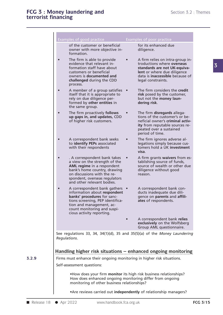|           | <b>Examples of good practice</b>                                                                                                                                                                                          |           | Examples of poor practice                                                                                                                                                              |  |
|-----------|---------------------------------------------------------------------------------------------------------------------------------------------------------------------------------------------------------------------------|-----------|----------------------------------------------------------------------------------------------------------------------------------------------------------------------------------------|--|
|           | of the customer or beneficial<br>owner with more objective in-<br>formation.                                                                                                                                              |           | for its enhanced due<br>diligence.                                                                                                                                                     |  |
| $\bullet$ | The firm is able to provide<br>evidence that relevant in-<br>formation staff have about<br>customers or beneficial<br>owners is documented and<br>challenged during the CDD<br>process.                                   | $\bullet$ | A firm relies on intra-group in-<br>troductions where overseas<br>standards are not UK-equiva-<br>lent or where due diligence<br>data is inaccessible because of<br>legal constraints. |  |
| $\bullet$ | A member of a group satisfies •<br>itself that it is appropriate to<br>rely on due diligence per-<br>formed by other entities in<br>the same group.                                                                       |           | The firm considers the credit<br>risk posed by the customer,<br>but not the money laun-<br>dering risk.                                                                                |  |
| $\bullet$ | The firm proactively follows<br>up gaps in, and updates, CDD<br>of higher risk customers.                                                                                                                                 |           | The firm disregards allega-<br>tions of the customer's or be-<br>neficial owner's criminal activ-<br>ity from reputable sources re-<br>peated over a sustained<br>period of time.      |  |
| $\bullet$ | A correspondent bank seeks<br>to identify PEPs associated<br>with their respondents                                                                                                                                       |           | The firm ignores adverse al-<br>legations simply because cus-<br>tomers hold a UK investment<br>visa.                                                                                  |  |
| $\bullet$ | . A correspondent bank takes<br>a view on the strength of the<br>AML regime in a respondent<br>bank's home country, drawing<br>on discussions with the re-<br>spondent, overseas regulators<br>and other relevant bodies. | $\bullet$ | A firm grants waivers from es-<br>tablishing source of funds,<br>source of wealth or other due<br>diligence without good<br>reason.                                                    |  |
| $\bullet$ | A correspondent bank gathers •<br>information about respondent<br>banks' procedures for sanc-<br>tions screening, PEP identifica-<br>tion and management, ac-<br>count monitoring and suspi-<br>cious activity reporting. |           | A correspondent bank con-<br>ducts inadequate due dili-<br>gence on parents and affili-<br>ates of respondents.                                                                        |  |
|           |                                                                                                                                                                                                                           |           | A correspondent bank relies<br>exclusively on the Wolfsberg<br>Group AML questionnaire.                                                                                                |  |
|           | See regulations 33, 34, 34(1)(d), 35 and 35(5)(a) of the Money Laundering<br>Regulations.                                                                                                                                 |           |                                                                                                                                                                                        |  |
|           | Handling higher risk situations - enhanced ongoing monitoring<br>Firms must enhance their ongoing monitoring in higher risk situations.                                                                                   |           |                                                                                                                                                                                        |  |
|           | Self-assessment questions:                                                                                                                                                                                                |           |                                                                                                                                                                                        |  |
|           | . How does your firm monitor its high risk business relationships?<br>How does enhanced ongoing monitoring differ from ongoing<br>monitoring of other business relationships?                                             |           |                                                                                                                                                                                        |  |
|           | • Are reviews carried out independently of relationship managers?                                                                                                                                                         |           |                                                                                                                                                                                        |  |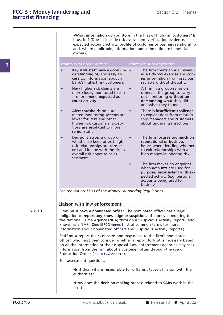**incept of the Section 3.2** : Themes<br>
•What **information** do you store in the files of high risk customers? Is<br>
it useful? (Does it include risk assessment, verification evidence, **if useful?** (Does it include risk assessment, verification evidence,<br>expected account activity, profile of customer or business relationship<br>and where annlicable information about the ultimate beneficial What **information** do you store in the files of high risk customers? Is<br>it useful? (Does it include risk assessment, verification evidence,<br>expected account activity, profile of customer or business relationship<br>and, where • What information do you store in the files of high risk customers? Is it useful? (Does it include risk assessment, verification evidence, expected account activity, profile of customer or business relationship and, where owner?) Final II (Does it include risk assessment, verification evidence,<br>
it useful? (Does it include risk assessment, verification evidence,<br>
expected account activity, profile of customer or business relationshi<br>
and, where app and, where applicable, information about the ultimate beneficial

| Examples of good practice                                                                                                                                                                                                                                                                                                                            | <b>Examples of poor practice</b>                                                                                                                                       |
|------------------------------------------------------------------------------------------------------------------------------------------------------------------------------------------------------------------------------------------------------------------------------------------------------------------------------------------------------|------------------------------------------------------------------------------------------------------------------------------------------------------------------------|
| Key AML staff have a good un-<br>derstanding of, and easy ac-<br>cess to, information about a<br>bank's highest risk customers.                                                                                                                                                                                                                      | The firm treats annual reviews<br>as a tick-box exercise and cop-<br>ies information from previous<br>reviews without thought.                                         |
| New higher risk clients are<br>more closely monitored to con-<br>firm or amend expected ac-<br>count activity.                                                                                                                                                                                                                                       | A firm in a group relies on<br>others in the group to carry<br>out monitoring without un-<br>derstanding what they did<br>and what they found.                         |
| Alert thresholds on auto-<br>mated monitoring systems are<br>lower for PEPs and other<br>higher risk customers. Excep-<br>tions are escalated to more<br>senior staff.                                                                                                                                                                               | There is insufficient challenge<br>to explanations from relation-<br>ship managers and customers<br>about unusual transactions.                                        |
| Decisions across a group on<br>whether to keep or exit high<br>risk relationships are consist-<br>ent and in line with the firm's<br>overall risk appetite or as-<br>sessment.                                                                                                                                                                       | The firm focuses too much on<br>reputational or business<br>issues when deciding whether<br>to exit relationships with a<br>high money laundering risk.                |
|                                                                                                                                                                                                                                                                                                                                                      | The firm makes no enquiries<br>when accounts are used for<br>purposes inconsistent with ex-<br>pected activity (e.g. personal<br>accounts being used for<br>business). |
| See regulation 33(1) of the Money Laundering Regulations.                                                                                                                                                                                                                                                                                            |                                                                                                                                                                        |
|                                                                                                                                                                                                                                                                                                                                                      |                                                                                                                                                                        |
| Liaison with law enforcement<br>Firms must have a nominated officer. The nominated officer has a legal<br>obligation to report any knowledge or suspicions of money laundering to<br>the National Crime Agency (NCA) through a 'Suspicious Activity Report', also<br>known as a 'SAR'. (See ■FCG Annex 1 list of common terms for more               |                                                                                                                                                                        |
| information about nominated officers and Suspicious Activity Reports.)                                                                                                                                                                                                                                                                               |                                                                                                                                                                        |
| Staff must report their concerns and may do so to the firm's nominated<br>officer, who must then consider whether a report to NCA is necessary based<br>on all the information at their disposal. Law enforcement agencies may seek<br>information from the firm about a customer, often through the use of<br>Production Orders (see ■FCG Annex 1). |                                                                                                                                                                        |
| Self-assessment questions:                                                                                                                                                                                                                                                                                                                           |                                                                                                                                                                        |

**FCG 3/16** www.handbook.fca.org.uk ■ Release 18 ● Apr 2022 **EXECUTE CONSERVISHED**<br>
• Is it clear who is **responsible** for different types of liaison with the authorities?<br>
• How does the **decision-making** process related to **SARs** work in the firm? firm?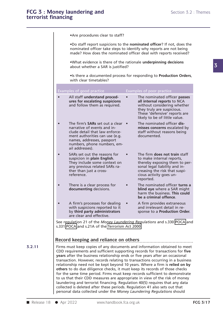|            |                 | •Are procedures clear to staff?                                                                                                                                                                                                                                                                                                                                                                                                                                                                                                                                                                                                                                                                                                                                                                                                                                                             |           |                                                                                                                                                                                                       |                 |
|------------|-----------------|---------------------------------------------------------------------------------------------------------------------------------------------------------------------------------------------------------------------------------------------------------------------------------------------------------------------------------------------------------------------------------------------------------------------------------------------------------------------------------------------------------------------------------------------------------------------------------------------------------------------------------------------------------------------------------------------------------------------------------------------------------------------------------------------------------------------------------------------------------------------------------------------|-----------|-------------------------------------------------------------------------------------------------------------------------------------------------------------------------------------------------------|-----------------|
|            |                 | nominated officer take steps to identify why reports are not being                                                                                                                                                                                                                                                                                                                                                                                                                                                                                                                                                                                                                                                                                                                                                                                                                          |           | .Do staff report suspicions to the nominated officer? If not, does the<br>made? How does the nominated officer deal with reports received?                                                            |                 |
|            |                 | .What evidence is there of the rationale underpinning decisions<br>about whether a SAR is justified?                                                                                                                                                                                                                                                                                                                                                                                                                                                                                                                                                                                                                                                                                                                                                                                        |           |                                                                                                                                                                                                       |                 |
|            |                 | with clear timetables?                                                                                                                                                                                                                                                                                                                                                                                                                                                                                                                                                                                                                                                                                                                                                                                                                                                                      |           | . Is there a documented process for responding to Production Orders,                                                                                                                                  |                 |
|            |                 | Examples of good practice                                                                                                                                                                                                                                                                                                                                                                                                                                                                                                                                                                                                                                                                                                                                                                                                                                                                   |           | Examples of poor practice                                                                                                                                                                             |                 |
|            | $\bullet$       | All staff understand proced-<br>ures for escalating suspicions<br>and follow them as required.                                                                                                                                                                                                                                                                                                                                                                                                                                                                                                                                                                                                                                                                                                                                                                                              | $\bullet$ | The nominated officer passes<br>all internal reports to NCA<br>without considering whether<br>they truly are suspicious.<br>These 'defensive' reports are<br>likely to be of little value.            |                 |
|            | $\bullet$       | The firm's SARs set out a clear .<br>narrative of events and in-<br>clude detail that law enforce-<br>ment authorities can use (e.g.<br>names, addresses, passport<br>numbers, phone numbers, em-<br>ail addresses).                                                                                                                                                                                                                                                                                                                                                                                                                                                                                                                                                                                                                                                                        |           | The nominated officer dis-<br>misses concerns escalated by<br>staff without reasons being<br>documented.                                                                                              |                 |
|            | $\bullet$       | SARs set out the reasons for<br>suspicion in plain English.<br>They include some context on<br>any previous related SARs ra-<br>ther than just a cross-<br>reference.                                                                                                                                                                                                                                                                                                                                                                                                                                                                                                                                                                                                                                                                                                                       |           | The firm does not train staff<br>to make internal reports,<br>thereby exposing them to per-<br>sonal legal liability and in-<br>creasing the risk that suspi-<br>cious activity goes un-<br>reported. |                 |
|            | $\bullet$       | There is a clear process for<br>documenting decisions.                                                                                                                                                                                                                                                                                                                                                                                                                                                                                                                                                                                                                                                                                                                                                                                                                                      |           | The nominated officer turns a<br>blind eye where a SAR might<br>harm the business. This could<br>be a criminal offence.                                                                               |                 |
|            | $\bullet$       | A firm's processes for dealing<br>with suspicions reported to it<br>by third party administrators<br>are clear and effective.                                                                                                                                                                                                                                                                                                                                                                                                                                                                                                                                                                                                                                                                                                                                                               | $\bullet$ | A firm provides extraneous<br>and irrelevant detail in re-<br>sponse to a Production Order.                                                                                                           |                 |
|            |                 | See regulation 21 of the Money Laundering Regulations and s.330 POCA and<br>s.331 POCA and s.21A of the Terrorism Act 2000.                                                                                                                                                                                                                                                                                                                                                                                                                                                                                                                                                                                                                                                                                                                                                                 |           |                                                                                                                                                                                                       |                 |
|            |                 | Record keeping and reliance on others                                                                                                                                                                                                                                                                                                                                                                                                                                                                                                                                                                                                                                                                                                                                                                                                                                                       |           |                                                                                                                                                                                                       |                 |
| 3.2.11     |                 | Firms must keep copies of any documents and information obtained to meet<br>CDD requirements and sufficient supporting records for transactions for five<br>years after the business relationship ends or five years after an occasional<br>transaction. However, records relating to transactions occurring in a business<br>relationship need not be kept beyond 10 years. Where a firm is relied on by<br>others to do due diligence checks, it must keep its records of those checks<br>for the same time period. Firms must keep records sufficient to demonstrate<br>to us that their CDD measures are appropriate in view of the risk of money<br>laundering and terrorist financing. Regulation 40(5) requires that any data<br>collected is deleted after these periods. Regulation 41 also sets out that<br>personal data collected under the Money Laundering Regulations should |           |                                                                                                                                                                                                       |                 |
| Release 18 | $\rho$ Apr 2022 | www.handbook.fca.org.uk                                                                                                                                                                                                                                                                                                                                                                                                                                                                                                                                                                                                                                                                                                                                                                                                                                                                     |           |                                                                                                                                                                                                       | <b>FCG 3/17</b> |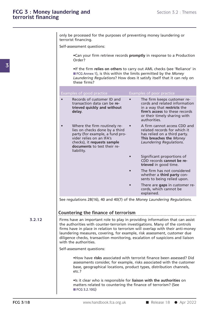**ndering and**<br>Section 3.2 : Themes<br>only be processed for the purposes of preventing money laundering or<br>terrorist financing. only be processed for the purposes of preventing money laundering or terrorist financing.<br>Self-assessment questions: Self-assessment questions:<br>Self-assessment questions:<br>
•Can your firm retrieve records **promptly** in response to a Production<br>
Order?

Order?

•Can your firm retrieve records **promptly** in response to a Production<br>
Order?<br>
•If the firm **relies on others** to carry out AML checks (see 'Reliance' in<br>
•If connex 1), is this within the limits permitted by the *Money*<br> ■ FCCC Analysis of the firm retrieve records **promptly** in response to a Production<br>
Order?<br>
■ FCG Annex 1), is this within the limits permitted by the *Money*<br>
Laundering Regulations? How does it satisfy itself that it c •Can your firm retrieve records **promptly** in response to a Production<br>Order?<br>•If the firm relies on others to carry out AML checks (see 'Reliance' in<br>FCG Annex 1), is this within the limits permitted by the *Money*<br>Launde •Can your firm retriev<br>Order?<br>•If the firm relies on<br>■FCG Annex 1), is this<br>*Laundering Regulatio*<br>these firms? • If the firm relies on others to carry out AML checks (see 'Reliance' in FCG Annex 1), is this within the limits permitted by the *Money*<br> *Laundering Regulations*? How does it satisfy itself that it can rely on<br>
these fi

| Examples of good practice                                                                                                                                                                                 | Examples of poor practice                                                                                                                                                     |
|-----------------------------------------------------------------------------------------------------------------------------------------------------------------------------------------------------------|-------------------------------------------------------------------------------------------------------------------------------------------------------------------------------|
| Records of customer ID and<br>transaction data can be re-<br>trieved quickly and without<br>delay.                                                                                                        | The firm keeps customer re-<br>cords and related information<br>in a way that restricts the<br>firm's access to these records<br>or their timely sharing with<br>authorities. |
| Where the firm routinely re-<br>lies on checks done by a third<br>party (for example, a fund pro-<br>vider relies on an IFA's<br>checks), it requests sample<br>documents to test their re-<br>liability. | A firm cannot access CDD and<br>related records for which it<br>has relied on a third party.<br>This breaches the Money<br>Laundering Regulations.                            |
|                                                                                                                                                                                                           | Significant proportions of<br>CDD records cannot be re-<br>trieved in good time.                                                                                              |
|                                                                                                                                                                                                           | The firm has not considered<br>whether a third party con-<br>sents to being relied upon.                                                                                      |
|                                                                                                                                                                                                           | There are gaps in customer re-<br>cords, which cannot be<br>explained.                                                                                                        |
| See regulations 28(16), 40 and 40(7) of the Money Laundering Regulations.                                                                                                                                 |                                                                                                                                                                               |
|                                                                                                                                                                                                           |                                                                                                                                                                               |
| Countering the finance of terrorism                                                                                                                                                                       |                                                                                                                                                                               |
| Firms have an important role to play in providing information that can assist<br>the authorities with counter-terrorism investigations. Many of the controls                                              | firms have in place in relation to terrorism will overlap with their anti-money                                                                                               |

**3.2.12** Firms have an important role to play in providing information that can assi<br>the authorities with counter-terrorism investigations. Many of the controls See regulations 28(16), 40 and 40(7) of the *Money Laundering Regulations*.<br> **Countering the finance of terrorism**<br>
Firms have an important role to play in providing information that can assist<br>
the authorities with counte **Countering the finance of terrorism**<br>Firms have an important role to play in providing information that can assist<br>the authorities with counter-terrorism investigations. Many of the controls<br>firms have in place in relatio **Countering the finance of terrorism**<br>Firms have an important role to play in providing information that can assist<br>the authorities with counter-terrorism investigations. Many of the controls<br>firms have in place in relatio Countering the finance of terrorism<br>Firms have an important role to play in providing information that can assist<br>the authorities with counter-terrorism investigations. Many of the controls<br>firms have in place in relation Firms have an important r<br>Firms have an important r<br>the authorities with count<br>firms have in place in rela<br>laundering measures, cove<br>diligence checks, transacti<br>with the authorities.<br>Self-assessment questions: The authorities with counter-terrorism investigations. Many of the controls<br>firms have in place in relation to terrorism will overlap with their anti-money<br>laundering measures, covering, for example, risk assessment, custo Iaundering measures, covering, for example, risk assessment, customer due<br>diligence checks, transaction monitoring, escalation of suspicions and liaison<br>with the authorities.<br>Self-assessment questions:<br>How have risks assoc

Base, and the extend of the extending the authorities.<br> **Externe the extending terms** extend assessments consider, for example, risks associated with the customer<br>
base, geographical locations, product types, distribution etc.? •How have **risks** associated with terrorist finance been assessed? Did<br>assessments consider, for example, risks associated with the customer<br>base, geographical locations, product types, distribution channels,<br>etc.?<br>•Is it • How have risks associated with terrorist finance been assessed? Did<br>assessments consider, for example, risks associated with the customer<br>base, geographical locations, product types, distribution channels,<br>etc.?<br>• Is it

**FCG 3/18** WWW.handbook.fca.org.uk ■ Release 18 ● Apr 2022<br>
■ Release 18 ● Apr 2022 base, geographical locations, product types, distribution channels,<br>etc.?<br>
■ FCG 3.2.10G) • Si it clear who is responsible for **liaison with the authorities** on<br>
matters related to countering the finance of terrorism? (Se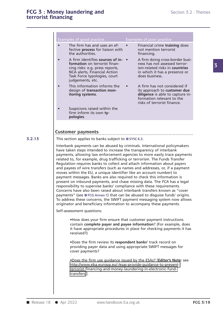- Examples of good practice Examples of poor practice Examples of good practice<br>
• The firm has and uses an ef-<br>
• Financial crime **training** does<br>
fective **process** for liaison with<br>
the authorities.<br>
the authorities. Examples of good practice<br>
• The firm has and uses an ef-<br>
• Financial crime **training** does<br>
fective **process** for liaison with<br>
the authorities.<br>
• A firm identifies **sources of in-**<br>
• A firm doing cross-border busi-<br>
- The firm has and uses an ef-<br>
fective **process** for liaison with<br>
the authorities.<br>
A firm identifies **sources of in-**<br>
A firm doing cross-border busi-<br> **formation** on terrorist finan-<br>
cing risks: e.g. press reports,<br>
NCA Fective **process** for liaison with the authorities.<br>
The authorities sources of in-<br>
A firm identifies sources of in-<br> **CA firm doing cross-court of the authority of a** firm doing cross-<br>
Formation on terrorist finan-<br>
In the authorities.<br>
• A firm identifies **sources of in** • A firm doing cross-border busi-<br> **6. formation** on terrorist finan-<br>
ense has not assessed terror-<br>
cing risks: e.g. press reports,<br>
NCA alerts, Financial Action<br>
Tas **Formation** on terrorist finan-<br>
cing risks: e.g. press reports,<br>
NCA alerts, Financial Action<br>
Task Force typologies, court<br>
in which it has a presence or<br>
Task Force typologies, court<br>
judgements, etc.<br>
This information
- This information informs the<br>design of **transaction mon-<br>itoring systems**.<br>Suspicions raised within the<br>firm inform its own **ty-pologies**.
- 

- Fective process for liaison with<br> **Fective process for liaison with**<br> **Fective process for liaison with**<br> **Fective process for liaison with**<br> **Fective process for liaison with**<br> **Fective authorities.**
- **Formation** of good practice<br> **Formation** on terrorist<br> **formation** on terrorist<br> **formation** on terrorist finan-<br> **formation** on terrorist finan-<br> **formation** on terrorist finan-<br> **formation** on terrorist finan-<br> **formati** The firm has and uses an ef-<br>
fective **process** for liaison with<br>
the authorities.<br>
A firm identifies **sources of in-**<br> **Countries**<br>
A firm dentifies **sources of in-**<br> **Countries**<br> **Countries**<br>
NCA alerts, Financial Action
- ing risks: e.g. press reports,<br>
NCA alerts, Financial Action<br>
Task Force typologies, court<br>
in which it has a presence or<br>
Task Force typologies, court<br>
idgements, etc.<br>
This information informs the<br>
design of **transaction** in which it has a presence or<br>does business.<br>A firm has not considered if<br>its approach to **customer due<br>diligence** is able to capture in-<br>formation relevant to the<br>risks of terrorist finance. Task Force typologies, court does business.<br>
judgements, etc.<br>
• This information informs the direction in the discussed in the discussions of transaction mon-<br>
its approach to customer due<br>
diligence is able to capture in

**3.2.13** This section applies to banks subject to SYSC 6.3.

**profination relevant to the**<br> **pologies**.<br> **examples customer payments**<br> **Customer payments**<br> **Customer payments**<br> **Customer payments**<br> **Customer payments**<br> **controll in the SYSC 6.3.**<br>
<br> **Customer payments** to banks s Customer payments<br>
This section applies to banks subject to **a** SYSC 6.3.<br>
Interbank payments can be abused by criminals. International policymakers<br>
have taken steps intended to increase the transparency of interbank<br>
nay Customer payments<br>This section applies to banks subject to **SYSC 6.3.**<br>Interbank payments can be abused by criminals. International policymakers<br>have taken steps intended to increase the transparency of interbank<br>payments, **Customer payments**<br>This section applies to banks subject to **a** SYSC 6.3.<br>Interbank payments can be abused by criminals. International policymakers<br>have taken steps intended to increase the transparency of interbank<br>payme **LUSTOMER DAYMENTS**<br>This section applies to banks subject to  $\blacksquare$  SYSC 6.3.<br>Interbank payments can be abused by criminals. International policymakers<br>have taken steps intended to increase the transparency of interbank<br>p This section applies to banks subject to **SYSC 6.3.**<br>Interbank payments can be abused by criminals. International policymakers<br>have taken steps intended to increase the transparency of interbank<br>payments, allowing law enfo Interbank payments can be abused by criminals. International policymakers<br>have taken steps intended to increase the transparency of interbank<br>payments, allowing law enforcement agencies to more easily trace payments<br>relate Interbank payments can be abused by criminals. International policymakers<br>have taken steps intended to increase the transparency of interbank<br>payments, allowing law enforcement agencies to more easily trace payments<br>relate have taken steps intended to increase the transparency of interbank<br>payments, allowing law enforcement agencies to more easily trace payments<br>related to, for example, drug trafficking or terrorism. The Funds Transfer<br>Regul payments, allowing law enforcement agencies to more easily trace payments<br>related to, for example, drug trafficking or terrorism. The Funds Transfer<br>Regulation requires banks to collect and attach information about payers<br> related to, for example, drug trafficking or terrorism. The Funds Transfer<br>Regulation requires banks to collect and attach information about payers<br>and payees of wire transfers (such as names and addresses, or, if a paymen Regulation requires banks to collect and attach information about payers<br>and payees of wire transfers (such as names and addresses, or, if a payment<br>moves within the EU, a unique identifier like an account number) to<br>payme and payees of wire transfers (such as names and addresses, or, if a payment<br>moves within the EU, a unique identifier like an account number) to<br>payment messages. Banks are also required to check this information is<br>present moves within the EU, a unique identifier like an account number) to<br>payment messages. Banks are also required to check this information is<br>present on inbound payments, and chase missing data. The *FCA* has a legal<br>responsi payment messages. Banks are also required to check this information is<br>present on inbound payments, and chase missing data. The FCA has a legal<br>responsibility to supervise banks' compliance with these requirements.<br>Concern Fresponsibility to supervise banks' compliance with these requirements.<br>
Concerns have also been raised about interbank transfers known as "cover<br>
payments" (see FCG Annex 1) that can be abused to disguise funds' origins.<br>

**Example 12** Contains the SWIFT payment messaging system now allows<br>or and beneficiary information to accompany these payments.<br> **Example:** example, does your firm ensure that customer payment instructions<br>
contain **comple** it and beneficiary information to accompany these payments.<br>
Sessment questions:<br>
•How does your firm ensure that customer payment instructions<br>
contain **complete payer and payee information**? (For example, does<br>
it have a Frequency of the system of the test of the first contain complete payer and payee information? (For example, does<br>
it have appropriate procedures in place for checking payments it has<br>
received?)<br>
•Does the firm review its • How does your tirm ensure that customer payment instructions<br>contain **complete payer and payee information**? (For example, does<br>it have appropriate procedures in place for checking payments it has<br>received?)<br>• Does the f contain **complete payer and payee information**? (For example, does<br>it have appropriate procedures in place for checking payments it has<br>received?)<br>•Does the firm review its **respondent banks'** track record on<br>providing pay

•Does the firm review its **respondent banks'** track record on<br>providing payer data and using appropriate SWIFT messages for<br>cover payments?<br>•Does the firm use guidance issued by the ESAs? [**Editor's Note**: see<br>http://www.e

http://www.eba.europa.eu/-/esas-provide-guidance-to-preventterrorist-financing-and-money-laundering-in-electronic-fundtransfers.].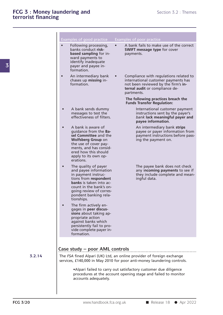| Examples of good practice<br>Examples of poor practice<br>Following processing,<br>$\bullet$<br>banks conduct risk-<br><b>SWIFT message type for cover</b><br>based sampling for in-<br>payments.<br>ward payments to<br>identify inadequate<br>payer and payee in-<br>formation.<br>An intermediary bank<br>$\bullet$<br>$\bullet$<br>chases up missing in-<br>international customer payments has<br>formation.<br>not been reviewed by the firm's in-<br>ternal audit or compliance de-<br>partments.<br>The following practices breach the<br><b>Funds Transfer Regulation:</b><br>A bank sends dummy<br>International customer payment<br>messages to test the<br>instructions sent by the payer's<br>effectiveness of filters.<br>bank lack meaningful payer and<br>payee information.<br>A bank is aware of<br>An intermediary bank strips<br>$\bullet$<br>guidance from the Ba-<br>sel Committee and the<br><b>Wolfsberg Group on</b><br>ing the payment on.<br>the use of cover pay-<br>ments, and has consid-<br>ered how this should<br>apply to its own op-<br>erations.<br>The payee bank does not check<br>The quality of payer<br>$\bullet$<br>and payee information<br>in payment instruc-<br>tions from respondent<br>ingful data.<br>banks is taken into ac-<br>count in the bank's on-<br>going review of corres-<br>pondent banking rela-<br>tionships.<br>The firm actively en-<br>gages in peer discus-<br>sions about taking ap-<br>propriate action<br>against banks which<br>persistently fail to pro-<br>vide complete payer in-<br>formation.<br>Case study – poor AML controls<br>3.2.14<br>The FSA fined Alpari (UK) Ltd, an online provider of foreign exchange |                                                                      |
|-----------------------------------------------------------------------------------------------------------------------------------------------------------------------------------------------------------------------------------------------------------------------------------------------------------------------------------------------------------------------------------------------------------------------------------------------------------------------------------------------------------------------------------------------------------------------------------------------------------------------------------------------------------------------------------------------------------------------------------------------------------------------------------------------------------------------------------------------------------------------------------------------------------------------------------------------------------------------------------------------------------------------------------------------------------------------------------------------------------------------------------------------------------------------------------------------------------------------------------------------------------------------------------------------------------------------------------------------------------------------------------------------------------------------------------------------------------------------------------------------------------------------------------------------------------------------------------------------------------------------------------------------------------------------------------------------|----------------------------------------------------------------------|
|                                                                                                                                                                                                                                                                                                                                                                                                                                                                                                                                                                                                                                                                                                                                                                                                                                                                                                                                                                                                                                                                                                                                                                                                                                                                                                                                                                                                                                                                                                                                                                                                                                                                                               |                                                                      |
|                                                                                                                                                                                                                                                                                                                                                                                                                                                                                                                                                                                                                                                                                                                                                                                                                                                                                                                                                                                                                                                                                                                                                                                                                                                                                                                                                                                                                                                                                                                                                                                                                                                                                               | A bank fails to make use of the correct                              |
|                                                                                                                                                                                                                                                                                                                                                                                                                                                                                                                                                                                                                                                                                                                                                                                                                                                                                                                                                                                                                                                                                                                                                                                                                                                                                                                                                                                                                                                                                                                                                                                                                                                                                               | Compliance with regulations related to                               |
|                                                                                                                                                                                                                                                                                                                                                                                                                                                                                                                                                                                                                                                                                                                                                                                                                                                                                                                                                                                                                                                                                                                                                                                                                                                                                                                                                                                                                                                                                                                                                                                                                                                                                               |                                                                      |
|                                                                                                                                                                                                                                                                                                                                                                                                                                                                                                                                                                                                                                                                                                                                                                                                                                                                                                                                                                                                                                                                                                                                                                                                                                                                                                                                                                                                                                                                                                                                                                                                                                                                                               |                                                                      |
|                                                                                                                                                                                                                                                                                                                                                                                                                                                                                                                                                                                                                                                                                                                                                                                                                                                                                                                                                                                                                                                                                                                                                                                                                                                                                                                                                                                                                                                                                                                                                                                                                                                                                               | payee or payer information from<br>payment instructions before pass- |
|                                                                                                                                                                                                                                                                                                                                                                                                                                                                                                                                                                                                                                                                                                                                                                                                                                                                                                                                                                                                                                                                                                                                                                                                                                                                                                                                                                                                                                                                                                                                                                                                                                                                                               | any incoming payments to see if<br>they include complete and mean-   |
|                                                                                                                                                                                                                                                                                                                                                                                                                                                                                                                                                                                                                                                                                                                                                                                                                                                                                                                                                                                                                                                                                                                                                                                                                                                                                                                                                                                                                                                                                                                                                                                                                                                                                               |                                                                      |
|                                                                                                                                                                                                                                                                                                                                                                                                                                                                                                                                                                                                                                                                                                                                                                                                                                                                                                                                                                                                                                                                                                                                                                                                                                                                                                                                                                                                                                                                                                                                                                                                                                                                                               |                                                                      |
| services, £140,000 in May 2010 for poor anti-money laundering controls.                                                                                                                                                                                                                                                                                                                                                                                                                                                                                                                                                                                                                                                                                                                                                                                                                                                                                                                                                                                                                                                                                                                                                                                                                                                                                                                                                                                                                                                                                                                                                                                                                       |                                                                      |
| •Alpari failed to carry out satisfactory customer due diligence<br>procedures at the account opening stage and failed to monitor<br>accounts adequately.                                                                                                                                                                                                                                                                                                                                                                                                                                                                                                                                                                                                                                                                                                                                                                                                                                                                                                                                                                                                                                                                                                                                                                                                                                                                                                                                                                                                                                                                                                                                      |                                                                      |
|                                                                                                                                                                                                                                                                                                                                                                                                                                                                                                                                                                                                                                                                                                                                                                                                                                                                                                                                                                                                                                                                                                                                                                                                                                                                                                                                                                                                                                                                                                                                                                                                                                                                                               |                                                                      |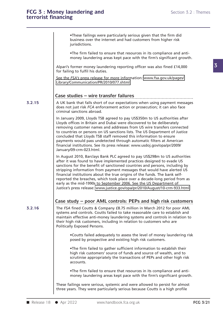•<br>•These failings were particularly serious given that the firm did<br>business over the internet and had customers from higher risk<br>iurisdictions •These failings were particularly serious given that the firm did<br>business over the internet and had customers from higher risk<br>jurisdictions. •These failings were particularly serious given that the firm did<br>business over the internet and had customers from higher risk<br>jurisdictions.<br>•The firm failed to ensure that resources in its compliance and anti-<br>money lau These failings were particularly serious given that the firm did<br>business over the internet and had customers from higher risk<br>jurisdictions.<br>The firm failed to ensure that resources in its compliance and anti-<br>money laund

business over the internet and had customers from higher risk<br>jurisdictions.<br>The firm failed to ensure that resources in its compliance and anti-<br>money laundering areas kept pace with the firm's significant growth.<br>Alpari' Alpari's former money laundering reporting officer was also fined £14,000 for failing to fulfil his duties.<br>See the *FSA's* press release for more information: www.fsa.gov.uk/pages/ The firm failed to ensure that resources in its compliance and anti-<br>money laundering areas kept pace with the firm's significant growth.<br>Alpari's former money laundering reporting officer was also fined £14,000<br>for failin

Library/Communication/PR/2010/077.shtml

**3.2.15** A UK bank that falls short of our expectations when using payment messages Alpari'sformer money laundering reporting officer was also fined £14,000<br>for failing to fulfil his duties.<br>See the *FSA's* press release for more information: www.fsa.gov.uk/pages/<br>Library/Communication/PR/2010/077.shtml<br> Library/Communication/PR/2010/077.shtml<br>Case studies – wire transfer failures<br>A UK bank that falls short of our expectations when using payment messages<br>does not just risk *FCA* enforcement action or prosecution; it can al **Case studies – wire transfer failures**<br>A UK bank that falls short of our expectations when using payment messa<br>does not just risk *FCA* enforcement action or prosecution; it can also face<br>criminal sanctions abroad.<br>In Jan Case studies – wire transfer failures<br>
A UK bank that falls short of our expectations when using payment messages<br>
does not just risk FCA enforcement action or prosecution; it can also face<br>
criminal sanctions abroad.<br>
In

Lase Studies – Wire transfer failures<br>
A UK bank that falls short of our expectations when using payment messages<br>
does not just risk  $FCA$  enforcement action or prosecution; it can also face<br>
criminal sanctions abroad.<br>
I A UK bank that falls short of our expectations when using payment messages<br>does not just risk FCA enforcement action or prosecution; it can also face<br>criminal sanctions abroad.<br>In January 2009, Lloyds TSB agreed to pay US\$ does not just risk *FCA* enforcement action or prosecution; it can also face<br>criminal sanctions abroad.<br>In January 2009, Lloyds TSB agreed to pay US\$350m to US authorities after<br>Lloyds offices in Britain and Dubai were dis criminal sanctions abroad.<br>
In January 2009, Lloyds TSB agreed to pay US\$350m to US authorities after<br>
Lloyds offices in Britain and Dubai were discovered to be deliberately<br>
removing customer names and addresses from US w In January 2009, Lloyds TSB agreed to pay US\$350m to US authorities after<br>Lloyds offices in Britain and Dubai were discovered to be deliberately<br>removing customer names and addresses from US wire transfers connected<br>to cou removing customer names and addresses from US wire transfers connected<br>to countries or persons on US sanctions lists. The US Department of Justice<br>concluded that Lloyds TSB staff removed this information to ensure<br>payments January/09-crm-023.html. In August 2010, Barclays Bank PLC agreed to pay US\$298m to US authorities and persons for the benefit of sanctioned countries and persons and payments would pass undetected through automatic filters at American financial i concluded that Lloyds TSB staff removed this information to ensure<br>payments would pass undetected through automatic filters at American<br>financial institutions. See its press release: www.usdoj.gov/opa/pr/2009/<br>January/09-c

payments would pass undetected through automatic filters at American<br>financial institutions. See its press release: www.usdoj.gov/opa/pr/2009/<br>January/09-crm-023.html.<br>In August 2010, Barclays Bank PLC agreed to pay US\$298 Financial institutions. See its press release: www.usdoj.gov/opa/pr/2009/<br>January/09-crm-023.html.<br>In August 2010, Barclays Bank PLC agreed to pay US\$298m to US authorities<br>after it was found to have implemented practices January/09-crm-023.html.<br>In August 2010, Barclays Bank PLC agreed to pay US\$298m to US autho<br>after it was found to have implemented practices designed to evade US<br>sanctions for the benefit of sanctioned countries and perso In August 2010, Barclays Bank PLC agreed to pay US\$298m to US authorities<br>after it was found to have implemented practices designed to evade US<br>sanctions for the benefit of sanctioned countries and persons, including by<br>st In August 2010, Barclays Bank PLC agreed to pay US\$298m to US authorities<br>after it was found to have implemented practices designed to evade US<br>sanctions for the benefit of sanctioned countries and persons, including by<br>st after it was found to have implemented practices designed to evade US<br>sanctions for the benefit of sanctioned countries and persons, including by<br>stripping information from payment messages that would have alerted US<br>finan strippinginformation from payment messages that would have alerted US<br>financial institutions about the true origins of the funds. The bank self-<br>reported the breaches, which took place over a decade-long period from as<br>ea

**3.2.16** The FSA fined Coutts & Company £8.75 million in March 2012 for poor AML sustice's press release: www.justice.gov/opa/pr/2010/August/10-crm-933.html.<br>Case study – poor AML controls: PEPs and high risk customers<br>The FSA fined Coutts & Company £8.75 million in March 2012 for poor AML<br>systems and Case study – poor AML controls: PEPs and high risk customers<br>The FSA fined Coutts & Company £8.75 million in March 2012 for poor AML<br>systems and controls. Coutts failed to take reasonable care to establish and<br>maintain ef Case study – poor AML controls: PEPs and high risk customers<br>The FSA fined Coutts & Company £8.75 million in March 2012 for poor AML<br>systems and controls. Coutts failed to take reasonable care to establish and<br>maintain eff Case study — poor AML controls: PEPs and high risk customers<br>The *FSA* fined Coutts & Company £8.75 million in March 2012 for poor AML<br>systems and controls. Coutts failed to take reasonable care to establish and<br>maintain e and controls. Coutts failed to take reasonable care to establish and<br>the effective anti-money laundering systems and controls in relation to<br>the risk customers, including in relation to customers who are<br>ly Exposed Persons

Iy Exposed Persons.<br>
•Coutts failed adequately to assess the level of money laundering risk<br>
posed by prospective and existing high risk customers.<br>
•The firm failed to gather sufficient information to establish their<br>
hig •Coutts failed adequately to assess the level of money laundering risk<br>posed by prospective and existing high risk customers.<br>•The firm failed to gather sufficient information to establish their<br>high risk customers' source The firm failed to gather sufficient information to establish their<br>high risk customers' source of funds and source of wealth, and to<br>scrutinise appropriately the transactions of PEPs and other high risk<br>accounts.<br>The firm The firm failed to gather sufficient information to establish their<br>high risk customers' source of funds and source of wealth, and to<br>scrutinise appropriately the transactions of PEPs and other high risk<br>accounts.<br>The firm

money laundering areas kept pace with the firm's significant growth.<br>
These failings were serious, systemic and were allowed to persist for almost<br>
three years. They were particularly serious because Coutts is a high prof scrutinise appropriately the transactions of PEPs and other high risk<br>accounts.<br>The firm failed to ensure that resources in its compliance and anti-<br>money laundering areas kept pace with the firm's significant growth.<br>Thes The firm failed to ensure that resources in its compliance and ant<br>money laundering areas kept pace with the firm's significant grow<br>These failings were serious, systemic and were allowed to persist for almos<br>three years.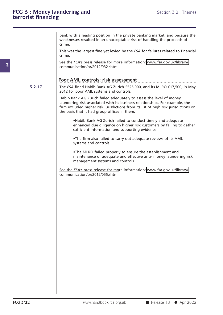bank with a leading position in the private banking market, and because the<br>weaknesses resulted in an unacceptable risk of handling the proceeds of<br>crime bank with a leading position in the private banking market, and because the weaknesses resulted in an unacceptable risk of handling the proceeds of crime.<br>This was the largest fine yet levied by the *FSA* for failures rela crime. bank with a leading position in the private banking market, and because the weaknesses resulted in an unacceptable risk of handling the proceeds of crime.<br>This was the largest fine yet levied by the *FSA* for failures rela bank with a leading position in the private banking market, and because the<br>weaknesses resulted in an unacceptable risk of handling the proceeds of<br>crime.<br>This was the largest fine yet levied by the *FSA* for failures rela

crime. Thiswas the largest fine yet levied by the *FSA* for fail<br>
crime.<br>
See the *FSA's* press release for more information: www<br>
communication/pr/2012/032.shtml<br> **Poor AML controls: risk assessment**<br>
The *FSA* fined Habib Bank

communication/pr/2012/032.shtml

## **.....................................................................................................**

**3.2.17** The FSA fined Habib Bank AG Zurich £525,000, and its MLRO £17,500, in May Seethe *FSA's* press release for more information: www.fsa.gov.uk/library/<br>communication/pr/2012/032.shtml<br>**Poor AML controls: risk assessment**<br>The *FSA* fined Habib Bank AG Zurich £525,000, and its MLRO £17,500, in May<br>2 Examination/pr/2012/032.shtml<br>
2012 for poor AML controls: risk assessment<br>
2012 for poor AML systems and controls.<br>
2012 for poor AML systems and controls.<br>
2012 for poor AML systems and controls.

2012 for poor AML systems and controls.<br>Habib Bank AG Zurich failed adequately to assess the level of money<br>laundering risk associated with its business relationships. For example, the **Poor AML controls: risk assessment**<br>The *FSA* fined Habib Bank AG Zurich £525,000, and its MLRO £17,500, in May<br>2012 for poor AML systems and controls.<br>Habib Bank AG Zurich failed adequately to assess the level of money<br>l **POOF AIVIL CONTFOIS: FISK ASSESSMENT**<br>The FSA fined Habib Bank AG Zurich £525,000, and its MLRO £17,500, in May<br>2012 for poor AML systems and controls.<br>Habib Bank AG Zurich failed adequately to assess the level of money<br>l The *FSA* fined Habib Bank AG Zurich £525,000, and its MLRO £17,500, in May<br>
2012 for poor AML systems and controls.<br>
Habib Bank AG Zurich failed adequately to assess the level of money<br>
laundering risk associated with its ank AG Zurich tailed adequately to assess the level of money<br>ing risk associated with its business relationships. For example, the<br>cluded higher risk jurisdictions from its list of high risk jurisdictions on<br>s that it had

ing risk associated with its business relationships. For exameluded higher risk jurisdictions from its list of high risk juris<br>s that it had group offices in them.<br>Habib Bank AG Zurich failed to conduct timely and adeq<br>enh •Habib Bank AG Zurich failed to conduct timely and adequate<br>•Habib Bank AG Zurich failed to conduct timely and adequate<br>•nhanced due diligence on higher risk customers by failing to gather<br>•The firm also failed to carry ou Habib Bank AG Zurich failed to conduct timely and adequate<br>
enhanced due diligence on higher risk customers by failing to gather<br>
sufficient information and supporting evidence<br>
The firm also failed to carry out adequate r

sufficient information and supporting evidence<br>•The firm also failed to carry out adequate reviews of its AML<br>systems and controls.<br>•The MLRO failed properly to ensure the establishment and<br>maintenance of adequate and effe •The firm also failed to carry out adequantlesystems and controls.<br>•The MLRO failed properly to ensure the maintenance of adequate and effective management systems and controls. systems and controls.<br>
• The MLRO failed properly to ensure the establishment and<br>
maintenance of adequate and effective anti- money laundering risk<br>
management systems and controls.<br>
See the *FSA's* press release for more

communication/pr/2012/055.shtml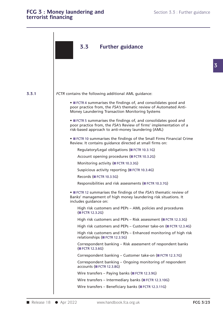## FCG 3 : Money laundering and<br> **FCG 3 : Money laundering and**<br> **Section 3.3 : Further guidance FCG 3 : Money laundering and<br>terrorist financing**

**3.3.1** FCTR contains the following additional AML guidance: Wire transfers – Intermediary banks (■ FCTR 12.3.10G)<br>Wire transfers – Beneficiary banks (■ FCTR 12.3.11G)<br>Release 18 ● Apr 2022 www.handbook.fca.org.uk FCG 3/23 **3.3** Further guidance *FCTR* contains the following additional AML guidance:<br>• ■ FCTR 4 summarises the findings of, and consolidates good and<br>poor practice from, the *FSA's* thematic review of Automated Anti-<br>Money Laundering Transaction Monit **• FILTR4 summarises the findings of, and consolidates good and poor practice from, the** *FSA's* **thematic review of Automated Anti-Money Laundering Transaction Monitoring Systems ■ FCTR4 summarises the findings of, and consolidates good and<br>
• ■ FCTR4 summarises the findings of, and consolidates good and<br>
poor practice from, the** *FSA's* **thematic review of Automated Anti-<br>
• ■ FCTR 5 summarises th FILM 4 summarises the findings of, and consolidates good and poor practice from, the** *FSA's* **thematic review of Automated Anti-Money Laundering Transaction Monitoring Systems<br>
• FICTR 5 summarises the findings of, and con** • ■ FCTR 4 summarises the findings of, and consolidates good and<br>poor practice from, the *FSA's* thematic review of Automated Anti-Money Laundering Transaction Monitoring Systems<br>• ■ FCTR 5 summarises the findings of, and ■ FCTR 5 summarises the findings of, and consolidates good poor practice from, the *FSA's* Review of firms' implementations risk-based approach to anti-money laundering (AML)<br>■ FCTR 10 summarises the findings of the Small r practice from, the *FSA's* Review of firms' impleme<br>based approach to anti-money laundering (AML)<br>FCTR 10 summarises the findings of the Small Firms<br>ew. It contains guidance directed at small firms on<br>Regulatory/Legal o based approach to anti-money laundering (AML)<br>FCTR 10 summarises the findings of the Small Firms<br>ew. It contains guidance directed at small firms on<br>Regulatory/Legal obligations (■ FCTR 10.3.1G)<br>Account opening procedures FIRE 10 summarises the findings of the Sm<br>ew. It contains guidance directed at smal<br>Regulatory/Legal obligations (■ FCTR 10.3.<br>Account opening procedures (■ FCTR 10.3.<br>Monitoring activity (■ FCTR 10.3.3G)<br>Suspicious activi ew. It contains guidance directed at small firms or<br>Regulatory/Legal obligations (■ FCTR 10.3.1G)<br>Account opening procedures (■ FCTR 10.3.2G)<br>Monitoring activity (■ FCTR 10.3.3G)<br>Suspicious activity reporting (■ FCTR 10.3. Regulatory/Legal obligations (■ FCTR 10.3.1G)<br>Account opening procedures (■ FCTR 10.3.2G)<br>Monitoring activity (■ FCTR 10.3.3G)<br>Suspicious activity reporting (■ FCTR 10.3.4G)<br>Records (■ FCTR 10.3.5G)<br>Responsibilities and ri Responsibilities and risk assessments (■ FCTR 10.3.2G)<br>
Responsibilities and risk assessments (■ FCTR 10.3.7G)<br>
Responsibilities and risk assessments (■ FCTR 10.3.7G)<br>
• ■ FCTR 12 summarises the findings of the *FSA's* th Suspicious activity reporting (■FCTR 10.3.4G)<br>
Records (■FCTR 10.3.5G)<br>
Responsibilities and risk assessments (■FCTR 10.3.7G)<br>
●■FCTR 12 summarises the findings of the *FSA's* thematic review of<br>
Banks' management of high Records (**FCTR 10.3.5G**)<br>Responsibilities and ris<br>• **FCTR 12 summarises the**<br>Banks' management of hig<br>includes guidance on:<br>High risk customers an Responsibilities and risk assessments (■ FCTR 10.3.7G)<br>FCTR 12 summarises the findings of the *FSA's* thematic review of<br>ss' management of high money laundering risk situations. It<br>ides guidance on:<br>High risk customers and FCTR 12 summarises the<br>
sc' management of hive<br>
udes guidance on:<br>
High risk customers a<br>
(FCTR 12.3.2G)<br>
High risk customers a FCTR 12 summarises the findings of the *FSA's* thematic review of<br>ss' management of high money laundering risk situations. It<br>ides guidance on:<br>High risk customers and PEPs – Risk assessment (■ FCTR 12.3.3G)<br>High risk cust High risk customers and PEPs – AML policies and procedures<br>(■ FCTR 12.3.2G)<br>High risk customers and PEPs – Risk assessment (■ FCTR 12.3.3G)<br>High risk customers and PEPs – Customer take-on (■ FCTR 12.3.4G)<br>High risk custome High risk customers and PEPs – AML policies and procedures<br>(■FCTR 12.3.2G)<br>High risk customers and PEPs – Risk assessment (■FCTR 12.3.3G)<br>High risk customers and PEPs – Customer take-on (■FCTR 12.3.4G)<br>High risk customers relationships (■ FCTR 12.3.2G)<br>High risk customers and PEPs – Risk<br>High risk customers and PEPs – Cus<br>High risk customers and PEPs – Enh<br>relationships (■ FCTR 12.3.5G)<br>Correspondent banking – Risk asse High risk customers and PEPs – Risk assessment (■ FCTR 12.3.3G)<br>High risk customers and PEPs – Customer take-on (■ FCTR 12.3.4G)<br>High risk customers and PEPs – Enhanced monitoring of high risk<br>relationships (■ FCTR 12.3.5G High risk customers a<br>High risk customers a<br>relationships (■ FCTR<br>Correspondent banki<br>(■ FCTR 12.3.6G)<br>Correspondent banki High risk customers and PEPs – Enhanced monitoring of high risk<br>relationships (■ FCTR 12.3.5G)<br>Correspondent banking – Risk assessment of respondent banks<br>(■ FCTR 12.3.6G)<br>Correspondent banking – Customer take-on (■ FCTR 1 relationships (**CORTAN 1998)**<br>
Correspondent banking – Risk assessment of respondent banks<br>
(CORTA 12.3.6G)<br>
Correspondent banking – Customer take-on (CORTA 12.3.7G)<br>
Correspondent banking – Ongoing monitoring of responden Wire transfers – Paying banks (■ FCTR 12.3.9G) WIFETR 12.3.6G)<br>
Correspondent banking – Customer take-on (■ FCTR<br>
Correspondent banking – Ongoing monitoring of recounts (■ FCTR 12.3.8G)<br>
Wire transfers – Paying banks (■ FCTR 12.3.9G)<br>
Wire transfers – Intermediary bank Correspondent banking – Customer take-on (■ FCTR 12.3.7G<br>Correspondent banking – Ongoing monitoring of respond<br>accounts (■ FCTR 12.3.8G)<br>Wire transfers – Paying banks (■ FCTR 12.3.10G)<br>Wire transfers – Intermediary banks ( Correspondent banking – Ongoing monitoring of respondent<br>accounts (■ FCTR 12.3.8G)<br>Wire transfers – Paying banks (■ FCTR 12.3.9G)<br>Wire transfers – Intermediary banks (■ FCTR 12.3.10G)<br>Wire transfers – Beneficiary banks (■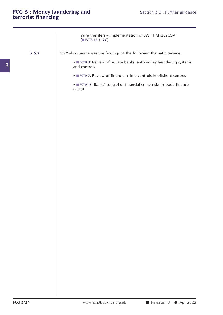|          | FCG 3 : Money laundering and<br>terrorist financing<br>Section 3.3 : Further guidance |            |
|----------|---------------------------------------------------------------------------------------|------------|
|          | Wire transfers - Implementation of SWIFT MT202COV<br>(■ FCTR 12.3.12G)                |            |
| 3.3.2    | FCTR also summarises the findings of the following thematic reviews:                  |            |
|          | • FCTR 3: Review of private banks' anti-money laundering systems<br>and controls      |            |
|          | • FCTR 7: Review of financial crime controls in offshore centres                      |            |
|          | • FCTR 15: Banks' control of financial crime risks in trade finance<br>(2013)         |            |
|          |                                                                                       |            |
|          |                                                                                       |            |
|          |                                                                                       |            |
|          |                                                                                       |            |
|          |                                                                                       |            |
|          |                                                                                       |            |
|          |                                                                                       |            |
|          |                                                                                       |            |
|          |                                                                                       |            |
|          |                                                                                       |            |
|          |                                                                                       |            |
|          |                                                                                       |            |
|          |                                                                                       |            |
|          |                                                                                       |            |
|          |                                                                                       |            |
| FCG 3/24 | www.handbook.fca.org.uk<br>Release 18                                                 | ● Apr 2022 |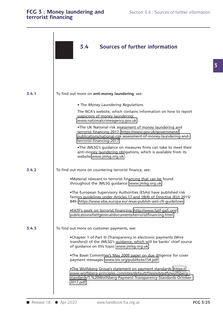## **FCG** 3 : Money information 3.4  $\sigma$  sources of  $\sigma$  sources of  $\sigma$  sources of  $\sigma$  sources of  $\sigma$  further information 3.4  $\sigma$ **terrorist financing**

|       | Sources of further information<br>3.4                                                                                                                                                                                  |  |
|-------|------------------------------------------------------------------------------------------------------------------------------------------------------------------------------------------------------------------------|--|
|       |                                                                                                                                                                                                                        |  |
| 3.4.1 | To find out more on anti-money laundering, see:                                                                                                                                                                        |  |
|       | • The Money Laundering Regulations                                                                                                                                                                                     |  |
|       | The NCA's website, which contains information on how to report<br>suspicions of money laundering:<br>www.nationalcrimeagency.gov.uk                                                                                    |  |
|       | .The UK National risk assessment of money laundering and<br>terrorist financing 2017- https://www.gov.uk/government/<br>publications/national-risk-assessment-of-money-laundering-and-<br>terrorist-financing-2017     |  |
|       | .The JMLSG's guidance on measures firms can take to meet their<br>anti-money laundering obligations, which is available from its<br>website:www.jmlsg.org.uk.                                                          |  |
| 3.4.2 | To find out more on countering terrorist finance, see:                                                                                                                                                                 |  |
|       | •Material relevant to terrorist financing that can be found<br>throughout the JMLSG guidance: www.jmlsg.org.uk                                                                                                         |  |
|       | .The European Supervisory Authorities (ESAs) have published risk<br>factors guidelines under Articles 17 and 18(4) of Directive (EU) 2015/<br>849- https://www.eba.europa.eu/-/esas-publish-aml-cft-guidelines         |  |
|       | •FATF's work on terrorist financing: http://www.fatf-gafi.org/<br>publications/fatfgeneral/documents/terroristfinancing.html                                                                                           |  |
| 3.4.3 | To find out more on customer payments, see:                                                                                                                                                                            |  |
|       | .Chapter 1 of Part III (Transparency in electronic payments (Wire<br>transfers)) of the JMLSG's guidance, which will be banks' chief source<br>of guidance on this topic: www.jmlsg.org.uk                             |  |
|       | .The Basel Committee's May 2009 paper on due diligence for cover<br>payment messages: www.bis.org/publ/bcbs154.pdf                                                                                                     |  |
|       | .The Wolfsberg Group's statement on payment standards: https://<br>www.wolfsberg-principles.com/sites/default/files/wb/pdfs/wolfsberg-<br>standards/1.%20Wolfsberg-Payment-Transparency-Standards-October-<br>2017.pdf |  |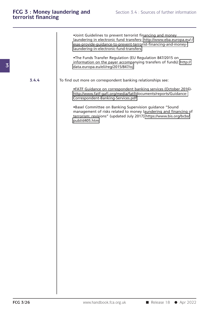•Joint Guidelines to prevent terrorist financing and money<br>Iaundering in electronic fund transfers- http://www.eba.europa.eu/-/<br>esas-provide-quidance-to-prevent-terrorist-financing-and-moneylaundering in electronic fund terrorist financing and money<br>laundering in electronic fund transfers- http://www.eba.europa.eu/-/<br>esas-provide-guidance-to-prevent-terrorist-financing-and-money-<br>laundering-in-electronic-fund esas-provide-guidance-to-prevent-terrorist-financing-and-money-•Joint Guidelines to prevent terrorist financing and money<br>laundering in electronic fund transfers- http://www.eba.europa.eu/-/<br>esas-provide-guidance-to-prevent-terrorist-financing-and-money-<br>laundering-in-electronic-fund-•Joint Guidelines to prevent terrorist financing and money<br>laundering in electronic fund transfers- http://www.eba.europa.eu/-/<br>esas-provide-guidance-to-prevent-terrorist-financing-and-money-<br>laundering-in-electronic-fund-

data.europa.eu/eli/reg/2015/847/oj TheFunds Transfer Regulation (EU Regulation 847/2015 on<br>information on the payer accompanying transfers of funds): http://<br>data.europa.eu/eli/reg/2015/847/oj<br>To find out more on correspondent banking relationships see:<br>eF

**3.4.4** To find out more on correspondent banking relationships see:

http://www.fatf-gafi.org/media/fatf/documents/reports/Guidanceout more on correspondent banking relationships see:<br>•FATF Guidance on correspondent banking services (October 2016)-<br>http://www.fatf-gafi.org/media/fatf/documents/reports/Guidance-<br>Correspondent-Banking-Services.pdf<br>•Base

FATF Guidance on correspondent banking services (October 2016)-<br>http://www.fatf-gafi.org/media/fatf/documents/reports/Guidance-<br>Correspondent-Banking-Services.pdf<br>•Basel Committee on Banking Supervision guidance "Sound<br>man FATF Guidance on correspondent banking services (October 2016)-<br>http://www.fatf-gafi.org/media/fatf/documents/reports/Guidance-<br>Correspondent-Banking-Services.pdf<br>Pasel Committee on Banking Supervision guidance "Sound<br>mana publ/d405.htm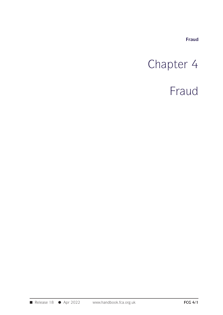**Fraud**

# Fraud<br>Chapter 4<br>Fraud

## Fraud

■ Release 18 ● Apr 2022 www.handbook.fca.org.uk **FCG 4/1**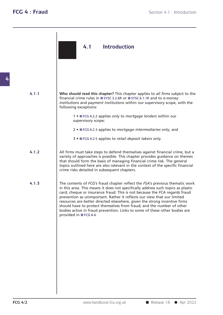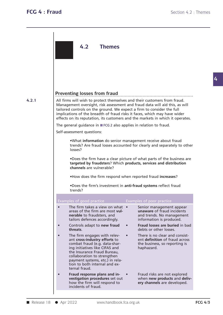**4**

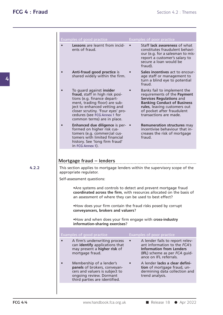|       | Examples of good practice                                                                                                                                                                                                                                       | Examples of poor practice                                                                                                                                                                                                   |
|-------|-----------------------------------------------------------------------------------------------------------------------------------------------------------------------------------------------------------------------------------------------------------------|-----------------------------------------------------------------------------------------------------------------------------------------------------------------------------------------------------------------------------|
|       | Lessons are learnt from incid-<br>ents of fraud.                                                                                                                                                                                                                | Staff lack awareness of what<br>constitutes fraudulent behavi-<br>our (e.g. for a salesman to mis-<br>report a customer's salary to<br>secure a loan would be<br>fraud).                                                    |
|       | Anti-fraud good practice is<br>shared widely within the firm.                                                                                                                                                                                                   | Sales incentives act to encour-<br>age staff or management to<br>turn a blind eye to potential<br>fraud.                                                                                                                    |
|       | To guard against insider<br>fraud, staff in high risk posi-<br>tions (e.g. finance depart-<br>ment, trading floor) are sub-<br>ject to enhanced vetting and<br>closer scrutiny. 'Four eyes' pro-<br>cedures (see FCG Annex 1 for<br>common terms) are in place. | Banks fail to implement the<br>requirements of the Payment<br><b>Services Regulations and</b><br><b>Banking Conduct of Business</b><br>rules, leaving customers out<br>of pocket after fraudulent<br>transactions are made. |
|       | <b>Enhanced due diligence is per- •</b><br>formed on higher risk cus-<br>tomers (e.g. commercial cus-<br>tomers with limited financial<br>history. See 'long firm fraud'<br>in FCG Annex 1).                                                                    | <b>Remuneration structures may</b><br>incentivise behaviour that in-<br>creases the risk of mortgage<br>fraud.                                                                                                              |
|       | Mortgage fraud - lenders                                                                                                                                                                                                                                        |                                                                                                                                                                                                                             |
| 4.2.2 | This section applies to mortgage lenders within the supervisory scope of the                                                                                                                                                                                    |                                                                                                                                                                                                                             |
|       |                                                                                                                                                                                                                                                                 |                                                                                                                                                                                                                             |
|       | appropriate regulator.<br>Self-assessment questions:                                                                                                                                                                                                            |                                                                                                                                                                                                                             |
|       | • Are systems and controls to detect and prevent mortgage fraud<br>an assessment of where they can be used to best effect?                                                                                                                                      |                                                                                                                                                                                                                             |
|       | . How does your firm contain the fraud risks posed by corrupt<br>conveyancers, brokers and valuers?                                                                                                                                                             | coordinated across the firm, with resources allocated on the basis of                                                                                                                                                       |
|       | . How and when does your firm engage with cross-industry<br>information-sharing exercises?                                                                                                                                                                      |                                                                                                                                                                                                                             |
|       | Examples of good practice                                                                                                                                                                                                                                       | Examples of poor practice                                                                                                                                                                                                   |
|       | A firm's underwriting process<br>can identify applications that<br>may present a higher risk of<br>mortgage fraud.                                                                                                                                              | A lender fails to report relev-<br>ant information to the FCA's<br><b>Information from Lenders</b><br>(IFL) scheme as per FCA guid-<br>ance on IFL referrals.                                                               |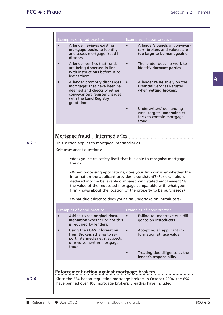**4.2.3**

| Examples of good practice                                                                                                                                                          | Examples of poor practice                                                                                                                                                                                                                                                                                                                      |  |
|------------------------------------------------------------------------------------------------------------------------------------------------------------------------------------|------------------------------------------------------------------------------------------------------------------------------------------------------------------------------------------------------------------------------------------------------------------------------------------------------------------------------------------------|--|
| A lender reviews existing<br>$\bullet$<br>mortgage books to identify<br>and assess mortgage fraud in-<br>dicators.                                                                 | A lender's panels of conveyan-<br>cers, brokers and valuers are<br>too large to be manageable.                                                                                                                                                                                                                                                 |  |
| A lender verifies that funds<br>$\bullet$<br>are being dispersed in line<br>with instructions before it re-<br>leases them.                                                        | The lender does no work to<br>identify dormant parties.                                                                                                                                                                                                                                                                                        |  |
| A lender promptly discharges<br>$\bullet$<br>mortgages that have been re-<br>deemed and checks whether<br>conveyancers register charges<br>with the Land Registry in<br>good time. | A lender relies solely on the<br><b>Financial Services Register</b><br>when vetting brokers.                                                                                                                                                                                                                                                   |  |
|                                                                                                                                                                                    | Underwriters' demanding<br>work targets undermine ef-<br>forts to contain mortgage<br>fraud.                                                                                                                                                                                                                                                   |  |
| Mortgage fraud - intermediaries                                                                                                                                                    |                                                                                                                                                                                                                                                                                                                                                |  |
| This section applies to mortgage intermediaries.                                                                                                                                   |                                                                                                                                                                                                                                                                                                                                                |  |
| Self-assessment questions:                                                                                                                                                         |                                                                                                                                                                                                                                                                                                                                                |  |
| fraud?                                                                                                                                                                             | • does your firm satisfy itself that it is able to recognise mortgage                                                                                                                                                                                                                                                                          |  |
|                                                                                                                                                                                    | .When processing applications, does your firm consider whether the<br>information the applicant provides is consistent? (For example, is<br>declared income believable compared with stated employment? Is<br>the value of the requested mortgage comparable with what your<br>firm knows about the location of the property to be purchased?) |  |
| .What due diligence does your firm undertake on introducers?                                                                                                                       |                                                                                                                                                                                                                                                                                                                                                |  |
| Examples of good practice                                                                                                                                                          | Examples of poor practice                                                                                                                                                                                                                                                                                                                      |  |
| Asking to see original docu-<br>mentation whether or not this<br>is required by lenders.                                                                                           | Failing to undertake due dili-<br>gence on introducers.                                                                                                                                                                                                                                                                                        |  |
| Using the FCA's Information<br>$\bullet$<br>from Brokers scheme to re-<br>port intermediaries it suspects<br>of involvement in mortgage<br>fraud.                                  | Accepting all applicant in-<br>formation at face value.                                                                                                                                                                                                                                                                                        |  |
|                                                                                                                                                                                    | Treating due diligence as the<br>lender's responsibility.                                                                                                                                                                                                                                                                                      |  |
|                                                                                                                                                                                    |                                                                                                                                                                                                                                                                                                                                                |  |
| Enforcement action against mortgage brokers                                                                                                                                        |                                                                                                                                                                                                                                                                                                                                                |  |
|                                                                                                                                                                                    | Since the FSA began regulating mortgage brokers in October 2004, the FSA                                                                                                                                                                                                                                                                       |  |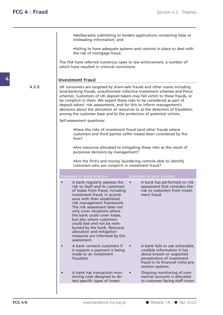Frames Section 4.2 : Themes<br>•deliberately submitting to lenders applications containing false or misleading information; and **•** deliberately submitting to lenders applemisleading information; and<br>• failing to have adequate systems and c

•deliberately submitting to lenders applications containing false or misleading information; and<br>•failing to have adequate systems and controls in place to deal with the risk of mortgage fraud. • deliberately submitting to lend<br>misleading information; and<br>• failing to have adequate system<br>the risk of mortgage fraud.

•deliberately submitting to lenders applications containing talse or<br>misleading information; and<br>•failing to have adequate systems and controls in place to deal with<br>the risk of mortgage fraud.<br>The *FSA* have referred nume misleading information; and<br>
• failing to have adequate systems and corrie risk of mortgage fraud.<br>
The *FSA* have referred numerous cases to law en<br>
which have resulted in criminal convictions.

4.2.5 UK consumers are targeted by share-sale frauds and other scams including **Investment fraud .....................................................................................................** UK consumers are targeted by share-sale frauds and other scams including which have resulted in criminal convictions.<br>
Investment fraud<br>
UK consumers are targeted by share-sale frauds and other scams including<br>
land-banking frauds, unauthorised collective investment schemes and Ponzi<br>
schemes. **Scheme Schemes. Customers are targeted by share-sale frauds and other scams including**<br>
UK consumers are targeted by share-sale frauds and other scams including<br>
land-banking frauds, unauthorised collective investment sch Investment fraud<br>UK consumers are targeted by share-sale frauds and other scams including<br>land-banking frauds, unauthorised collective investment schemes and Ponzi<br>schemes. Customers of UK deposit-takers may fall victim to Investment fraud<br>UK consumers are targeted by share-sale frauds and other scams including<br>land-banking frauds, unauthorised collective investment schemes and Ponzi<br>schemes. Customers of UK deposit-takers may fall victim to UK consumers are targeted by share-sale frauds and other scams including<br>land-banking frauds, unauthorised collective investment schemes and Ponzi<br>schemes. Customers of UK deposit-takers may fall victim to these frauds, or UK consumers are targeted by share-sale frauds and other scams including<br>land-banking frauds, unauthorised collective investment schemes and Pon<br>schemes. Customers of UK deposit-takers may fall victim to these frauds, c<br>be Schemes. Customers of UK deposit-takers may fall victim to these frauds, or<br>the complicit in them. We expect these risks to be considered as part of<br>deposit-takers' risk assessments, and for this to inform management's<br>dec

In a shout the allocation of resources to a) the detection of fraudsters<br>the customer base and b) the protection of potential victims.<br>
Sessment questions:<br>
•Have the risks of investment fraud (and other frauds where<br>
cust firm? •Have the risks of investment fraud (and other frauds where<br>customers and third parties suffer losses) been considered by the<br>firm?<br>•Are resources allocated to mitigating these risks as the result of<br>purposive decisions by ■Have the risks of investment fraud (and other customers and third parties suffer losses) been firm?<br>
■Are resources allocated to mitigating these rispurposive decisions by management?<br>
■Are the firm's anti-money launderi

extremely the firm?<br>•Are resources allocated to mitigating these risks as the result of<br>purposive decisions by management?<br>•Are the firm's anti-money laundering controls able to identify<br>customers who are complicit in inve Firm?<br>
• Are resources allocated to mitigating these risks as the res<br>
purposive decisions by management?<br>
• Are the firm's anti-money laundering controls able to iden<br>
customers who are complicit in investment fraud?

| Examples of good practice                                                                                                                                                                                                                                                                                                                                                                                                                                                | Examples of poor practice                                                                                                                                                         |
|--------------------------------------------------------------------------------------------------------------------------------------------------------------------------------------------------------------------------------------------------------------------------------------------------------------------------------------------------------------------------------------------------------------------------------------------------------------------------|-----------------------------------------------------------------------------------------------------------------------------------------------------------------------------------|
| A bank regularly assesses the<br>risk to itself and its customers<br>of losses from fraud, including<br>investment fraud, in accord-<br>ance with their established<br>risk management framework.<br>The risk assessment does not<br>only cover situations where<br>the bank could cover losses,<br>but also where customers<br>could lose and not be reim-<br>bursed by the bank. Resource<br>allocation and mitigation<br>measures are informed by this<br>assessment. | A bank has performed no risk<br>assessment that considers the<br>risk to customers from invest-<br>ment fraud.                                                                    |
| A bank contacts customers if<br>it suspects a payment is being<br>made to an investment<br>fraudster.                                                                                                                                                                                                                                                                                                                                                                    | A bank fails to use actionable,<br>credible information it has<br>about known or suspected<br>perpetrators of investment<br>fraud in its financial crime pre-<br>vention systems. |
| A bank has transaction mon-<br>itoring rules designed to de-<br>tect specific types of invest-                                                                                                                                                                                                                                                                                                                                                                           | Ongoing monitoring of com-<br>mercial accounts is allocated<br>to customer-facing staff incen-                                                                                    |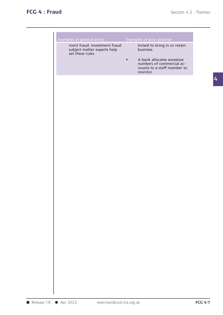| Examples of good practice                                                       | Examples of poor practice                                                             |
|---------------------------------------------------------------------------------|---------------------------------------------------------------------------------------|
| ment fraud. Investment fraud<br>subject matter experts help<br>set these rules. | tivised to bring in or retain<br>business.<br>A bank allocates excessive<br>$\bullet$ |
|                                                                                 | numbers of commercial ac-<br>counts to a staff member to<br>monitor.                  |
|                                                                                 |                                                                                       |
|                                                                                 |                                                                                       |
|                                                                                 |                                                                                       |
|                                                                                 |                                                                                       |
|                                                                                 |                                                                                       |
|                                                                                 |                                                                                       |
|                                                                                 |                                                                                       |
|                                                                                 |                                                                                       |
|                                                                                 |                                                                                       |
|                                                                                 |                                                                                       |
|                                                                                 |                                                                                       |
|                                                                                 |                                                                                       |
|                                                                                 |                                                                                       |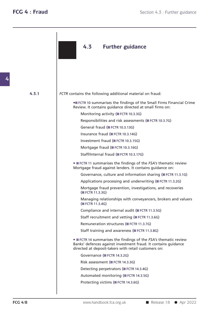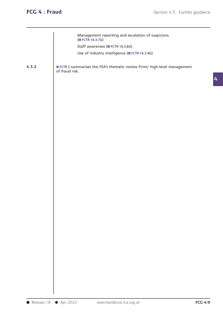| Management reporting and escalation of suspicions                                                   |                |
|-----------------------------------------------------------------------------------------------------|----------------|
|                                                                                                     |                |
| (FCTR 14.3.7G)                                                                                      |                |
| Staff awareness (FCTR 14.3.8G)                                                                      |                |
| Use of industry intelligence (FCTR 14.3.9G)                                                         |                |
| 4.3.2<br>FCTR 2 summarises the FSA's thematic review Firms' high-level management<br>of fraud risk. |                |
|                                                                                                     |                |
|                                                                                                     |                |
|                                                                                                     |                |
|                                                                                                     |                |
|                                                                                                     |                |
|                                                                                                     |                |
|                                                                                                     |                |
|                                                                                                     |                |
|                                                                                                     |                |
|                                                                                                     |                |
|                                                                                                     |                |
|                                                                                                     |                |
|                                                                                                     |                |
|                                                                                                     |                |
|                                                                                                     |                |
|                                                                                                     |                |
|                                                                                                     |                |
|                                                                                                     |                |
|                                                                                                     |                |
|                                                                                                     |                |
|                                                                                                     |                |
| Release 18<br>● Apr 2022<br>www.handbook.fca.org.uk                                                 | <b>FCG 4/9</b> |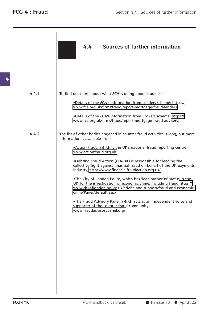|       | <b>Sources of further information</b><br>4.4                                                                                                                                                                                                  |
|-------|-----------------------------------------------------------------------------------------------------------------------------------------------------------------------------------------------------------------------------------------------|
|       |                                                                                                                                                                                                                                               |
| 4.4.1 | To find out more about what FCA is doing about fraud, see:                                                                                                                                                                                    |
|       | .Details of the FCA's Information from Lenders scheme: https://<br>www.fca.org.uk/firms/fraud/report-mortgage-fraud-lenders                                                                                                                   |
|       | .Details of the FCA's Information from Brokers scheme: https://<br>www.fca.org.uk/firms/fraud/report-mortgage-fraud-advisers                                                                                                                  |
| 4.4.2 | The list of other bodies engaged in counter-fraud activities is long, but more<br>information is available from:                                                                                                                              |
|       | .Action Fraud, which is the UK's national fraud reporting centre:<br>www.actionfraud.org.uk                                                                                                                                                   |
|       | . Fighting Fraud Action (FFA-UK) is responsible for leading the<br>collective fight against financial fraud on behalf of the UK payments<br>industry, https://www.financialfraudaction.org.uk/.                                               |
|       | .The City of London Police, which has 'lead authority' status in the<br>UK for the investigation of economic crime, including fraud https://<br>www.cityoflondon.police.uk/advice-and-support/fraud-and-economic-<br>crime/Pages/default.aspx |
|       | .The Fraud Advisory Panel, which acts as an independent voice and<br>supporter of the counter fraud community:<br>www.fraudadvisorypanel.org/                                                                                                 |
|       |                                                                                                                                                                                                                                               |
|       |                                                                                                                                                                                                                                               |
|       |                                                                                                                                                                                                                                               |
|       |                                                                                                                                                                                                                                               |
|       |                                                                                                                                                                                                                                               |
|       |                                                                                                                                                                                                                                               |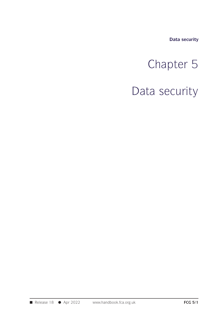**Data security**

# Data security<br>
Chapter 5<br>
Chapter 5

Data security<br>
Chapter 5<br>
Data security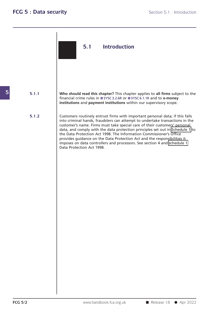## **5.1 Introduction**

**Who should read this chapter?** This chapter applies to **all firms** subject to the financial crime rules in ■ SYSC 3.2.6R or ■ SYSC 6.1.1R and to e-money institutions and nayment institutions within our supervisory scope Who should read this chapter? This chapter applies to all firms subject to the financial crime rules in ■ SYSC 3.2.6R or ■ SYSC 6.1.1R and to **e-money** institutions and payment institutions within our supervisory scope. financial crime rules in SYSC 3.2.6R or SYSC 6.1.1R and to e-money

**5.1.2** Customers routinely entrust firms with important personal data; if this falls into criminal hands, fraudsters can attempt to undertake transactions in the customer's name. Firms must take special care of their customers' personal Who should read this chapter? This chapter applies to all firms subject to the<br>financial crime rules in SYSC 3.2.6R or SYSC 6.1.1R and to e-money<br>institutions and payment institutions within our supervisory scope.<br>Customer financial crime rules in **ESYSC 3.2.6R** or **ESYSC 6.1.1R** and to **e-money**<br> **institutions** and **payment institutions** within our supervisory scope.<br>
Customers routinely entrust firms with important personal data; if this f institutions and payment institutions within our supervisory scope.<br>Customers routinely entrust firms with important personal data; if this falls<br>into criminal hands, fraudsters can attempt to undertake transactions in the Customers routinely entrust firms with important personal data; if this falls<br>into criminal hands, fraudsters can attempt to undertake transactions in the<br>customer's name. Firms must take special care of their customers' p Customers routinely entrust firms with important personal data; if this falls<br>into criminal hands, fraudsters can attempt to undertake transactions in the<br>customer's name. Firms must take special care of their customers' p Customersroutinely entrust firms with important personal data; if this falls<br>into criminal hands, fraudsters can attempt to undertake transactions in the<br>customer's name. Firms must take special care of their customers' p the Data Protection Act 1998. The Information Commissioner's Office<br>provides guidance on the Data Protection Act and the responsibilities it<br>imposes on data controllers and processors. See section 4 and schedule 1<br>Data Pro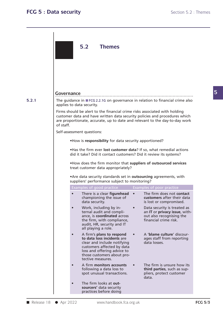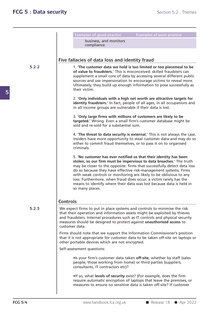**5.2.2 5.2.3 FCG 5/4** WWW.handbook.fca.org.uk ■ Release 18 ● Apr 2022 Section 5.2 : Themes<br>Examples of good practice<br>business, and monitors bles of good practice<br>business, and monitors<br>compliance. compliance. Examples of good practice<br>
business, and monitors<br>
compliance.<br>
Five fallacies of data loss and identity fraud<br>
1. The customer data we hold is too limited or too piecemeal to be<br>
of value to fraudsters. This is misconceiv **compliance.**<br> **Compliance to fraudsters.**<br> **Complement data verify fraudsters.'** This is **to limited or too piecemeal to be**<br> **of value to fraudsters.'** This is misconceived: skilled fraudsters can<br>
supplement a small cor Supplement a small core of data by accessing several to be<br>1. 'The customer data we hold is too limited or too piecemeal to be<br>of value to fraudsters.' This is misconceived: skilled fraudsters can<br>supplement a small core o **Ilacies of data loss and identity fraud**<br>1. 'The customer data we hold is too limited or too piecemeal to be<br>of value to fraudsters.' This is misconceived: skilled fraudsters can<br>supplement a small core of data by accessi Ilacies of data loss and identity fraud<br>1. 'The customer data we hold is too limited or too piecemeal to be<br>of value to fraudsters.' This is misconceived: skilled fraudsters can<br>supplement a small core of data by accessing 1. The customer<br>of value to fraud<br>supplement a sm<br>sources and use if<br>Ultimately, they k<br>their victim. **of value to traudsters.'** This is misconceived: skilled traudsters can supplement a small core of data by accessing several different public sources and use impersonation to encourage victims to reveal more. Ultimately, t supplement a small core of data by accessing several different public<br>sources and use impersonation to encourage victims to reveal more.<br>Ultimately, they build up enough information to pose successfully as<br>their victim.<br>2. sources and use impersonation to encourage victims to revel<br>Ultimately, they build up enough information to pose succes<br>their victim.<br>2. **'Only individuals with a high net worth are attractive tar<br>identity fraudsters.'** In 2. '**Only individuals with a high net worth are attractive targets for identity fraudsters.'** In fact, people of all ages, in all occupations and in all income groups are vulnerable if their data is lost.<br>3. '**Only large f** 2. 'Only individuals with a high net worth are attractive targets for identity fraudsters.' In fact, people of all ages, in all occupations and in all income groups are vulnerable if their data is lost.<br>3. 'Only large firm 2. 'Only individuals with a high net worth are attractive targets for identity fraudsters.' In fact, people of all ages, in all occupations and in all income groups are vulnerable if their data is lost.<br>3. 'Only large firm in all income groups are vulnerable it their data is lost.<br> **3. 'Only large firms with millions of customers are likely to be**<br> **targeted.'** Wrong. Even a small firm's customer database might be<br>
sold and re-sold for a sub Insider 15. The threat to data security is external.<br>
Insider that and re-sold for a substantial sum.<br>
1. The threat to data security is external.<br>
1. The threat to data security is external.<br>
Insiders have more opportunit 3. 'Only large firms with millions of customers are likely to be<br>targeted.' Wrong. Even a small firm's customer database might be<br>sold and re-sold for a substantial sum.<br>4. 'The threat to data security is external.' This i criminals. 4. '**The threat to data security is external.'** This is not always the case.<br>Insiders have more opportunity to steal customer data and may do so<br>either to commit fraud themselves, or to pass it on to organised<br>criminals.<br>5 **4. 'The threat to data security is external.'** This is not always the case.<br>Insiders have more opportunity to steal customer data and may do so<br>either to commit fraud themselves, or to pass it on to organised<br>criminals.<br> Insiders have more opportunity to steal customer data and may do so<br>either to commit fraud themselves, or to pass it on to organised<br>criminals.<br>5. 'No customer has ever notified us that their identity has been<br>stolen, so o either to commit fraud themselves, or to pass it on to organised<br>criminals.<br>5. 'No customer has ever notified us that their identity has been<br>stolen, so our firm must be impervious to data breaches.' The truth<br>may be close S. 'No customer has ever notified us that their identity has been<br>stolen, so our firm must be impervious to data breaches.' The truth<br>may be closer to the opposite: firms that successfully detect data loss<br>do so because th 5. 'No customer has ever notified us that their identity has been<br>stolen, so our firm must be impervious to data breaches.' The truth<br>may be closer to the opposite: firms that successfully detect data loss<br>do so because th 5. 'No customer has ever notified us that their identity has been<br>stolen, so our firm must be impervious to data breaches.' The truth<br>may be closer to the opposite: firms that successfully detect data loss<br>do so because th stolen, so our firm must be impervious to data breaches.' The truth<br>may be closer to the opposite: firms that successfully detect data loss<br>do so because they have effective risk-management systems. Firms<br>with weak control **Controls .....................................................................................................** We expect firms to put in place systems and controls to minimise the risk so many places.<br> **Controls**<br>
We expect firms to put in place systems and controls to minimise the risk<br>
that their operation and information assets might be exploited by thieves<br>
and fraudsters. Internal procedures such as **Controls**<br>We expect firms to put in place systems and controls to minimise the risk<br>that their operation and information assets might be exploited by thieves<br>and fraudsters. Internal procedures such as IT controls and phy **Controls**<br>We expect firms to put in place systems and controls to minimise the risk<br>that their operation and information assets might be exploited by thieves<br>and fraudsters. Internal procedures such as IT controls and phy **Controls**<br>
We expect firms to put in place systems and controls to minimise the risk<br>
that their operation and information assets might be exploited by thieves<br>
and fraudsters. Internal procedures such as IT controls and We expect firms to put in place systems and controls to minimise the risk<br>that their operation and information assets might be exploited by thieves<br>and fraudsters. Internal procedures such as IT controls and physical secur that their operation and information assets might be exploited by thieves<br>and fraudsters. Internal procedures such as IT controls and physical security<br>measures should be designed to protect against **unauthorised access** t measures should be designed to protect against **unauthorised access** to customer data.<br>Firms should note that we support the Information Commissioner's posithat it is not appropriate for customer data to be taken off-site measures should be designed to protect against **unauthorised access** to<br>customer data.<br>Firms should note that we support the Information Commissioner's position<br>that it is not appropriate for customer data to be taken off-S not appropriate for customer data to be taken off-site on laptops<br>ortable devices which are not encrypted.<br>essment questions:<br>•Is your firm's customer data taken **off-site**, whether by staff (sales<br>people, those working ortable devices which are not encrypted.<br>
Solutions:<br>
Notify your firm's customer data taken off-sipeople, those working from home) or the<br>
consultants, IT contractors etc)?<br>
Also what levels of security exist? (For •Is your firm's customer data taken **off-site**, whether by staff (sales<br>people, those working from home) or third parties (suppliers,<br>consultants, IT contractors etc)?<br>•If so, what levels of security exist? (For example, d In the people, those working from home) or third parties (suppliers,<br>people, those working from home) or third parties (suppliers,<br>consultants, IT contractors etc)?<br>In the premises, or<br>In the premises of security exist? (F people, those working from home) or third parties (suppliers,<br>consultants, IT contractors etc)?<br>
•If so, what levels of security exist? (For example, does the firm<br>
require automatic encryption of laptops that leave the pr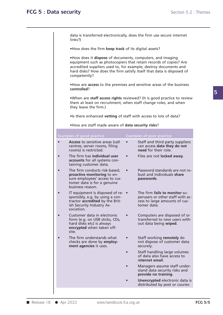**UNICE SECTES SECTES SECTES SECTES SECTES**<br> **data is transferred electronically, does the firm use secure internet links?)** data is transferred electronically, does the firm use secure internet<br>links?)<br>•How does the firm **keep track** of its digital assets?<br>•How does it **dispose** of documents, computers, and imaging

**data is transferred electronically, does the firm use secure internet<br>
links?)**<br>
•How does the firm **keep track** of its digital assets?<br>
•How does it **dispose** of documents, computers, and imaging<br>
equipment such as photo data is transferred electronically, does the firm use secure internet<br>
links?)<br>
• How does the firm **keep track** of its digital assets?<br>
• How does it **dispose** of documents, computers, and imaging<br>
equipment such as photo •How does the firm **keep track** of its digital assets?<br>•How does it **dispose** of documents, computers, and imaging<br>equipment such as photocopiers that retain records of copies? Are<br>accredited suppliers used to, for example • How does the firm keep track of its digital assets?<br>• How does it dispose of documents, computers, and imaging<br>equipment such as photocopiers that retain records of copies? Are<br>accredited suppliers used to, for example, competently? •How does it **dispose** of documents, computers, and imaging<br>equipment such as photocopiers that retain records of copies? Are<br>accredited suppliers used to, for example, destroy documents and<br>hard disks? How does the firm s

**controlled**?

France Competently?<br>•How are **access** to the premises and sensitive areas of the business<br>**controlled?**<br>•When are **staff access rights** reviewed? (It is good practice to review<br>them at least on recruitment, when staff chan •How are access to the premises and sensitive areas of the business<br>controlled?<br>•When are staff access rights reviewed? (It is good practice to review<br>them at least on recruitment, when staff change roles, and when<br>they le How are **access** to the premises and sensitive areas of the business<br> **controlled?**<br>
•When are **staff access rights** reviewed? (It is good practice to review<br>
them at least on recruitment, when staff change roles, and when •When are **staff access rights** reviewed? (It is good practice to review them at least on recruitment, when staff change roles, and when they leave the firm.)<br>•Is there enhanced **vetting** of staff with access to lots of da

| Examples of good practice     |                                                                                                                                             |           | Examples of poor practice                                                                                         |  |
|-------------------------------|---------------------------------------------------------------------------------------------------------------------------------------------|-----------|-------------------------------------------------------------------------------------------------------------------|--|
| $\bullet$                     | Access to sensitive areas (call<br>centres, server rooms, filing<br>rooms) is restricted.                                                   | $\bullet$ | Staff and third party suppliers<br>can access data they do not<br>need for their role.                            |  |
| $\bullet$                     | The firm has individual user<br>accounts for all systems con-<br>taining customer data.                                                     |           | Files are not locked away.                                                                                        |  |
| $\bullet$<br>business reason. | The firm conducts risk-based,<br>proactive monitoring to en-<br>sure employees' access to cus-<br>tomer data is for a genuine               | $\bullet$ | Password standards are not ro-<br>bust and individuals share<br>passwords.                                        |  |
| $\bullet$<br>sociation.       | IT equipment is disposed of re- •<br>sponsibly, e.g. by using a con-<br>tractor <b>accredited</b> by the Brit-<br>ish Security Industry As- |           | The firm fails to monitor su-<br>perusers or other staff with ac-<br>cess to large amounts of cus-<br>tomer data. |  |
| $\bullet$<br>site.            | Customer data in electronic<br>form (e.g. on USB sticks, CDs,<br>hard disks etc) is always<br>encrypted when taken off-                     |           | Computers are disposed of or<br>transferred to new users with-<br>out data being wiped.                           |  |
| $\bullet$                     | The firm understands what<br>checks are done by employ-<br>ment agencies it uses.                                                           | $\bullet$ | Staff working remotely do<br>not dispose of customer data<br>securely.                                            |  |
|                               |                                                                                                                                             | $\bullet$ | Staff handling large volumes<br>of data also have access to<br>internet email.                                    |  |
|                               |                                                                                                                                             |           | Managers assume staff under-<br>stand data security risks and<br>provide no training.                             |  |
|                               |                                                                                                                                             |           | Unencrypted electronic data is<br>distributed by post or courier.                                                 |  |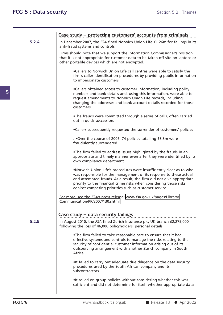|       | Case study – protecting customers' accounts from criminals                                                                                                                                                                                                                                                                                         |
|-------|----------------------------------------------------------------------------------------------------------------------------------------------------------------------------------------------------------------------------------------------------------------------------------------------------------------------------------------------------|
| 5.2.4 | In December 2007, the FSA fined Norwich Union Life £1.26m for failings in its<br>anti-fraud systems and controls.                                                                                                                                                                                                                                  |
|       | Firms should note that we support the Information Commissioner's position<br>that it is not appropriate for customer data to be taken off-site on laptops or<br>other portable devices which are not encrypted.                                                                                                                                    |
|       | .Callers to Norwich Union Life call centres were able to satisfy the<br>firm's caller identification procedures by providing public information<br>to impersonate customers.                                                                                                                                                                       |
|       | •Callers obtained access to customer information, including policy<br>numbers and bank details and, using this information, were able to<br>request amendments to Norwich Union Life records, including<br>changing the addresses and bank account details recorded for those<br>customers.                                                        |
|       | .The frauds were committed through a series of calls, often carried<br>out in quick succession.                                                                                                                                                                                                                                                    |
|       | .Callers subsequently requested the surrender of customers' policies                                                                                                                                                                                                                                                                               |
|       | . . Over the course of 2006, 74 policies totalling £3.3m were<br>fraudulently surrendered.                                                                                                                                                                                                                                                         |
|       | .The firm failed to address issues highlighted by the frauds in an<br>appropriate and timely manner even after they were identified by its<br>own compliance department.                                                                                                                                                                           |
|       | .Norwich Union Life's procedures were insufficiently clear as to who<br>was responsible for the management of its response to these actual<br>and attempted frauds. As a result, the firm did not give appropriate<br>priority to the financial crime risks when considering those risks<br>against competing priorities such as customer service. |
|       | For more, see the FSA's press release: www.fsa.gov.uk/pages/Library/<br>Communication/PR/2007/130.shtml                                                                                                                                                                                                                                            |
|       | Case study - data security failings                                                                                                                                                                                                                                                                                                                |
| 5.2.5 | In August 2010, the FSA fined Zurich Insurance plc, UK branch £2,275,000<br>following the loss of 46,000 policyholders' personal details.                                                                                                                                                                                                          |
|       | .The firm failed to take reasonable care to ensure that it had<br>effective systems and controls to manage the risks relating to the<br>security of confidential customer information arising out of its<br>outsourcing arrangement with another Zurich company in South<br>Africa.                                                                |
|       | . It failed to carry out adequate due diligence on the data security<br>procedures used by the South African company and its<br>subcontractors.                                                                                                                                                                                                    |
|       | . It relied on group policies without considering whether this was<br>sufficient and did not determine for itself whether appropriate data                                                                                                                                                                                                         |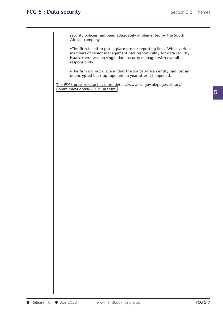security policies had been adequately implemented by the South<br>African company.

Security policies had been adequately implemented by the South<br>African company.<br>•The firm failed to put in place proper reporting lines. While various<br>members of senior management had responsibility for data security<br>issue security policies had been adequately implemented by the South<br>African company.<br>•The firm failed to put in place proper reporting lines. While various<br>members of senior management had responsibility for data security<br>issue security policies had been adequately implemented by the South<br>African company.<br>The firm failed to put in place proper reporting lines. While various<br>members of senior management had responsibility for data security<br>issues The firm failed to put in place proper reporting lines. While various<br>members of senior management had responsibility for data security<br>issues, there was no single data security manager with overall<br>responsibility.<br>The fir The firm failed to put in place proper reporting lines. While v<br>
members of senior management had responsibility for data see<br>
issues, there was no single data security manager with overall<br>
responsibility.<br>
•The firm did Issues, there was no single data security manager with overall<br>responsibility.<br>The firm did not discover that the South African entity had lost an<br>unencrypted back-up tape until a year after it happened.<br>The *FSA's* press

Communication/PR/2010/134.shtml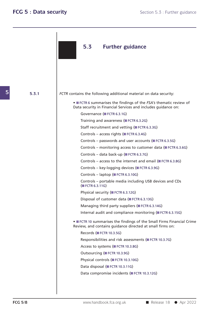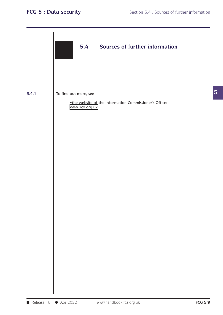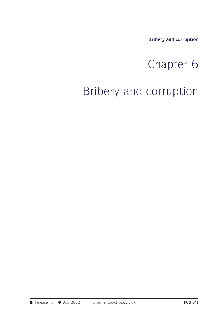**Bribery and corruption**

# Bribery and corruption<br>
Chapter 6<br>
Corruption

# Bribery and corruption<br>Chapter 6<br>Bribery and corruption

■ Release 18 ● Apr 2022 www.handbook.fca.org.uk **FCG 6/1**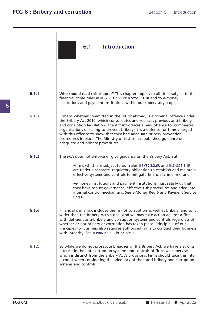| 6.1 | <b>Introduction</b> |  |
|-----|---------------------|--|

| 6.1.1 | Who should read this chapter? This chapter applies to all firms subject to the<br>financial crime rules in ■ SYSC 3.2.6R or ■ SYSC 6.1.1R and to e-money<br>institutions and payment institutions within our supervisory scope.                                                                                                                                                                                                                                                                                   |
|-------|-------------------------------------------------------------------------------------------------------------------------------------------------------------------------------------------------------------------------------------------------------------------------------------------------------------------------------------------------------------------------------------------------------------------------------------------------------------------------------------------------------------------|
| 6.1.2 | Bribery, whether committed in the UK or abroad, is a criminal offence under<br>the Bribery Act 2010, which consolidates and replaces previous anti-bribery<br>and corruption legislation. The Act introduces a new offence for commercial<br>organisations of failing to prevent bribery. It is a defence for firms charged<br>with this offence to show that they had adequate bribery-prevention<br>procedures in place. The Ministry of Justice has published guidance on<br>adequate anti-bribery procedures. |
| 6.1.3 | The FCA does not enforce or give guidance on the Bribery Act. But:                                                                                                                                                                                                                                                                                                                                                                                                                                                |
|       | •firms which are subject to our rules ■ SYSC 3.2.6R and ■ SYSC 6.1.1R<br>are under a separate, regulatory obligation to establish and maintain<br>effective systems and controls to mitigate financial crime risk; and                                                                                                                                                                                                                                                                                            |
|       | •e-money institutions and payment institutions must satisfy us that<br>they have robust governance, effective risk procedures and adequate<br>internal control mechanisms. See E-Money Reg 6 and Payment Service<br>Reg 6.                                                                                                                                                                                                                                                                                        |
| 6.1.4 | Financial crime risk includes the risk of corruption as well as bribery, and so is<br>wider than the Bribery Act's scope. And we may take action against a firm<br>with deficient anti-bribery and corruption systems and controls regardless of<br>whether or not bribery or corruption has taken place. Principle 1 of our<br>Principles for Business also requires authorised firms to conduct their business<br>with integrity. See PRIN 2.1.1R: Principle 1.                                                 |
| 6.1.5 | So while we do not prosecute breaches of the Bribery Act, we have a strong<br>interest in the anti-corruption systems and controls of firms we supervise,<br>which is distinct from the Bribery Act's provisions. Firms should take this into<br>account when considering the adequacy of their anti-bribery and corruption<br>systems and controls.                                                                                                                                                              |
|       |                                                                                                                                                                                                                                                                                                                                                                                                                                                                                                                   |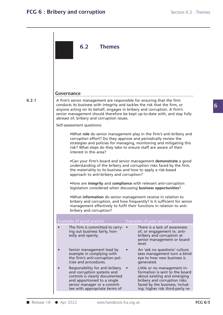**6**

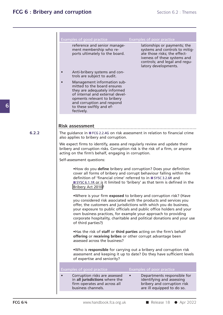|       | Examples of good practice                                                                                                                                                                                                            | <b>Examples of poor practice</b>                                                                                                                                                                                                                                                                                                                                                                                                 |
|-------|--------------------------------------------------------------------------------------------------------------------------------------------------------------------------------------------------------------------------------------|----------------------------------------------------------------------------------------------------------------------------------------------------------------------------------------------------------------------------------------------------------------------------------------------------------------------------------------------------------------------------------------------------------------------------------|
|       | reference and senior manage-<br>ment membership who re-<br>ports ultimately to the board.                                                                                                                                            | lationships or payments; the<br>systems and controls to mitig-<br>ate those risks; the effect-<br>iveness of these systems and<br>controls; and legal and regu-<br>latory developments.                                                                                                                                                                                                                                          |
|       | Anti-bribery systems and con-<br>trols are subject to audit.                                                                                                                                                                         |                                                                                                                                                                                                                                                                                                                                                                                                                                  |
|       | Management information sub-<br>mitted to the board ensures<br>they are adequately informed<br>of internal and external devel-<br>opments relevant to bribery<br>and corruption and respond<br>to these swiftly and ef-<br>fectively. |                                                                                                                                                                                                                                                                                                                                                                                                                                  |
|       | <b>Risk assessment</b>                                                                                                                                                                                                               |                                                                                                                                                                                                                                                                                                                                                                                                                                  |
| 6.2.2 | The guidance in FCG 2.2.4G on risk assessment in relation to financial crime<br>also applies to bribery and corruption.                                                                                                              |                                                                                                                                                                                                                                                                                                                                                                                                                                  |
|       | We expect firms to identify, assess and regularly review and update their<br>bribery and corruption risks. Corruption risk is the risk of a firm, or anyone<br>acting on the firm's behalf, engaging in corruption.                  |                                                                                                                                                                                                                                                                                                                                                                                                                                  |
|       | Self-assessment questions:                                                                                                                                                                                                           |                                                                                                                                                                                                                                                                                                                                                                                                                                  |
|       | definition of 'financial crime' referred to in ■ SYSC 3.2.6R and<br>Bribery Act 2010?                                                                                                                                                | . How do you define bribery and corruption? Does your definition<br>cover all forms of bribery and corrupt behaviour falling within the<br>SYSC 6.1.1R or is it limited to 'bribery' as that term is defined in the                                                                                                                                                                                                              |
|       | of third parties?)                                                                                                                                                                                                                   | .Where is your firm exposed to bribery and corruption risk? (Have<br>you considered risk associated with the products and services you<br>offer, the customers and jurisdictions with which you do business,<br>your exposure to public officials and public office holders and your<br>own business practices, for example your approach to providing<br>corporate hospitality, charitable and political donations and your use |
|       | offering or receiving bribes or other corrupt advantage been<br>assessed across the business?                                                                                                                                        | . Has the risk of staff or third parties acting on the firm's behalf                                                                                                                                                                                                                                                                                                                                                             |
|       | of expertise and seniority?                                                                                                                                                                                                          | .Who is responsible for carrying out a bribery and corruption risk<br>assessment and keeping it up to date? Do they have sufficient levels                                                                                                                                                                                                                                                                                       |
|       | Examples of good practice                                                                                                                                                                                                            | Examples of poor practice                                                                                                                                                                                                                                                                                                                                                                                                        |
|       | Corruption risks are assessed<br>in all jurisdictions where the<br>firm operates and across all                                                                                                                                      | Departments responsible for<br>identifying and assessing<br>bribery and corruption risk<br>are ill equipped to do so.                                                                                                                                                                                                                                                                                                            |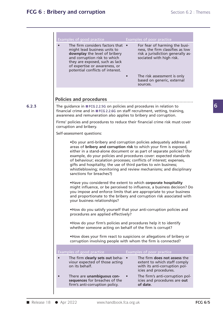| Examples of good practice                                                                                                                                                                                                                 | Examples of poor practice                                                                                                                                                                                                                                                                                                                                                                                                                 |  |
|-------------------------------------------------------------------------------------------------------------------------------------------------------------------------------------------------------------------------------------------|-------------------------------------------------------------------------------------------------------------------------------------------------------------------------------------------------------------------------------------------------------------------------------------------------------------------------------------------------------------------------------------------------------------------------------------------|--|
| The firm considers factors that •<br>might lead business units to<br>downplay the level of bribery<br>and corruption risk to which<br>they are exposed, such as lack<br>of expertise or awareness, or<br>potential conflicts of interest. | For fear of harming the busi-<br>ness, the firm classifies as low<br>risk a jurisdiction generally as-<br>sociated with high risk.                                                                                                                                                                                                                                                                                                        |  |
|                                                                                                                                                                                                                                           | The risk assessment is only<br>based on generic, external<br>sources.                                                                                                                                                                                                                                                                                                                                                                     |  |
| Policies and procedures                                                                                                                                                                                                                   |                                                                                                                                                                                                                                                                                                                                                                                                                                           |  |
| The guidance in ■ FCG 2.2.5G on policies and procedures in relation to<br>financial crime and in ■ FCG 2.2.6G on staff recruitment, vetting, training,<br>awareness and remuneration also applies to bribery and corruption.              |                                                                                                                                                                                                                                                                                                                                                                                                                                           |  |
| Firms' policies and procedures to reduce their financial crime risk must cover<br>corruption and bribery.                                                                                                                                 |                                                                                                                                                                                                                                                                                                                                                                                                                                           |  |
| Self-assessment questions:                                                                                                                                                                                                                |                                                                                                                                                                                                                                                                                                                                                                                                                                           |  |
| gifts and hospitality; the use of third parties to win business;<br>sanctions for breaches?)                                                                                                                                              | .Do your anti-bribery and corruption policies adequately address all<br>areas of bribery and corruption risk to which your firm is exposed,<br>either in a stand-alone document or as part of separate policies? (for<br>example, do your policies and procedures cover: expected standards<br>of behaviour; escalation processes; conflicts of interest; expenses,<br>whistleblowing; monitoring and review mechanisms; and disciplinary |  |
| your business relationships?                                                                                                                                                                                                              | . Have you considered the extent to which corporate hospitality<br>might influence, or be perceived to influence, a business decision? Do<br>you impose and enforce limits that are appropriate to your business<br>and proportionate to the bribery and corruption risk associated with                                                                                                                                                  |  |
| procedures are applied effectively?                                                                                                                                                                                                       | . How do you satisfy yourself that your anti-corruption policies and                                                                                                                                                                                                                                                                                                                                                                      |  |
| whether someone acting on behalf of the firm is corrupt?                                                                                                                                                                                  | . How do your firm's policies and procedures help it to identify                                                                                                                                                                                                                                                                                                                                                                          |  |
|                                                                                                                                                                                                                                           | . How does your firm react to suspicions or allegations of bribery or<br>corruption involving people with whom the firm is connected?                                                                                                                                                                                                                                                                                                     |  |
| Examples of good practice                                                                                                                                                                                                                 | <b>Examples of poor practice</b>                                                                                                                                                                                                                                                                                                                                                                                                          |  |
| The firm clearly sets out beha- .<br>viour expected of those acting<br>on its behalf.                                                                                                                                                     | The firm does not assess the<br>extent to which staff comply<br>with its anti-corruption pol-<br>icies and procedures.                                                                                                                                                                                                                                                                                                                    |  |
| There are unambiguous con-<br>sequences for breaches of the                                                                                                                                                                               | The firm's anti-corruption pol-<br>icies and procedures are out<br>of date.                                                                                                                                                                                                                                                                                                                                                               |  |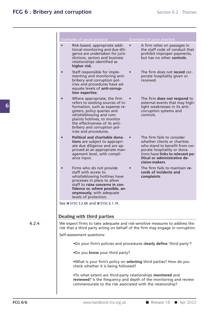|       | Examples of good practice<br>Risk-based, appropriate addi-<br>$\bullet$<br>tional monitoring and due dili-<br>gence are undertaken for juris-<br>dictions, sectors and business<br>relationships identified as<br>higher risk.                                                                      | $\bullet$ | Examples of poor practice<br>A firm relies on passages in<br>the staff code of conduct that<br>prohibit improper payments,<br>but has no other controls.                                                           |  |  |  |
|-------|-----------------------------------------------------------------------------------------------------------------------------------------------------------------------------------------------------------------------------------------------------------------------------------------------------|-----------|--------------------------------------------------------------------------------------------------------------------------------------------------------------------------------------------------------------------|--|--|--|
|       | Staff responsible for imple-<br>$\bullet$<br>menting and monitoring anti-<br>bribery and corruption pol-<br>icies and procedures have ad-<br>equate levels of anti-corrup-<br>tion expertise.                                                                                                       |           | The firm does not record cor-<br>porate hospitality given or<br>received.                                                                                                                                          |  |  |  |
|       | Where appropriate, the firm<br>$\bullet$<br>refers to existing sources of in-<br>formation, such as expense re-<br>gisters, policy queries and<br>whistleblowing and com-<br>plaints hotlines, to monitor<br>the effectiveness of its anti-<br>bribery and corruption pol-<br>icies and procedures. | $\bullet$ | The firm does not respond to<br>external events that may high-<br>light weaknesses in its anti-<br>corruption systems and<br>controls.                                                                             |  |  |  |
|       | Political and charitable dona-<br>$\bullet$<br>tions are subject to appropri-<br>ate due diligence and are ap-<br>proved at an appropriate man-<br>agement level, with compli-<br>ance input.                                                                                                       |           | The firm fails to consider<br>whether clients or charities<br>who stand to benefit from cor-<br>porate hospitality or dona-<br>tions have links to relevant po-<br>litical or administrative de-<br>cision-makers. |  |  |  |
|       | Firms who do not provide<br>$\bullet$<br>staff with access to<br>whistleblowing hotlines have<br>processes in place to allow<br>staff to raise concerns in con-<br>fidence or, where possible, an-<br>onymously, with adequate<br>levels of protection.                                             |           | The firm fails to maintain re-<br>cords of incidents and<br>complaints.                                                                                                                                            |  |  |  |
|       | See ■ SYSC 3.2.6R and ■ SYSC 6.1.1R.                                                                                                                                                                                                                                                                |           |                                                                                                                                                                                                                    |  |  |  |
|       | Dealing with third parties                                                                                                                                                                                                                                                                          |           |                                                                                                                                                                                                                    |  |  |  |
| 6.2.4 | We expect firms to take adequate and risk-sensitive measures to address the<br>risk that a third party acting on behalf of the firm may engage in corruption.                                                                                                                                       |           |                                                                                                                                                                                                                    |  |  |  |
|       | Self-assessment questions:                                                                                                                                                                                                                                                                          |           |                                                                                                                                                                                                                    |  |  |  |
|       | .Do your firm's policies and procedures clearly define 'third party'?                                                                                                                                                                                                                               |           |                                                                                                                                                                                                                    |  |  |  |
|       | .Do you know your third party?                                                                                                                                                                                                                                                                      |           |                                                                                                                                                                                                                    |  |  |  |
|       | .What is your firm's policy on selecting third parties? How do you<br>check whether it is being followed?                                                                                                                                                                                           |           |                                                                                                                                                                                                                    |  |  |  |
|       | .To what extent are third-party relationships monitored and<br>commensurate to the risk associated with the relationship?                                                                                                                                                                           |           | reviewed? Is the frequency and depth of the monitoring and review                                                                                                                                                  |  |  |  |
|       |                                                                                                                                                                                                                                                                                                     |           |                                                                                                                                                                                                                    |  |  |  |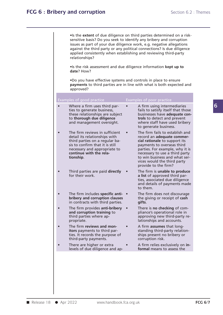| sensitive basis? Do you seek to identify any bribery and corruption<br>issues as part of your due diligence work, e.g. negative allegations<br>applied consistently when establishing and reviewing third-party<br>relationships? | • Is the extent of due diligence on third parties determined on a risk-<br>against the third party or any political connections? Is due diligence                                                                                                                                         |
|-----------------------------------------------------------------------------------------------------------------------------------------------------------------------------------------------------------------------------------|-------------------------------------------------------------------------------------------------------------------------------------------------------------------------------------------------------------------------------------------------------------------------------------------|
| . Is the risk assessment and due diligence information kept up to<br>date? How?                                                                                                                                                   |                                                                                                                                                                                                                                                                                           |
| .Do you have effective systems and controls in place to ensure<br>approved?                                                                                                                                                       | payments to third parties are in line with what is both expected and                                                                                                                                                                                                                      |
| Examples of good practice                                                                                                                                                                                                         | Examples of poor practice                                                                                                                                                                                                                                                                 |
| Where a firm uses third par-<br>ties to generate business,<br>these relationships are subject<br>to thorough due diligence<br>and management oversight.                                                                           | A firm using intermediaries<br>fails to satisfy itself that those<br>businesses have adequate con-<br>trols to detect and prevent<br>where staff have used bribery<br>to generate business.                                                                                               |
| The firm reviews in sufficient<br>detail its relationships with<br>third parties on a regular ba-<br>sis to confirm that it is still<br>necessary and appropriate to<br>continue with the rela-<br>tionship.                      | The firm fails to establish and<br>record an adequate commer-<br>cial rationale to support its<br>payments to overseas third<br>parties. For example, why it is<br>necessary to use a third party<br>to win business and what ser-<br>vices would the third party<br>provide to the firm? |
| Third parties are paid directly<br>for their work.                                                                                                                                                                                | The firm is unable to produce<br>a list of approved third par-<br>ties, associated due diligence<br>and details of payments made<br>to them.                                                                                                                                              |
| The firm includes specific anti-<br>bribery and corruption clauses<br>in contracts with third parties.                                                                                                                            | The firm does not discourage<br>the giving or receipt of cash<br>gifts.                                                                                                                                                                                                                   |
| The firm provides anti-bribery<br>and corruption training to<br>third parties where ap-<br>propriate.                                                                                                                             | There is no checking of com-<br>pliance's operational role in<br>approving new third-party re-<br>lationships and accounts.                                                                                                                                                               |
| The firm reviews and mon-<br><b>itors</b> payments to third par-<br>ties. It records the purpose of<br>third-party payments.                                                                                                      | A firm <b>assumes</b> that long-<br>standing third-party relation-<br>ships present no bribery or<br>corruption risk.                                                                                                                                                                     |
| There are higher or extra<br>levels of due diligence and ap-                                                                                                                                                                      | A firm relies exclusively on in-<br>formal means to assess the                                                                                                                                                                                                                            |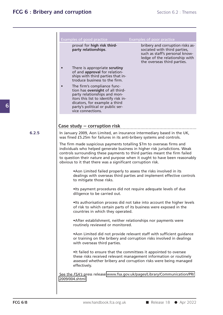| proval for high risk third-<br>party relationships.<br>sociated with third parties,<br>the overseas third parties.<br>There is appropriate scrutiny<br>of and approval for relation-<br>ships with third parties that in-<br>troduce business to the firm.<br>The firm's compliance func-<br>tion has oversight of all third-<br>party relationships and mon-<br>itors this list to identify risk in-<br>dicators, for example a third<br>party's political or public ser-<br>vice connections.<br>Case study - corruption risk<br>In January 2009, Aon Limited, an insurance intermediary based in the UK,<br>was fined £5.25m for failures in its anti-bribery systems and controls.<br>The firm made suspicious payments totalling \$7m to overseas firms and<br>individuals who helped generate business in higher risk jurisdictions. Weak<br>controls surrounding these payments to third parties meant the firm failed<br>to question their nature and purpose when it ought to have been reasonably<br>obvious to it that there was a significant corruption risk.<br>• Aon Limited failed properly to assess the risks involved in its<br>dealings with overseas third parties and implement effective controls<br>to mitigate those risks.<br>. Its payment procedures did not require adequate levels of due<br>diligence to be carried out.<br>. Its authorisation process did not take into account the higher levels<br>of risk to which certain parts of its business were exposed in the<br>countries in which they operated.<br>• After establishment, neither relationships nor payments were<br>routinely reviewed or monitored.<br>• Aon Limited did not provide relevant staff with sufficient guidance<br>or training on the bribery and corruption risks involved in dealings<br>with overseas third parties.<br>. It failed to ensure that the committees it appointed to oversee<br>these risks received relevant management information or routinely<br>assessed whether bribery and corruption risks were being managed<br>effectively. | Examples of good practice | Examples of poor practice                                                                            |
|--------------------------------------------------------------------------------------------------------------------------------------------------------------------------------------------------------------------------------------------------------------------------------------------------------------------------------------------------------------------------------------------------------------------------------------------------------------------------------------------------------------------------------------------------------------------------------------------------------------------------------------------------------------------------------------------------------------------------------------------------------------------------------------------------------------------------------------------------------------------------------------------------------------------------------------------------------------------------------------------------------------------------------------------------------------------------------------------------------------------------------------------------------------------------------------------------------------------------------------------------------------------------------------------------------------------------------------------------------------------------------------------------------------------------------------------------------------------------------------------------------------------------------------------------------------------------------------------------------------------------------------------------------------------------------------------------------------------------------------------------------------------------------------------------------------------------------------------------------------------------------------------------------------------------------------------------------------------------------------------------------------------------------------------------------------------|---------------------------|------------------------------------------------------------------------------------------------------|
|                                                                                                                                                                                                                                                                                                                                                                                                                                                                                                                                                                                                                                                                                                                                                                                                                                                                                                                                                                                                                                                                                                                                                                                                                                                                                                                                                                                                                                                                                                                                                                                                                                                                                                                                                                                                                                                                                                                                                                                                                                                                    |                           | bribery and corruption risks as-<br>such as staff's personal know-<br>ledge of the relationship with |
|                                                                                                                                                                                                                                                                                                                                                                                                                                                                                                                                                                                                                                                                                                                                                                                                                                                                                                                                                                                                                                                                                                                                                                                                                                                                                                                                                                                                                                                                                                                                                                                                                                                                                                                                                                                                                                                                                                                                                                                                                                                                    |                           |                                                                                                      |
|                                                                                                                                                                                                                                                                                                                                                                                                                                                                                                                                                                                                                                                                                                                                                                                                                                                                                                                                                                                                                                                                                                                                                                                                                                                                                                                                                                                                                                                                                                                                                                                                                                                                                                                                                                                                                                                                                                                                                                                                                                                                    |                           |                                                                                                      |
| 6.2.5                                                                                                                                                                                                                                                                                                                                                                                                                                                                                                                                                                                                                                                                                                                                                                                                                                                                                                                                                                                                                                                                                                                                                                                                                                                                                                                                                                                                                                                                                                                                                                                                                                                                                                                                                                                                                                                                                                                                                                                                                                                              |                           |                                                                                                      |
|                                                                                                                                                                                                                                                                                                                                                                                                                                                                                                                                                                                                                                                                                                                                                                                                                                                                                                                                                                                                                                                                                                                                                                                                                                                                                                                                                                                                                                                                                                                                                                                                                                                                                                                                                                                                                                                                                                                                                                                                                                                                    |                           |                                                                                                      |
|                                                                                                                                                                                                                                                                                                                                                                                                                                                                                                                                                                                                                                                                                                                                                                                                                                                                                                                                                                                                                                                                                                                                                                                                                                                                                                                                                                                                                                                                                                                                                                                                                                                                                                                                                                                                                                                                                                                                                                                                                                                                    |                           |                                                                                                      |
|                                                                                                                                                                                                                                                                                                                                                                                                                                                                                                                                                                                                                                                                                                                                                                                                                                                                                                                                                                                                                                                                                                                                                                                                                                                                                                                                                                                                                                                                                                                                                                                                                                                                                                                                                                                                                                                                                                                                                                                                                                                                    |                           |                                                                                                      |
|                                                                                                                                                                                                                                                                                                                                                                                                                                                                                                                                                                                                                                                                                                                                                                                                                                                                                                                                                                                                                                                                                                                                                                                                                                                                                                                                                                                                                                                                                                                                                                                                                                                                                                                                                                                                                                                                                                                                                                                                                                                                    |                           |                                                                                                      |
|                                                                                                                                                                                                                                                                                                                                                                                                                                                                                                                                                                                                                                                                                                                                                                                                                                                                                                                                                                                                                                                                                                                                                                                                                                                                                                                                                                                                                                                                                                                                                                                                                                                                                                                                                                                                                                                                                                                                                                                                                                                                    |                           |                                                                                                      |
|                                                                                                                                                                                                                                                                                                                                                                                                                                                                                                                                                                                                                                                                                                                                                                                                                                                                                                                                                                                                                                                                                                                                                                                                                                                                                                                                                                                                                                                                                                                                                                                                                                                                                                                                                                                                                                                                                                                                                                                                                                                                    |                           |                                                                                                      |
|                                                                                                                                                                                                                                                                                                                                                                                                                                                                                                                                                                                                                                                                                                                                                                                                                                                                                                                                                                                                                                                                                                                                                                                                                                                                                                                                                                                                                                                                                                                                                                                                                                                                                                                                                                                                                                                                                                                                                                                                                                                                    |                           |                                                                                                      |
|                                                                                                                                                                                                                                                                                                                                                                                                                                                                                                                                                                                                                                                                                                                                                                                                                                                                                                                                                                                                                                                                                                                                                                                                                                                                                                                                                                                                                                                                                                                                                                                                                                                                                                                                                                                                                                                                                                                                                                                                                                                                    |                           |                                                                                                      |
|                                                                                                                                                                                                                                                                                                                                                                                                                                                                                                                                                                                                                                                                                                                                                                                                                                                                                                                                                                                                                                                                                                                                                                                                                                                                                                                                                                                                                                                                                                                                                                                                                                                                                                                                                                                                                                                                                                                                                                                                                                                                    |                           |                                                                                                      |
| See the FSA's press release: www.fsa.gov.uk/pages/Library/Communication/PR/<br>2009/004.shtml                                                                                                                                                                                                                                                                                                                                                                                                                                                                                                                                                                                                                                                                                                                                                                                                                                                                                                                                                                                                                                                                                                                                                                                                                                                                                                                                                                                                                                                                                                                                                                                                                                                                                                                                                                                                                                                                                                                                                                      |                           |                                                                                                      |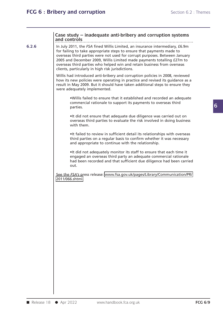### **Case study – inadequate anti-bribery and corruption systems**<br>and controls<br>the luke 2011, the 554 fined Willis Limited, an insurance intermediate 56.9m Case study – inadequate anti-bribery and corruption systems<br>
and controls<br>
In July 2011, the *FSA* fined Willis Limited, an insurance intermediary, £6.9m

### **6.2.6** In July 2011, the FSA fined Willis Limited, an insurance intermediary, £6.9m Case study — inadequate anti-bribery and corruption systems<br>and controls<br>In July 2011, the *FSA* fined Willis Limited, an insurance intermediary, £6.9m<br>for failing to take appropriate steps to ensure that payments made to<br> Case study – inadequate anti-bribery and corruption systems<br>and controls<br>In July 2011, the *FSA* fined Willis Limited, an insurance intermediary, £6.9m<br>for failing to take appropriate steps to ensure that payments made to Case study — inadequate anti-bribery and corruption systems<br>and controls<br>In July 2011, the *FSA* fined Willis Limited, an insurance intermediary, £6.9m<br>for failing to take appropriate steps to ensure that payments made to Case study — inadequate anti-bribery and corruption systems<br>and controls<br>In July 2011, the FSA fined Willis Limited, an insurance intermediary, £6.9m<br>for failing to take appropriate steps to ensure that payments made to<br>o and controls<br>In July 2011, the *FSA* fined Willis Limited, an insurance intermediary, £6.9m<br>for failing to take appropriate steps to ensure that payments made to<br>overseas third parties were not used for corrupt purposes. B In July 2011, the *FSA* fined Willis Limited, an insu<br>for failing to take appropriate steps to ensure th<br>overseas third parties were not used for corrupt |<br>2005 and December 2009, Willis Limited made pa<br>overseas third part for failing to take appropriate steps to ensure that payments made to<br>overseas third parties were not used for corrupt purposes. Between January<br>2005 and December 2009, Willis Limited made payments totalling £27m to<br>overse overseas third parties were not used for corrupt purposes. Between January<br>2005 and December 2009, Willis Limited made payments totalling £27m to<br>overseas third parties who helped win and retain business from overseas<br>clie

2005 and December 2009, Willis Limited made payments totalling f27m to<br>2005 and December 2009, Willis Limited made payments totalling f27m to<br>overseas third parties who helped win and retain business from overseas<br>clients, overseas third parties who helped win and retain business from overseas<br>clients, particularly in high risk jurisdictions.<br>Willis had introduced anti-bribery and corruption policies in 2008, reviewed<br>how its new policies we ad introduced anti-bribery and corruption policies in 2008, reviewed<br>new policies were operating in practice and revised its guidance as a<br>i May 2009. But it should have taken additional steps to ensure they<br>lequately impl

France is equately implemented.<br>
•Willis failed to ensure that it established and recorded an adequate<br>
commercial rationale to support its payments to overseas third<br>
•It did not ensure that adequate due diligence was car • Willis failed to ensure that it established and recorded an adequate commercial rationale to support its payments to overseas third parties.<br>• It did not ensure that adequate due diligence was carried out on overseas thi

Willis failed to ensure that it established and recorded an adequate<br>commercial rationale to support its payments to overseas third<br>parties.<br>It did not ensure that adequate due diligence was carried out on<br>overseas third p

It did not ensure that adequate due diligence was carried out on<br>overseas third parties to evaluate the risk involved in doing business<br>with them.<br>It failed to review in sufficient detail its relationships with overseas<br>th It did not ensure that adequate due diligence was carried out on<br>overseas third parties to evaluate the risk involved in doing business<br>with them.<br>It failed to review in sufficient detail its relationships with overseas<br>th

It failed to review in sufficient detail its relationships with overseas<br>third parties on a regular basis to confirm whether it was necessary<br>and appropriate to continue with the relationship.<br>It did not adequately monitor •It failed to review in sufficient detail its relationships with overseas<br>third parties on a regular basis to confirm whether it was necessary<br>and appropriate to continue with the relationship.<br>•It did not adequately monit out. It did not adequately monitor its staff to ensure that each time it<br>engaged an overseas third party an adequate commercial rationale<br>had been recorded and that sufficient due diligence had been carried<br>out.<br>See the *FSA's* 

2011/066.shtml.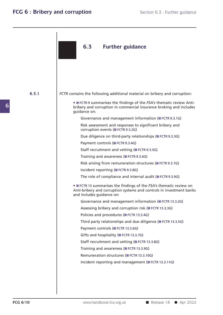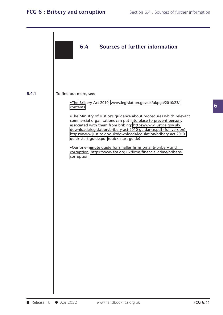

**6.4.1** To find out more, see:

To find out more, see: •The Bribery Act 2010: www.legislation.gov.uk/ukpga/2010/23/

outmore, see:<br>•The Bribery Act 2010: www.legislation.gov.uk/ukpga/2010/23/<br>contents<br>•The Ministry of Justice's guidance about procedures which relevant<br>commercial organisations can put into place to prevent persons<br>associ out more, see:<br>•The Bribery Act 2010: www.legislation.gov.uk/ukpga/2010/23/<br>contents<br>•The Ministry of Justice's guidance about procedures which relevant<br>commercial organisations can put into place to prevent persons<br>associ The Bribery Act 2010: www.legislation.gov.uk/ukpga/2010/23/<br>contents<br>The Ministry of Justice's guidance about procedures which relevant<br>commercial organisations can put into place to prevent persons<br>associated with them fr •The Bribery Act 2010: www.legislation.gov.uk/ukpga/2010/23/<br>contents<br>•The Ministry of Justice's guidance about procedures which relevant<br>commercial organisations can put into place to prevent persons<br>associated with them The Ministry of Justice's guidance about procedures which relevant<br>commercial organisations can put into place to prevent persons<br>associated with them from bribing: https://www.justice.gov.uk/<br>downloads/legislation/bribery associated with them from bribing: https://www.justice.gov.uk/<br>downloads/legislation/bribery-act-2010-guidance.pdf (full versio<br>https://www.justice.gov.uk/downloads/legislation/bribery-act-201<br>quick-start-guide.pdf (quick

corruption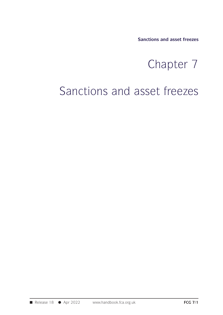**Sanctions and asset freezes**

# tions and asset freezes<br>Chapter 7<br>set freezes

# Sanctions and asset freezes<br>
Chapter 7<br>
Sanctions and asset freezes

■ Release 18 ● Apr 2022 www.handbook.fca.org.uk **FCG 7/1**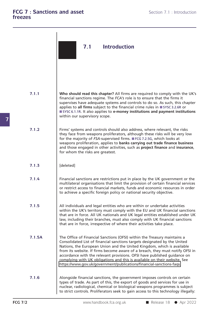|        | 7.1<br><b>Introduction</b>                                                                                                                                                                                                                                                                                                                                                                                                                                                                                                                        |
|--------|---------------------------------------------------------------------------------------------------------------------------------------------------------------------------------------------------------------------------------------------------------------------------------------------------------------------------------------------------------------------------------------------------------------------------------------------------------------------------------------------------------------------------------------------------|
| 7.1.1  | Who should read this chapter? All firms are required to comply with the UK's<br>financial sanctions regime. The FCA's role is to ensure that the firms it<br>supervises have adequate systems and controls to do so. As such, this chapter<br>applies to all firms subject to the financial crime rules in ■ SYSC 3.2.6R or<br>SYSC 6.1.1R. It also applies to e-money institutions and payment institutions<br>within our supervisory scope.                                                                                                     |
| 7.1.2  | Firms' systems and controls should also address, where relevant, the risks<br>they face from weapons proliferators, although these risks will be very low<br>for the majority of FSA-supervised firms. ■ FCG 7.2.5G, which looks at<br>weapons proliferation, applies to banks carrying out trade finance business<br>and those engaged in other activities, such as project finance and insurance,<br>for whom the risks are greatest.                                                                                                           |
| 7.1.3  | [deleted]                                                                                                                                                                                                                                                                                                                                                                                                                                                                                                                                         |
| 7.1.4  | Financial sanctions are restrictions put in place by the UK government or the<br>multilateral organisations that limit the provision of certain financial services<br>or restrict access to financial markets, funds and economic resources in order<br>to achieve a specific foreign policy or national security objective.                                                                                                                                                                                                                      |
| 7.1.5  | All individuals and legal entities who are within or undertake activities<br>within the UK's territory must comply with the EU and UK financial sanctions<br>that are in force. All UK nationals and UK legal entities established under UK<br>law, including their branches, must also comply with UK financial sanctions<br>that are in force, irrespective of where their activities take place.                                                                                                                                               |
| 7.1.5A | The Office of Financial Sanctions (OFSI) within the Treasury maintains a<br>Consolidated List of financial sanctions targets designated by the United<br>Nations, the European Union and the United Kingdom, which is available<br>from its website. If firms become aware of a breach, they must notify OFSI in<br>accordance with the relevant provisions. OFSI have published guidance on<br>complying with UK obligations and this is available on their website. See<br>https://www.gov.uk/government/publications/financial-sanctions-faqs. |
| 7.1.6  | Alongside financial sanctions, the government imposes controls on certain<br>types of trade. As part of this, the export of goods and services for use in<br>nuclear, radiological, chemical or biological weapons programmes is subject<br>to strict controls. Proliferators seek to gain access to this technology illegally:                                                                                                                                                                                                                   |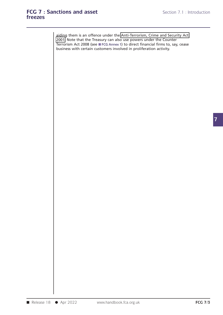### **freezes**

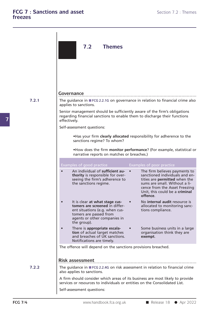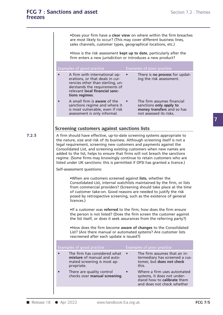**•Does your firm have a clear view on where within the firm breaches<br>•Does your firm have a <b>clear view** on where within the firm breaches<br>are most likely to occur? (This may cover different business lines,<br>sales channels, **arity asset**<br> **•Does your firm have a clear view on where within the firm breaches**<br>
are most likely to occur? (This may cover different business lines,<br>
sales channels, customer types, geographical locations, etc.) **Sales channels, customer view on where within the firm breaches**<br>are most likely to occur? (This may cover different business lines,<br>sales channels, customer types, geographical locations, etc.)<br>•How is the risk assessmen The Poes your firm have a **clear view** on where within the firm breaches<br>are most likely to occur? (This may cover different business lines,<br>sales channels, customer types, geographical locations, etc.)<br>The Phow is the ris

| <b>Examples of good practice</b>                                                                                                                                                          | Examples of poor practice                                                                                      |
|-------------------------------------------------------------------------------------------------------------------------------------------------------------------------------------------|----------------------------------------------------------------------------------------------------------------|
| A firm with international op-<br>erations, or that deals in cur-<br>rencies other than sterling, un-<br>derstands the requirements of<br>relevant local financial sanc-<br>tions regimes. | There is no process for updat-<br>ing the risk assessment.                                                     |
| A small firm is aware of the<br>sanctions regime and where it<br>is most vulnerable, even if risk<br>assessment is only informal.                                                         | The firm assumes financial<br>sanctions only apply to<br>money transfers and so has<br>not assessed its risks. |

**7.2.3** A firm should have effective, up-to-date screening systems appropriate to assessment is only informal. The nature is not assessed its risks.<br>
Screening customers against sanctions lists<br>
A firm should have effective, up-to-date screening systems appropriate to<br>
the nature, size and risk of its b Screening customers against sanctions lists<br>A firm should have effective, up-to-date screening systems appropriate to<br>the nature, size and risk of its business. Although screening itself is not a<br>legal requirement, screeni Screening customers against sanctions lists<br>A firm should have effective, up-to-date screening systems appropriate to<br>the nature, size and risk of its business. Although screening itself is not a<br>legal requirement, screeni Screening customers against sanctions lists<br>A firm should have effective, up-to-date screening systems appropriate to<br>the nature, size and risk of its business. Although screening itself is not a<br>legal requirement, screeni A firm should have effective, up-to-date screening systems appropriate to<br>the nature, size and risk of its business. Although screening itself is not a<br>legal requirement, screening new customers and payments against the<br>Co A tirm should have effective, up-to-date screening systems appropriate to<br>the nature, size and risk of its business. Although screening itself is not a<br>legal requirement, screening new customers and payments against the<br>Co Self-assessment and against screening and against the Consolidated List, and screening existing customers when new names are added to the list, helps to ensure that firms will not breach the sanctions regime. (Some firms m

(Some firms may knowingly continue to retain customers who are<br>nder UK sanctions: this is permitted if OFSI has granted a licence.)<br>essment questions:<br>When are customers screened against **lists**, whether the<br>Consolidated L From Commercial providers?<br>From commercial providers? (SCR) and the time commercial providers?<br>
(Screening should take place at the time<br>
of customer take-on. Good reasons are needed to justify the risk<br>
posed by retrospec **•When are customers screened against lists,** whether the<br> **•When are customers screened against lists,** whether the<br> **Consolidated List, internal watchlists maintained by the firm, or lists**<br>
from commercial providers? (S Self-assessment questions:<br>
• When are customers screened against lists, whether the<br>
Consolidated List, internal watchlists maintained by the firm, or lists<br>
from commercial providers? (Screening should take place at the Consolidated List, internal watchlists maintained by the firm, or lists<br>from commercial providers? (Screening should take place at the time<br>of customer take-on. Good reasons are needed to justify the risk<br>posed by retrospe trom commercial providers? (Screening should take place at the time<br>of customer take-on. Good reasons are needed to justify the risk<br>posed by retrospective screening, such as the existence of general<br>licences.)<br>If a custom

or customer take-on. Good reasons are needed to justity the risk<br>posed by retrospective screening, such as the existence of general<br>licences.)<br>If a customer was **referred** to the firm, how does the firm ensure<br>the person i

If a customer was **referred** to the firm, how does the firm ensure the person is not listed? (Does the firm screen the customer against the list itself, or does it seek assurances from the referring party?)<br>In expectively •It a customer was **reterred** to the firm, how c<br>the person is not listed? (Does the firm screen<br>the list itself, or does it seek assurances from t<br>•How does the firm become aware of change:<br>List? (Are there manual or auto

|           | and not resempt or about the decision and continued the northing party of                                                                                                       |           |                                                                                                                         |  |
|-----------|---------------------------------------------------------------------------------------------------------------------------------------------------------------------------------|-----------|-------------------------------------------------------------------------------------------------------------------------|--|
|           | . How does the firm become aware of changes to the Consolidated<br>List? (Are there manual or automated systems? Are customer lists<br>rescreened after each update is issued?) |           |                                                                                                                         |  |
|           | Examples of good practice                                                                                                                                                       |           | Examples of poor practice                                                                                               |  |
| ●         | The firm has considered what<br>mixture of manual and auto-<br>mated screening is most ap-<br>propriate.                                                                        | $\bullet$ | The firm assumes that an in-<br>termediary has screened a cus-<br>tomer, but does not check<br>this.                    |  |
| $\bullet$ | There are quality control<br>checks over manual screening.                                                                                                                      |           | Where a firm uses automated<br>systems, it does not under-<br>stand how to calibrate them<br>and does not check whether |  |
|           |                                                                                                                                                                                 |           |                                                                                                                         |  |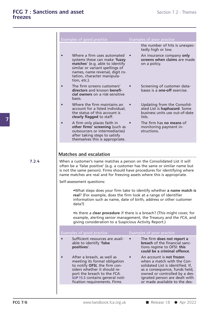| Examples of good practice                                                                                                                                                                                            | <b>Examples of poor practice</b>                                                                                                                                                                                                                                                                                                            |
|----------------------------------------------------------------------------------------------------------------------------------------------------------------------------------------------------------------------|---------------------------------------------------------------------------------------------------------------------------------------------------------------------------------------------------------------------------------------------------------------------------------------------------------------------------------------------|
|                                                                                                                                                                                                                      | the number of hits is unexpec-<br>tedly high or low.                                                                                                                                                                                                                                                                                        |
| Where a firm uses automated<br>systems these can make 'fuzzy<br>matches' (e.g. able to identify<br>similar or variant spellings of<br>names, name reversal, digit ro-<br>tation, character manipula-<br>tion, etc.). | An insurance company only<br>screens when claims are made<br>on a policy.                                                                                                                                                                                                                                                                   |
| The firm screens customers'<br>directors and known benefi-<br>cial owners on a risk-sensitive<br>basis.                                                                                                              | Screening of customer data-<br>bases is a one-off exercise.                                                                                                                                                                                                                                                                                 |
| Where the firm maintains an<br>account for a listed individual,<br>the status of this account is<br>clearly flagged to staff.                                                                                        | Updating from the Consolid-<br>ated List is haphazard. Some<br>business units use out-of-date<br>lists.                                                                                                                                                                                                                                     |
| A firm only places faith in<br>other firms' screening (such as<br>outsourcers or intermediaries)<br>after taking steps to satisfy<br>themselves this is appropriate.                                                 | The firm has no means of<br>monitoring payment in-<br>structions.                                                                                                                                                                                                                                                                           |
| is not the same person). Firms should have procedures for identifying where<br>name matches are real and for freezing assets where this is appropriate.<br>Self-assessment questions:                                | When a customer's name matches a person on the Consolidated List it will                                                                                                                                                                                                                                                                    |
| real? (For example, does the firm look at a range of identifier<br>information such as name, date of birth, address or other customer<br>data?)<br>giving consideration to a Suspicious Activity Report.)            |                                                                                                                                                                                                                                                                                                                                             |
| Examples of good practice                                                                                                                                                                                            | often be a 'false positive' (e.g. a customer has the same or similar name but<br>.What steps does your firm take to identify whether a name match is<br>. Is there a clear procedure if there is a breach? (This might cover, for<br>example, alerting senior management, the Treasury and the FCA, and<br><b>Examples of poor practice</b> |
| Sufficient resources are avail-<br>able to identify 'false<br>positives'.                                                                                                                                            | The firm does not report a<br><b>breach</b> of the financial sanc-<br>tions regime to OFSI: this<br>could be a criminal offence.                                                                                                                                                                                                            |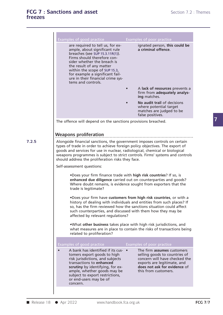| Examples of good practice                                                                                                                                                                                                                                                                                                     | Examples of poor practice                                                                                                                                                                                                                                                                                                |  |
|-------------------------------------------------------------------------------------------------------------------------------------------------------------------------------------------------------------------------------------------------------------------------------------------------------------------------------|--------------------------------------------------------------------------------------------------------------------------------------------------------------------------------------------------------------------------------------------------------------------------------------------------------------------------|--|
| are required to tell us, for ex-<br>ample, about significant rule<br>breaches (see SUP 15.3.11R(1)).<br>Firms should therefore con-<br>sider whether the breach is<br>the result of any matter<br>within the scope of SUP 15.3,<br>for example a significant fail-<br>ure in their financial crime sys-<br>tems and controls. | ignated person, this could be<br>a criminal offence.                                                                                                                                                                                                                                                                     |  |
|                                                                                                                                                                                                                                                                                                                               | A lack of resources prevents a<br>firm from adequately analys-<br>ing matches.                                                                                                                                                                                                                                           |  |
|                                                                                                                                                                                                                                                                                                                               | No audit trail of decisions<br>where potential target<br>matches are judged to be<br>false positives.                                                                                                                                                                                                                    |  |
| The offence will depend on the sanctions provisions breached.                                                                                                                                                                                                                                                                 |                                                                                                                                                                                                                                                                                                                          |  |
| <b>Weapons proliferation</b>                                                                                                                                                                                                                                                                                                  |                                                                                                                                                                                                                                                                                                                          |  |
| should address the proliferation risks they face.                                                                                                                                                                                                                                                                             | Alongside financial sanctions, the government imposes controls on certain<br>types of trade in order to achieve foreign policy objectives. The export of<br>goods and services for use in nuclear, radiological, chemical or biological<br>weapons programmes is subject to strict controls. Firms' systems and controls |  |
| Self-assessment questions:                                                                                                                                                                                                                                                                                                    |                                                                                                                                                                                                                                                                                                                          |  |
| trade is legitimate?                                                                                                                                                                                                                                                                                                          | .Does your firm finance trade with high risk countries? If so, is<br>enhanced due diligence carried out on counterparties and goods?<br>Where doubt remains, is evidence sought from exporters that the                                                                                                                  |  |
| affected by relevant regulations?                                                                                                                                                                                                                                                                                             | .Does your firm have customers from high risk countries, or with a<br>history of dealing with individuals and entities from such places? If<br>so, has the firm reviewed how the sanctions situation could affect<br>such counterparties, and discussed with them how they may be                                        |  |
| related to proliferation?                                                                                                                                                                                                                                                                                                     | .What other business takes place with high risk jurisdictions, and<br>what measures are in place to contain the risks of transactions being                                                                                                                                                                              |  |
| Examples of good practice                                                                                                                                                                                                                                                                                                     | Examples of poor practice                                                                                                                                                                                                                                                                                                |  |
| A bank has identified if its cus- •<br>tomers export goods to high<br>risk jurisdictions, and subjects<br>transactions to enhanced<br>scrutiny by identifying, for ex-<br>ample, whether goods may be<br>subject to export restrictions,<br>or end-users may be of                                                            | The firm assumes customers<br>selling goods to countries of<br>concern will have checked the<br>exports are legitimate, and<br>does not ask for evidence of<br>this from customers.                                                                                                                                      |  |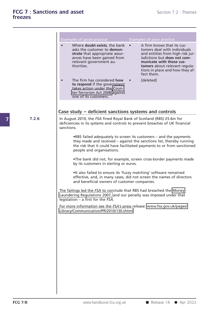|       | Examples of good practice                                                                                                                                                              | Examples of poor practice                                                                                                                                                                                                                                 |
|-------|----------------------------------------------------------------------------------------------------------------------------------------------------------------------------------------|-----------------------------------------------------------------------------------------------------------------------------------------------------------------------------------------------------------------------------------------------------------|
|       | Where <b>doubt exists</b> , the bank<br>asks the customer to demon-<br>strate that appropriate assur-<br>ances have been gained from<br>relevant government au-<br>thorities.          | A firm knows that its cus-<br>$\bullet$<br>tomers deal with individuals<br>and entities from high risk jur-<br>isdictions but does not com-<br>municate with those cus-<br>tomers about relevant regula-<br>tions in place and how they af-<br>fect them. |
|       | The firm has considered how<br>to respond if the government<br>takes action under the Coun-<br>ter-Terrorism Act 2008 against<br>one of its customers.                                 | [deleted]                                                                                                                                                                                                                                                 |
|       | Case study – deficient sanctions systems and controls                                                                                                                                  |                                                                                                                                                                                                                                                           |
| 7.2.6 | In August 2010, the FSA fined Royal Bank of Scotland (RBS) £5.6m for<br>deficiencies in its systems and controls to prevent breaches of UK financial<br>sanctions.                     |                                                                                                                                                                                                                                                           |
|       | people and organisations.                                                                                                                                                              | .RBS failed adequately to screen its customers - and the payments<br>they made and received – against the sanctions list, thereby running<br>the risk that it could have facilitated payments to or from sanctioned                                       |
|       | by its customers in sterling or euros.                                                                                                                                                 | .The bank did not, for example, screen cross-border payments made                                                                                                                                                                                         |
|       | and beneficial owners of customer companies.                                                                                                                                           | . It also failed to ensure its 'fuzzy matching' software remained<br>effective, and, in many cases, did not screen the names of directors                                                                                                                 |
|       | The failings led the FSA to conclude that RBS had breached the Money<br>Laundering Regulations 2007, and our penalty was imposed under that<br>legislation $-$ a first for the $FSA$ . |                                                                                                                                                                                                                                                           |
|       | For more information see the FSA's press release: www.fsa.gov.uk/pages/<br>Library/Communication/PR/2010/130.shtml                                                                     |                                                                                                                                                                                                                                                           |
|       |                                                                                                                                                                                        |                                                                                                                                                                                                                                                           |
|       |                                                                                                                                                                                        |                                                                                                                                                                                                                                                           |
|       |                                                                                                                                                                                        |                                                                                                                                                                                                                                                           |
|       |                                                                                                                                                                                        |                                                                                                                                                                                                                                                           |
|       |                                                                                                                                                                                        |                                                                                                                                                                                                                                                           |
|       |                                                                                                                                                                                        |                                                                                                                                                                                                                                                           |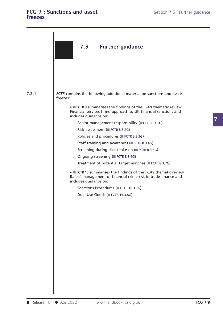### FCG 7 : Sanctions and asset Section 7.3 : Further guidance Section 7.3 : Further guidance **freezes**

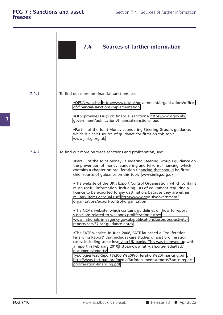|       | <b>Sources of further information</b><br>7.4                                                                                                                                                                                                                                                                                                                                                                                               |
|-------|--------------------------------------------------------------------------------------------------------------------------------------------------------------------------------------------------------------------------------------------------------------------------------------------------------------------------------------------------------------------------------------------------------------------------------------------|
|       |                                                                                                                                                                                                                                                                                                                                                                                                                                            |
| 7.4.1 | To find out more on financial sanctions, see:                                                                                                                                                                                                                                                                                                                                                                                              |
|       | .OFSI's website: https://www.gov.uk/government/organisations/office-<br>of-financial-sanctions-implementation                                                                                                                                                                                                                                                                                                                              |
|       | .OFSI provides FAQs on financial sanctions- https://www.gov.uk/<br>government/publications/financial-sanctions-faqs                                                                                                                                                                                                                                                                                                                        |
|       | .Part III of the Joint Money Laundering Steering Group's guidance,<br>which is a chief source of guidance for firms on this topic:<br>www.jmlsg.org.uk                                                                                                                                                                                                                                                                                     |
| 7.4.2 | To find out more on trade sanctions and proliferation, see:                                                                                                                                                                                                                                                                                                                                                                                |
|       | .Part III of the Joint Money Laundering Steering Group's guidance on<br>the prevention of money laundering and terrorist financing, which<br>contains a chapter on proliferation financing that should be firms'<br>chief source of guidance on this topic: www.jmlsg.org.uk                                                                                                                                                               |
|       | .The website of the UK's Export Control Organisation, which contains<br>much useful information, including lists of equipment requiring a<br>licence to be exported to any destination, because they are either<br>military items or 'dual use' https://www.gov.uk/government/<br>organisations/export-control-organisation                                                                                                                |
|       | .The NCA's website, which contains guidelines on how to report<br>suspicions related to weapons proliferation:http://<br>www.nationalcrimeagency.gov.uk/publications/suspicious-activity-<br>reports-sars/57-sar-guidance-notes                                                                                                                                                                                                            |
|       | .The FATF website. In June 2008, FATF launched a 'Proliferation<br>Financing Report' that includes case studies of past proliferation<br>cases, including some involving UK banks. This was followed up with<br>a report in February 2010:https://www.fatf-gafi.org/media/fatf/<br>documents/reports/<br>Typologies%20Report%20on%20Proliferation%20Financing.pdf.<br>http://www.fatf-gafi.org/media/fatf/documents/reports/Status-report- |
|       | proliferation-financing.pdf.                                                                                                                                                                                                                                                                                                                                                                                                               |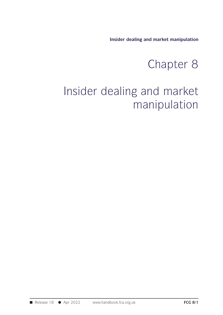**Insider dealing and market manipulation**

# Chapter 8

## Insider dealing and market manipulation<br>
Chapter 8<br>
Insider dealing and market<br>
manipulation manipulation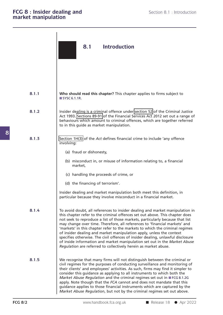|                | 8.1<br><b>Introduction</b>                                                                                                                                                                                                                                                                                                                                                                                                                                                                                                                                                                                                                                                                                             |
|----------------|------------------------------------------------------------------------------------------------------------------------------------------------------------------------------------------------------------------------------------------------------------------------------------------------------------------------------------------------------------------------------------------------------------------------------------------------------------------------------------------------------------------------------------------------------------------------------------------------------------------------------------------------------------------------------------------------------------------------|
| 8.1.1          | Who should read this chapter? This chapter applies to firms subject to                                                                                                                                                                                                                                                                                                                                                                                                                                                                                                                                                                                                                                                 |
|                | SYSC 6.1.1R.                                                                                                                                                                                                                                                                                                                                                                                                                                                                                                                                                                                                                                                                                                           |
| 8.1.2          | Insider dealing is a criminal offence under section 52 of the Criminal Justice<br>Act 1993. Sections 89-91 of the Financial Services Act 2012 set out a range of<br>behaviours which amount to criminal offences, which are together referred<br>to in this guide as market manipulation.                                                                                                                                                                                                                                                                                                                                                                                                                              |
| 8.1.3          | Section 1H(3) of the Act defines financial crime to include 'any offence<br>involving:                                                                                                                                                                                                                                                                                                                                                                                                                                                                                                                                                                                                                                 |
|                | (a) fraud or dishonesty,                                                                                                                                                                                                                                                                                                                                                                                                                                                                                                                                                                                                                                                                                               |
|                | (b) misconduct in, or misuse of information relating to, a financial<br>market,                                                                                                                                                                                                                                                                                                                                                                                                                                                                                                                                                                                                                                        |
|                | (c) handling the proceeds of crime, or                                                                                                                                                                                                                                                                                                                                                                                                                                                                                                                                                                                                                                                                                 |
|                | (d) the financing of terrorism'.                                                                                                                                                                                                                                                                                                                                                                                                                                                                                                                                                                                                                                                                                       |
|                | Insider dealing and market manipulation both meet this definition, in<br>particular because they involve misconduct in a financial market.                                                                                                                                                                                                                                                                                                                                                                                                                                                                                                                                                                             |
| 8.1.4          | To avoid doubt, all references to insider dealing and market manipulation in<br>this chapter refer to the criminal offences set out above. This chapter does<br>not seek to reproduce a list of those markets, particularly because that list<br>may change over time. Therefore, all references to 'financial markets' and<br>'markets' in this chapter refer to the markets to which the criminal regimes<br>of insider dealing and market manipulation apply, unless the context<br>specifies otherwise. The civil offences of insider dealing, unlawful disclosure<br>of inside information and market manipulation set out in the Market Abuse<br>Regulation are referred to collectively herein as market abuse. |
| 8.1.5          | We recognise that many firms will not distinguish between the criminal or<br>civil regimes for the purposes of conducting surveillance and monitoring of<br>their clients' and employees' activities. As such, firms may find it simpler to<br>consider this guidance as applying to all instruments to which both the<br>Market Abuse Regulation and the criminal regimes set out in FCG 8.1.2G<br>apply. Note though that the FCA cannot and does not mandate that this<br>guidance applies to those financial instruments which are captured by the<br>Market Abuse Regulation, but not by the criminal regimes set out above.                                                                                      |
| <b>FCG 8/2</b> | www.handbook.fca.org.uk<br>Release $18$ $\bullet$ Apr 2022                                                                                                                                                                                                                                                                                                                                                                                                                                                                                                                                                                                                                                                             |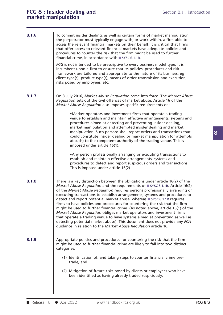## FCG 8 : Insider dealing and<br> **FCG 8 : Insider dealing and**<br> **Section 8.1 : Introduction FCG 8 : Insider dealing and market manipulation**

|            | <b>FCG 8: Insider dealing and</b><br>Section 8.1 : Introduction<br>market manipulation                                                                                                                                                                                                                                                                                                                                                                                                                                                                                                                                                                                                                                                                                                                                                                                          |                |
|------------|---------------------------------------------------------------------------------------------------------------------------------------------------------------------------------------------------------------------------------------------------------------------------------------------------------------------------------------------------------------------------------------------------------------------------------------------------------------------------------------------------------------------------------------------------------------------------------------------------------------------------------------------------------------------------------------------------------------------------------------------------------------------------------------------------------------------------------------------------------------------------------|----------------|
| 8.1.6      | To commit insider dealing, as well as certain forms of market manipulation,<br>the perpetrator must typically engage with, or work within, a firm able to<br>access the relevant financial markets on their behalf. It is critical that firms<br>that offer access to relevant financial markets have adequate policies and<br>procedures to counter the risk that the firm might be used to further<br>financial crime, in accordance with ■ SYSC 6.1.1R.                                                                                                                                                                                                                                                                                                                                                                                                                      |                |
|            | FCG is not intended to be prescriptive to every business model type. It is<br>incumbent upon a firm to ensure that its policies, procedures and risk<br>framework are tailored and appropriate to the nature of its business, eg<br>client type(s), product type(s), means of order transmission and execution,<br>risks posed by employees, etc.                                                                                                                                                                                                                                                                                                                                                                                                                                                                                                                               |                |
| 8.1.7      | On 3 July 2016, Market Abuse Regulation came into force. The Market Abuse<br>Regulation sets out the civil offences of market abuse. Article 16 of the<br>Market Abuse Regulation also imposes specific requirements on:                                                                                                                                                                                                                                                                                                                                                                                                                                                                                                                                                                                                                                                        |                |
|            | .Market operators and investment firms that operate a trading<br>venue to establish and maintain effective arrangements, systems and<br>procedures aimed at detecting and preventing insider dealing,<br>market manipulation and attempted insider dealing and market<br>manipulation. Such persons shall report orders and transactions that<br>could constitute insider dealing or market manipulation (or attempts<br>at such) to the competent authority of the trading venue. This is<br>imposed under article 16(1).                                                                                                                                                                                                                                                                                                                                                      |                |
|            | • Any person professionally arranging or executing transactions to<br>establish and maintain effective arrangements, systems and<br>procedures to detect and report suspicious orders and transactions.<br>This is imposed under article 16(2).                                                                                                                                                                                                                                                                                                                                                                                                                                                                                                                                                                                                                                 |                |
| 8.1.8      | There is a key distinction between the obligations under article 16(2) of the<br>Market Abuse Regulation and the requirements of SYSC 6.1.1R. Article 16(2)<br>of the Market Abuse Regulation requires persons professionally arranging or<br>executing transactions to establish arrangements, systems and procedures to<br>detect and report potential market abuse, whereas ■ SYSC 6.1.1R requires<br>firms to have policies and procedures for countering the risk that the firm<br>might be used to further financial crime. (As noted above, article 16(1) of the<br>Market Abuse Regulation obliges market operators and investment firms<br>that operate a trading venue to have systems aimed at preventing as well as<br>detecting potential market abuse). This document does not provide any FCA<br>guidance in relation to the Market Abuse Regulation article 16. |                |
| 8.1.9      | Appropriate policies and procedures for countering the risk that the firm<br>might be used to further financial crime are likely to fall into two distinct<br>categories:                                                                                                                                                                                                                                                                                                                                                                                                                                                                                                                                                                                                                                                                                                       |                |
|            | (1) Identification of, and taking steps to counter financial crime pre-<br>trade, and                                                                                                                                                                                                                                                                                                                                                                                                                                                                                                                                                                                                                                                                                                                                                                                           |                |
|            | (2) Mitigation of future risks posed by clients or employees who have<br>been identified as having already traded suspiciously.                                                                                                                                                                                                                                                                                                                                                                                                                                                                                                                                                                                                                                                                                                                                                 |                |
| Release 18 | • Apr 2022<br>www.handbook.fca.org.uk                                                                                                                                                                                                                                                                                                                                                                                                                                                                                                                                                                                                                                                                                                                                                                                                                                           | <b>FCG 8/3</b> |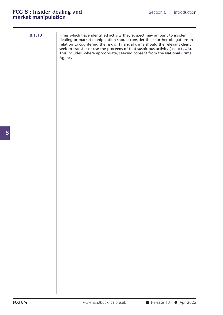|  | ٠ |
|--|---|
|  |   |

Firms which have identified activity they suspect may amount to insider Section 8.1 : Introduction<br> **ON**<br>
Firms which have identified activity they suspect may amount to insider<br>
dealing or market manipulation should consider their further obligations in<br>
relation to countering the risk of fin Section 8.1 : Introduction<br> **On**<br>
Firms which have identified activity they suspect may amount to insider<br>
dealing or market manipulation should consider their further obligations in<br>
relation to countering the risk of fin **Example 18 The relation of the risk of financial crime**<br>dealing or market manipulation should consider their further obligations in<br>relation to countering the risk of financial crime should the relevant client<br>seek to tra Firms which have identified activity they suspect may amount to insider<br>dealing or market manipulation should consider their further obligations in<br>relation to countering the risk of financial crime should the relevant cli Firms which have identified activity they suspect may amount to insider dealing or market manipulation should consider their further obligations in relation to countering the risk of financial crime should the relevant cli Agency.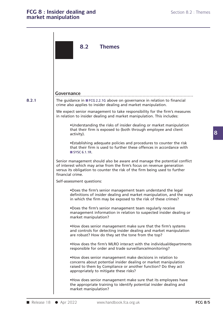## FCG 8 : Insider dealing and<br> **FCG 8 : Insider dealing and**<br> **Section 8.2 : Themes FCG 8 : Insider dealing and market manipulation**

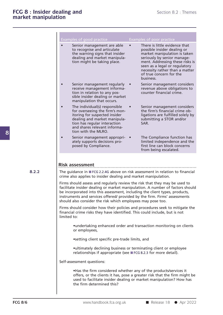|       | <b>Examples of good practice</b>                                                                                                                                                                                                                                                                                                                                                        |  | <b>Examples of poor practice</b>                                                                                                                                                                                                                                          |  |  |  |
|-------|-----------------------------------------------------------------------------------------------------------------------------------------------------------------------------------------------------------------------------------------------------------------------------------------------------------------------------------------------------------------------------------------|--|---------------------------------------------------------------------------------------------------------------------------------------------------------------------------------------------------------------------------------------------------------------------------|--|--|--|
|       | Senior management are able<br>to recognise and articulate<br>the warning signs that insider<br>dealing and market manipula-<br>tion might be taking place.                                                                                                                                                                                                                              |  | There is little evidence that<br>possible insider dealing or<br>market manipulation is taken<br>seriously by senior manage-<br>ment. Addressing these risks is<br>seen as a legal or regulatory<br>necessity rather than a matter<br>of true concern for the<br>business. |  |  |  |
|       | Senior management regularly<br>receive management informa-<br>tion in relation to any pos-<br>sible insider dealing or market<br>manipulation that occurs.                                                                                                                                                                                                                              |  | Senior management considers<br>revenue above obligations to<br>counter financial crime.                                                                                                                                                                                   |  |  |  |
|       | The individual(s) responsible<br>for overseeing the firm's mon-<br>itoring for suspected insider<br>dealing and market manipula-<br>tion has regular interaction<br>and shares relevant informa-<br>tion with the MLRO.                                                                                                                                                                 |  | Senior management considers<br>the firm's financial crime ob-<br>ligations are fulfilled solely by<br>submitting a STOR and/or<br>SAR.                                                                                                                                    |  |  |  |
|       | Senior management appropri-<br>ately supports decisions pro-<br>posed by Compliance.                                                                                                                                                                                                                                                                                                    |  | The Compliance function has<br>limited independence and the<br>first line can block concerns<br>from being escalated.                                                                                                                                                     |  |  |  |
|       |                                                                                                                                                                                                                                                                                                                                                                                         |  |                                                                                                                                                                                                                                                                           |  |  |  |
| 8.2.2 | <b>Risk assessment</b><br>The guidance in FCG 2.2.4G above on risk assessment in relation to financial<br>crime also applies to insider dealing and market manipulation.                                                                                                                                                                                                                |  |                                                                                                                                                                                                                                                                           |  |  |  |
|       | Firms should assess and regularly review the risk that they may be used to<br>facilitate insider dealing or market manipulation. A number of factors should<br>be incorporated into this assessment, including the client types, products,<br>instruments and services offered/ provided by the firm. Firms' assessments<br>should also consider the risk which employees may pose too. |  |                                                                                                                                                                                                                                                                           |  |  |  |
|       | Firms should consider how their policies and procedures seek to mitigate the<br>financial crime risks they have identified. This could include, but is not<br>limited to:                                                                                                                                                                                                               |  |                                                                                                                                                                                                                                                                           |  |  |  |
|       | •undertaking enhanced order and transaction monitoring on clients<br>or employees,                                                                                                                                                                                                                                                                                                      |  |                                                                                                                                                                                                                                                                           |  |  |  |
|       |                                                                                                                                                                                                                                                                                                                                                                                         |  |                                                                                                                                                                                                                                                                           |  |  |  |
|       | •setting client specific pre-trade limits, and                                                                                                                                                                                                                                                                                                                                          |  |                                                                                                                                                                                                                                                                           |  |  |  |
|       | • ultimately declining business or terminating client or employee<br>relationships if appropriate (see ■ FCG 8.2.3 for more detail).                                                                                                                                                                                                                                                    |  |                                                                                                                                                                                                                                                                           |  |  |  |
|       | Self-assessment questions:                                                                                                                                                                                                                                                                                                                                                              |  |                                                                                                                                                                                                                                                                           |  |  |  |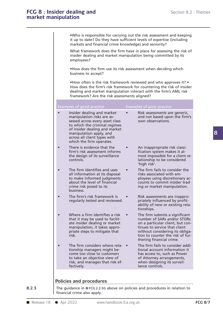### FCG 8 : Insider dealing and<br> **FCG 8 : Insider dealing and**<br> **Section 8.2 : Themes** FCG 8 : Insider dealing and<br>market manipulation

|       | <b>FCG 8: Insider dealing and</b><br>market manipulation                                                                                                                                                                                                          |           | Section 8.2 : Themes                                                                                                                                                                                                                  |                |
|-------|-------------------------------------------------------------------------------------------------------------------------------------------------------------------------------------------------------------------------------------------------------------------|-----------|---------------------------------------------------------------------------------------------------------------------------------------------------------------------------------------------------------------------------------------|----------------|
|       | markets and financial crime knowledge) and seniority?                                                                                                                                                                                                             |           | .Who is responsible for carrying out the risk assessment and keeping<br>it up to date? Do they have sufficient levels of expertise (including                                                                                         |                |
|       | insider dealing and market manipulation being committed by its<br>employees?                                                                                                                                                                                      |           | What framework does the firm have in place for assessing the risk of                                                                                                                                                                  |                |
|       | . How does the firm use its risk assessment when deciding which<br>business to accept?                                                                                                                                                                            |           |                                                                                                                                                                                                                                       |                |
|       | framework? Are the risk assessments aligned?                                                                                                                                                                                                                      |           | • How often is the risk framework reviewed and who approves it? •<br>How does the firm's risk framework for countering the risk of insider<br>dealing and market manipulation interact with the firm's AML risk                       |                |
|       | Examples of good practice                                                                                                                                                                                                                                         |           | Examples of poor practice                                                                                                                                                                                                             |                |
|       | Insider dealing and market<br>$\bullet$<br>manipulation risks are as-<br>sessed across every asset class<br>to which the criminal regimes<br>of insider dealing and market<br>manipulation apply, and<br>across all client types with<br>which the firm operates. | $\bullet$ | Risk assessments are generic,<br>and not based upon the firm's<br>own observations.                                                                                                                                                   |                |
|       | There is evidence that the<br>$\bullet$<br>firm's risk assessment informs<br>the design of its surveillance<br>controls.                                                                                                                                          |           | An inappropriate risk classi-<br>fication system makes it al-<br>most impossible for a client re-<br>lationship to be considered<br>'high risk'.                                                                                      |                |
|       | The firm identifies and uses<br>$\bullet$<br>all information at its disposal<br>to make informed judgments<br>about the level of financial<br>crime risk posed to its<br>business.                                                                                |           | The firm fails to consider the<br>risks associated with em-<br>ployees using discretionary ac-<br>counts to commit insider trad-<br>ing or market manipulation.                                                                       |                |
|       | The firm's risk framework is<br>$\bullet$<br>regularly tested and reviewed.                                                                                                                                                                                       |           | Risk assessments are inappro-<br>priately influenced by profit-<br>ability of new or existing rela-<br>tionships.                                                                                                                     |                |
|       | Where a firm identifies a risk<br>$\bullet$<br>that it may be used to facilit-<br>ate insider dealing or market<br>manipulation, it takes appro-<br>priate steps to mitigate that<br>risk.                                                                        |           | The firm submits a significant<br>number of SARs and/or STORs<br>on a particular client, but con-<br>tinues to service that client<br>without considering its obliga-<br>tion to counter the risk of fur-<br>thering financial crime. |                |
|       | The firm considers where rela- •<br>$\bullet$<br>tionship managers might be-<br>come too close to customers<br>to take an objective view of<br>risk, and manages that risk ef-<br>fectively.                                                                      |           | The firm fails to consider addi-<br>tional account information it<br>has access to, such as Power<br>of Attorney arrangements,<br>when designing its surveil-<br>lance controls.                                                      |                |
| 8.2.3 | Policies and procedures<br>The guidance in ■ FCG 2.2.5G above on policies and procedures in relation to<br>financial crime also apply.                                                                                                                            |           |                                                                                                                                                                                                                                       |                |
|       | Release 18<br>$\rho$ Apr 2022<br>www.handbook.fca.org.uk                                                                                                                                                                                                          |           |                                                                                                                                                                                                                                       | <b>FCG 8/7</b> |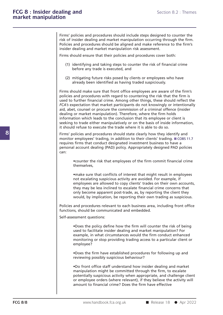Section 8.2 : Themes<br> **ON**<br>
Firms' policies and procedures should include steps designed to counter the<br>
risk of insider dealing and market manipulation occurring through the firm.<br>
Policies and procedures should be aligne Section 8.2 : Triemes<br> **On**<br>
Firms' policies and procedures should include steps designed to counter the<br>
risk of insider dealing and market manipulation occurring through the firm.<br>
Policies and procedures should be align Policies and procedures should include steps designed to counter the risk of insider dealing and market manipulation occurring through the firm.<br>Policies and procedures should be aligned and make reference to the firm's in Firms' policies and procedures should include steps designed to<br>risk of insider dealing and market manipulation occurring thre<br>Policies and procedures should be aligned and make reference<br>insider dealing and market manipul Firms' policies and procedures should include steps designed to counter<br>risk of insider dealing and market manipulation occurring through the<br>Policies and procedures should be aligned and make reference to the fi<br>insider d (1) identifying and market manipulation occurring through the firm.<br>
icies and procedures should be aligned and make reference to the firm's<br>
der dealing and market manipulation risk assessment.<br>
Ins should ensure that the and procedures should be aligned and make<br>dealing and market manipulation risk assessmould ensure that their policies and procedure<br>identifying and taking steps to counter the ri<br>before any trade is executed, and<br>mitigatin

- It is should ensure that their policies and procedures cover both:<br>
(1) identifying and taking steps to counter the risk of financial crime<br>
before any trade is executed, and<br>
(2) mitigating future risks posed by clients o Firms should ensure that their policies and procedures cover both:<br>
(1) identifying and taking steps to counter the risk of financial crime<br>
before any trade is executed, and<br>
(2) mitigating future risks posed by clients o
	-

Firms should make sure that front office employees who have already been identified as having traded suspiciously.<br>Firms should make sure that front office employees are aware of the firm's policies and procedures with reg before any trade is executed, and<br>
(2) mitigating future risks posed by clients or employees who have<br>
already been identified as having traded suspiciously.<br>
Firms should make sure that front office employees are aware of (2) mitigating future risks posed by clients or employees who have<br>already been identified as having traded suspiciously.<br>Firms should make sure that front office employees are aware of the firm's<br>policies and procedures w (2) mitigating future risks posed by clients or employees who have<br>already been identified as having traded suspiciously.<br>Firms should make sure that front office employees are aware of the firm's<br>policies and procedures w already been identified as having traded suspiciously.<br>Firms should make sure that front office employees are aware of the firm's<br>policies and procedures with regard to countering the risk that the firm is<br>used to further Firms should make sure that front office employees are aware of the firm<br>policies and procedures with regard to countering the risk that the firm is<br>used to further financial crime. Among other things, these should reflect Firms should make sure that front office employees are aware of the firm's<br>policies and procedures with regard to countering the risk that the firm is<br>used to further financial crime. Among other things, these should refle policies and procedures with regard to countering the risk that the firm is<br>used to further financial crime. Among other things, these should reflect the<br>FCA's expectation that market participants do not knowingly or inten used to further financial crime. Among other things, these should reflect the FCA's expectation that market participants do not knowingly or intentionally aid, abet, counsel or procure the commission of a criminal offence aid, abet, counsel or procure the commission of a criminal offence (insider<br>
dealing or market manipulation). Therefore, where the firm holds<br>
information which leads to the conclusion that its employee or client is<br>
seeki dealing or market manipulation). Therefore, where the firm holds<br>information which leads to the conclusion that its employee or client is<br>seeking to trade either manipulatively or on the basis of inside information,<br>it sho

information which leads to the conclusion that its employee or client is<br>seeking to trade either manipulatively or on the basis of inside information,<br>it should refuse to execute the trade where it is able to do so.<br>Firms' seeking to trade either manipulatively or on the basis of inside information,<br>it should refuse to execute the trade where it is able to do so.<br>Firms' policies and procedures should state clearly how they identify and<br>monit Firms' policies and procedures should state clearly how they identity and<br>monitor employees' trading, in addition to their clients' trading. COBS 11.7<br>requires firms that conduct designated investment business to have a<br>pe

I account dealing (PAD) policy. Appropriately designed PAD policies<br>
•counter the risk that employees of the firm commit financial crime<br>
themselves,<br>
•make sure that conflicts of interest that might result in employees<br>
n • counter the risk that employees of the firm commit financial crime<br>themselves,<br>• make sure that conflicts of interest that might result in employees<br>not escalating suspicious activity are avoided. For example, if<br>employe • counter the risk that employees of the firm commit financial crime<br>themselves,<br>• make sure that conflicts of interest that might result in employees<br>not escalating suspicious activity are avoided. For example, if<br>employe • counter the risk that employees of the firm commit financial crime<br>themselves,<br>• make sure that conflicts of interest that might result in employees<br>not escalating suspicious activity are avoided. For example, if<br>employe **•** make sure that conflicts of interest that might result in employees not escalating suspicious activity are avoided. For example, if employees are allowed to copy clients' trades on their own accounts, they may be less • make sure that conflicts of interest that might result in employees not escalating suspicious activity are avoided. For example, if employees are allowed to copy clients' trades on their own accounts, they may be less in not escalating suspicious activity are avoided. For example, it<br>employees are allowed to copy clients' trades on their own accounts,<br>they may be less inclined to escalate financial crime concerns that<br>only become apparent employees are allowed to copy clients' trades on<br>they may be less inclined to escalate financial crir<br>only become apparent post-trade, as, by reportin<br>would, by implication, be reporting their own tra<br>Policies and procedur

Self-assessment post-trade, as, by reporting the client they<br>would, by implication, be reporting their own trading as suspicious.<br>Policies and procedures relevant to each business area, including front office<br>functions, sh In and procedures relevant to each business area, including front office is, should be communicated and embedded.<br>
Sessment questions:<br>
• Does the policy define how the firm will counter the risk of being<br>
used to facilita example to communicated and embedded.<br>
Sexament questions:<br>
• Does the policy define how the firm will counter the risk of being<br>
used to facilitate insider dealing and market manipulation? For<br>
example, in what circumstan monitoring or stop providing trading and market manipulation? For<br>example, in what circumstances would the firm conduct enhanced<br>monitoring or stop providing trading access to a particular client or<br>employee? employee? •Does the policy define how the firm will counter the risk of being<br>used to facilitate insider dealing and market manipulation? For<br>example, in what circumstances would the firm conduct enhanced<br>monitoring or stop providin In used to facilitate insider dealing and market manipulation? For<br>example, in what circumstances would the firm conduct enhanced<br>monitoring or stop providing trading access to a particular client or<br>employee?<br><br>Does the fi

**FCG 8/8** potentially suspicious activity when appropriate, and challenge client<br>or employee orders (where relevant), if they believe the activity will<br>amount to financial crime? Does the firm have effective<br>**FCG 8/8** www • Moreover, the firm have established procedures for following up and<br>• Does the firm have established procedures for following up and<br>• Do front office staff understand how insider dealing and market<br>• Do front office sta • Does the firm have established procedures for following up and<br>reviewing possibly suspicious behaviour?<br>• Do front office staff understand how insider dealing and market<br>manipulation might be committed through the firm, •Does the firm have established procedures for following up and<br>reviewing possibly suspicious behaviour?<br>•Do front office staff understand how insider dealing and market<br>manipulation might be committed through the firm, to •Does the firm have established procedures for following up and<br>reviewing possibly suspicious behaviour?<br>•Do front office staff understand how insider dealing and market<br>manipulation might be committed through the firm, to reviewing possibly suspicious behaviour?<br>
•Do front office staff understand how insider dealing an<br>
manipulation might be committed through the firm, to<br>
potentially suspicious activity when appropriate, and ch<br>
or employe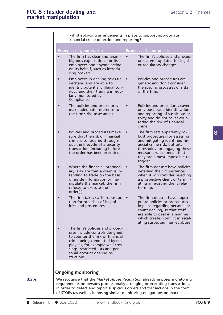|           | whistleblowing arrangements in place to support appropriate<br>financial crime detection and reporting?                                                                                                                                                                                                           |           |                                                                                                                                                                                                                                          |  |
|-----------|-------------------------------------------------------------------------------------------------------------------------------------------------------------------------------------------------------------------------------------------------------------------------------------------------------------------|-----------|------------------------------------------------------------------------------------------------------------------------------------------------------------------------------------------------------------------------------------------|--|
|           | Examples of good practice                                                                                                                                                                                                                                                                                         |           | Examples of poor practice                                                                                                                                                                                                                |  |
| $\bullet$ | The firm has clear and unam-<br>biguous expectations for its<br>employees and anyone acting<br>on its behalf, such as introdu-<br>cing brokers.                                                                                                                                                                   | $\bullet$ | The firm's policies and proced-<br>ures aren't updated for legal<br>or regulatory changes.                                                                                                                                               |  |
| $\bullet$ | Employees in dealing roles un- •<br>derstand and are able to<br>identify potentially illegal con-<br>duct, and their trading is regu-<br>larly monitored by<br>Compliance.                                                                                                                                        |           | Policies and procedures are<br>generic and don't consider<br>the specific processes or risks<br>of the firm.                                                                                                                             |  |
| $\bullet$ | The policies and procedures<br>make adequate reference to<br>the firm's risk assessment.                                                                                                                                                                                                                          |           | Policies and procedures cover<br>only post-trade identification<br>and reporting of suspicious ac-<br>tivity and do not cover coun-<br>tering the risk of financial<br>crime.                                                            |  |
| $\bullet$ | Policies and procedures make<br>sure that the risk of financial<br>crime is considered through-<br>out the lifecycle of a security<br>transaction, including before<br>the order has been executed.                                                                                                               | $\bullet$ | The firm sets apparently ro-<br>bust procedures for assessing<br>and mitigating identified fin-<br>ancial crime risk, but sets<br>thresholds for engaging these<br>measures which mean that<br>they are almost impossible to<br>trigger. |  |
|           | Where the financial intermedi- •<br>ary is aware that a client is in-<br>tending to trade on the basis<br>of inside information or ma-<br>nipulate the market, the firm<br>refuses to execute the<br>order(s).                                                                                                    |           | The firm doesn't have policies<br>detailing the circumstances<br>when it will consider rejecting<br>a prospective client or termin-<br>ating an existing client rela-<br>tionship.                                                       |  |
| $\bullet$ | The firm takes swift, robust ac- •<br>tion for breaches of its pol-<br>icies and procedures.                                                                                                                                                                                                                      |           | The firm doesn't have appro-<br>priate policies or procedures<br>in place regarding personal ac-<br>count dealing, so that staff<br>are able to deal in a manner<br>which creates conflict in escal-<br>ating suspected market abuse.    |  |
| $\bullet$ | The firm's policies and proced-<br>ures include controls designed<br>to counter the risk of financial<br>crime being committed by em-<br>ployees, for example wall cros-<br>sings, restricted lists and per-<br>sonal account dealing re-<br>strictions.                                                          |           |                                                                                                                                                                                                                                          |  |
|           | <b>Ongoing monitoring</b>                                                                                                                                                                                                                                                                                         |           |                                                                                                                                                                                                                                          |  |
|           | We recognise that the Market Abuse Regulation already imposes monitoring<br>requirements on persons professionally arranging or executing transactions,<br>in order to detect and report suspicious orders and transactions in the form<br>of STORs (as well as imposing similar monitoring obligations on market |           |                                                                                                                                                                                                                                          |  |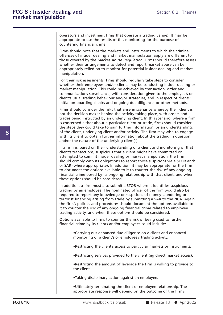**Section 8.2 : Themes**<br> **on**<br> **operators and investment firms that operate a trading venue). It may be**<br> **appropriate to use the results of this monitoring for the purpose of**<br> **countering financial crime** section 8.2 : Then<br> **On**<br> **operators and investment firms that operate a trading venue). It may be**<br>
appropriate to use the results of this monitoring for the purpose of<br>
countering financial crime. market manipulation<br>
operators and investment firms that operate a trading venue). It may be<br>
operators and investment firms that operate a trading venue). It may be<br>
appropriate to use the results of this monitoring for t Superators and investment firms that operate a trading venue). It may be<br>appropriate to use the results of this monitoring for the purpose of<br>countering financial crime.<br>Firms should note that the markets and instruments t

operators and investment firms that operate a trading venue). It may be<br>appropriate to use the results of this monitoring for the purpose of<br>countering financial crime.<br>Firms should note that the markets and instruments to operators and investment firms that operate a trading venue). It may be<br>appropriate to use the results of this monitoring for the purpose of<br>countering financial crime.<br>Firms should note that the markets and instruments to appropriate to use the results of this monitoring for the purpose of<br>countering financial crime.<br>Firms should note that the markets and instruments to which the criminal<br>offences of insider dealing and market manipulation Firms should note that the markets and instruments to which the criminal<br>offences of insider dealing and market manipulation apply are different to<br>those covered by the *Market Abuse Regulation*. Firms should therefore ass manipulation. offences of insider dealing and market manipulation apply are different to<br>those covered by the *Market Abuse Regulation*. Firms should therefore assess<br>whether their arrangements to detect and report market abuse can be<br>a those covered by the *Market Abuse Regulation*. Firms should therefore assess<br>whether their arrangements to detect and report market abuse can be<br>appropriately relied on to monitor for potential insider dealing and market<br>

whether their arrangements to detect and report market abuse can be appropriately relied on to monitor for potential insider dealing and market manipulation.<br>For their risk assessments, firms should regularly take steps to appropriately relied on to monitor for potential insider dealing and market<br>manipulation.<br>For their risk assessments, firms should regularly take steps to consider<br>whether their employees and/or clients may be conducting i For their risk assessments, firms should regularly take steps to consider<br>whether their employees and/or clients may be conducting insider dealing or<br>market manipulation. This could be achieved by transaction, order and<br>co For their risk assessments, firms should regularly take steps to consider whether their employees and/or clients may be conducting insider dealing or market manipulation. This could be achieved by transaction, order and co whether their employees and/or clients may be conducting insider dealing or<br>market manipulation. This could be achieved by transaction, order and<br>communications surveillance, with consideration given to the employee's or<br>c market manipulation. This could be achieved by transaction, order and<br>communications surveillance, with consideration given to the employee's or<br>client's usual trading behaviour and/or strategies, and in respect of clients

communications surveillance, with consideration given to the employee's or<br>client's usual trading behaviour and/or strategies, and in respect of clients:<br>initial on-boarding checks and ongoing due diligence, or other metho client's usual trading behaviour and/or strategies, and in respect of clients:<br>initial on-boarding checks and ongoing due diligence, or other methods.<br>Firms should consider the risks that arise in scenarios whereby their c initial on-boarding checks and ongoing due diligence, or other methods.<br>Firms should consider the risks that arise in scenarios whereby their client is<br>not the decision maker behind the activity taking place, with orders a Firms should consider the risks that arise in scenarios whereby their client is<br>not the decision maker behind the activity taking place, with orders and<br>trades being instructed by an underlying client. In this scenario, w Firms should consider the risks that arise in scenarios whereby their client is<br>not the decision maker behind the activity taking place, with orders and<br>trades being instructed by an underlying client. In this scenario, wh not the decision maker behind the activity taking place, with orders and trades being instructed by an underlying client. In this scenario, where a firm is concerned either about a particular client or trade, firms should In this concerned either about a particular client or trade, firms should consider<br>the steps they could take to gain further information, or an understanding,<br>of the client, underlying client and/or activity. The firm may

If a firm is, based on their understanding of a client and monitoring of that client's transactions, suspicious that a client might have committed or attempted to commit insider dealing or market manipulation, the firm sho of the client, underlying client and/or activity. The firm may wish to engage<br>with its client to obtain further information about the trading in question<br>and/or the nature of the underlying client(s).<br>If a firm is, based o with its client to obtain further information about the trading in question<br>and/or the nature of the underlying client(s).<br>If a firm is, based on their understanding of a client and monitoring of that<br>client's transactions and/or the nature of the underlying client(s).<br>
If a firm is, based on their understanding of a client and monitoring of that<br>
client's transactions, suspicious that a client might have committed or<br>
attempted to commit in If a firm is, based on their understanding of a client and monitoring of that<br>client's transactions, suspicious that a client might have committed or<br>attempted to commit insider dealing or market manipulation, the firm<br>sho It a firm is, based on their understanding of a client and monitoring of that<br>client's transactions, suspicious that a client might have committed or<br>attempted to commit insider dealing or market manipulation, the firm<br>sho client's transactions, suspicious that a clie<br>attempted to commit insider dealing or r<br>should comply with its obligations to rep<br>or SAR (where appropriate). In addition,<br>to document the options available to it t<br>financial Should comply with its obligations to report those suspicions via a STOR and/<br>or SAR (where appropriate). In addition, it may be appropriate for the firm<br>to document the options available to it to counter the risk of any o or SAR (where appropriate). In addition, it may be appropriate for the firm<br>to document the options available to it to counter the risk of any ongoing<br>financial crime posed by its ongoing relationship with that client, and

to document the options available to it to counter the risk of any ongoing<br>financial crime posed by its ongoing relationship with that client, and when<br>these options should be considered.<br>In addition, a firm must also subm financial crime posed by its ongoing relationship with that client, and when<br>these options should be considered.<br>In addition, a firm must also submit a STOR where it identifies suspicious<br>trading by an employee. The nomina these options should be considered.<br>
In addition, a firm must also submit a STOR where it identifies suspicious<br>
trading by an employee. The nominated officer of the firm would also be<br>
required to report any knowledge or In addition, a firm must also submit a STOR where it identifies suspicious<br>trading by an employee. The nominated officer of the firm would also be<br>required to report any knowledge or suspicions of money laundering or<br>terro In addition, a firm must also submit a STOR where it identifies suspit rading by an employee. The nominated officer of the firm would a required to report any knowledge or suspicions of money launderin terrorist financing required to report any knowledge or suspicions of money laundering or<br>terrorist financing arising from trade by submitting a SAR to the NCA. Again,<br>the firm's policies and procedures should document the options available t for the firm is policies and procedures should document the options available to it to counter the risk of any ongoing financial crime related to employee trading activity, and when these options should be considered.<br>Opti

activity, and when these options should be considered.<br>
available to firms to counter the risk of being used to further<br>
I crime by its clients and/or employees could include:<br>
•Carrying out enhanced due diligence on a cli Restricting the client's access to particular markets or instruments.<br>
•Restricting services provided to the client (eg direct market access).<br>
•Restricting the amount of leverage the firm is willing to provide to<br>
the cli •Restricting the amount of leverage the firm is willing to provide to<br>the client.<br>•Taking disciplinary action against an employee.<br>•Ultimately terminating the client or employee relationship. The<br>appropriate response will

**Faking disciplinary action against an employee.**<br>
■Ultimately terminating the client or employee relationship. The<br>
appropriate response will depend on the outcome of the firm's<br>
■ Release 18 ● Apr 2022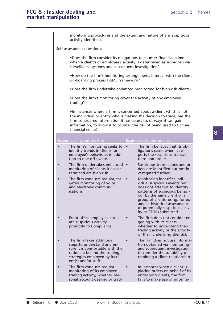## FCG 8 : Insider dealing and<br> **FCG 8 : Insider dealing and**<br> **Section 8.2 : Themes FCG 8 : Insider dealing and market manipulation**

Trading activity, whether per-<br>sonal account dealing or trad-<br>**Exercise 18** ● Apr 2022 www.handbook.fca.org.uk **FCG 8/11 Exercise 2 Section 8.2** : The<br> **External Section 8.2** : The<br> **External Section 8.2** : The<br> **EXERCIST:** Monortoning procedures and the extent and nature of any suspicious<br>
activity identified. Earling and<br>tion<br>monitoring procedures<br>activity identified. monitoring procedures and the extent and nature of any suspicious<br>activity identified.<br>Self-assessment questions:<br>•Does the firm consider its obligations to counter financial crime<br>when a client's or employee's activity is monitoring procedures and the extent and nature of any suspicious<br>activity identified.<br>sssment questions:<br>•Does the firm consider its obligations to counter financial crime<br>when a client's or employee's activity is determi activity identified.<br>
sysment questions:<br>
• Does the firm consider its obligations to counter financial c<br>
when a client's or employee's activity is determined as suspic<br>
surveillance systems and subsequent investigation?<br> •Does the firm consider its obligations to counter financial crime<br>when a client's or employee's activity is determined as suspicious via<br>surveillance systems and subsequent investigation?<br>•How do the firm's monitoring arr •Does the firm consider its obligations to counter<br>when a client's or employee's activity is determin<br>surveillance systems and subsequent investigation<br>•How do the firm's monitoring arrangements into<br>on-boarding process / when a client's or employee's activity is determined as suspicious via<br>
surveillance systems and subsequent investigation?<br>
•How do the firm's monitoring arrangements interact with the client-<br>
on-boarding process / AML fr •How do the firm's monitoring arrangements interact with the client-<br>on-boarding process / AML framework?<br>•Does the firm undertake enhanced monitoring for high risk clients?<br>•Does the firm's monitoring cover the activity o trading? •Does the firm undertake enhanced monitoring for high risk clients?<br>•Does the firm's monitoring cover the activity of any employee<br>trading?<br>•In instances where a firm is concerned about a client which is not<br>the individual •Does the firm undertake enhanced monitoring for high risk clients?<br>•Does the firm's monitoring cover the activity of any employee<br>trading?<br>•In instances where a firm is concerned about a client which is not<br>the individual •Does the firm's monitoring cover the activity of any employee<br>trading?<br>•In instances where a firm is concerned about a client which is not<br>the individual or entity who is making the decision to trade, has the<br>firm conside •Does the firm's monitoring cover the activity of any employee<br>trading?<br>•In instances where a firm is concerned about a client which is not<br>the individual or entity who is making the decision to trade, has the<br>firm conside In instances where a firm is concerned about a client which is not<br>the individual or entity who is making the decision to trade, has the<br>firm considered information it has access to, or ways it can gain<br>information, to all Francisco Microsofthine Scheenkolars about a their think is hot the individual or entity who is making the decision to trade, has the firm considered information it has access to, or ways it can gain information, to allow Fram considered information it has access to, or ways it can gain<br>information, to allow it to counter the risk of being used to further<br>financial crime?<br>Examples of good practice<br>**Examples of poor practice**<br>The firm's moni information, to allow it to counter the risk of being used to further<br>
financial crime?<br>
bles of good practice<br>
The firm's monitoring seeks to<br>
The firm believes that its ob-<br>
identify trends in clients' or<br>
employee's beh Francial crime?<br>
The firm's monitoring seeks to the stamples of poor practice<br>
The firm's monitoring seeks to the firm believes that its ob<br>
identify trends in clients' or ligations cease when it re-<br>
employee's behaviour, Examples of good practice<br>
• The firm's monitoring seeks to • The firm believes that its ob-<br>
identify trends in clients' or ligations cease when it re-<br>
employee's behaviour, in addi-<br>
tions and orders.<br>
The firm undertak The firm's monitoring seeks to • The firm believes that its ob-<br>identify trends in clients' or ligations cease when it re-<br>employee's behaviour, in addi-<br>tion to one off events. The firm undertakes enhanced • Suspicious tr The firm's monitoring seeks to • The firm believes that its conductify trends in clients' or the suspicions cease when it re-<br>
employee's behaviour, in addi-<br>
orts the suspicious transactions and orders.<br>
The firm undertak Employee's Berlavioli, in addition to one off events.<br>
The firm undertakes enhanced <br>
monitoring of clients it has de-<br>
termined are high risk.<br>
The firm conducts regular, tar-<br>
The firm conducts regular, tar-<br>
The firm co The firm undertakes enhanced<br>
monitoring of clients it has de-<br>
termined are high risk.<br>
The firm conducts regular, tar-<br>
The firm conducts regular, tar-<br>
The firm conducts regular, tar-<br>
The firm conducts regular, tar-<br> The firm undertakes enhanced<br>
monitoring of clients it has de-<br>
termined are high risk.<br>
The firm conducts regular, tar-<br>
The firm conducts regular, tar-<br>
The firm conducts regular, tar-<br>
extigated further.<br>
Monitoring ide ders are identified but not in-<br>vestigated further.<br>Monitoring identifies indi-<br>vidual suspicious events but<br>does not attempt to identify<br>patterns of suspicious behavi-<br>our by the same client or a<br>group of clients, using, vestigated further.<br>Monitoring identifies indi-<br>vidual suspicious events but<br>does not attempt to identify<br>patterns of suspicious behavi-<br>our by the same client or a<br>group of clients, using, for ex-<br>ample, historical assess Monitoring identifies indi-<br>vidual suspicious events but<br>does not attempt to identify<br>patterns of suspicious behavi-<br>our by the same client or a<br>group of clients, using, for ex-<br>ample, historical assessments<br>of potentially widual suspicious events but<br>does not attempt to identify<br>patterns of suspicious behavi-<br>our by the same client or a<br>group of clients, using, for ex-<br>ample, historical assessments<br>of potentially suspicious activ-<br>ity or ST Front office employees escal-<br>
and electronic communications.<br>
Front office employees escal-<br>
and the same client or a<br>
group of clients, using, for ex-<br>
ample, historical assessments<br>
of potentially suspicious activ-<br>
ity our by the same client or a<br>group of clients, using, for  $\epsilon$ <br>ample, historical assessment<br>of potentially suspicious act<br>ity or STORs submitted.<br>The firm does not consider  $\epsilon$ <br>ate suspicious activity<br>promptly to Complianc group of clients, using, for example, historical assessments<br>of potentially suspicious activ-<br>ity or STORs submitted.<br>Front office employees escal-<br>ate suspicious activity<br>aging with its clients,<br>promptly to Compliance.<br>Th ample, historical assessments<br>of potentially suspicious activ-<br>ity or STORs submitted.<br>The firm does not consider en-<br>gaging with its clients,<br>whether to understand their<br>trading activity or the activity<br>of their underlyin • Front office employees escal-<br>
• Front office employees escal-<br>
• The firm does not consider en-<br>
adiany with its clients,<br>
promptly to Compliance.<br>
• The firm takes additional<br>
• The firm takes additional<br>
• The firm do Front office employees escal-<br>ate suspicious activity<br>aging with its clients,<br>promptly to Compliance.<br>trading activity or the activity<br>of their underlying client(s).<br>The firm takes additional<br>steps to understand and en-<br>su ate suspicious activity<br>
promptly to Compliance.<br>
trading activity or the activity<br>
of their underlying client(s).<br>
The firm takes additional<br>
sure it is comfortable with the<br>
sure it is comfortable with the<br>
rationale beh promptly to Compliance.<br>
the firm takes additional<br>
the firm takes additional<br>
the firm takes additional<br>
the suitability of their underlying client(s).<br>
The firm does not use informa-<br>
sure it is comfortable with the<br>
rat trading activity or the activity<br>of their underlying client(s).<br>The firm takes additional<br>steps to understand and en-<br>sure it is comfortable with the<br>rationale behind the trading<br>to consider the suitability of<br>strategies e • The firm takes additional • The firm does not use informa-<br>steps to understand and en-<br>sure it is comfortable with the<br>rationale behind the trading and subsequent investigation<br>rationale behind the trading in instances w steps to understand and en-<br>
sure it is comfortable with the<br>
rationale behind the trading<br>
rationale behind the trading<br>
retaining a client relationship.<br>
ent(s) and/or staff.<br>
The firm conducts regular<br>
monitoring of its sure it is comfortable with the<br>
rationale behind the trading<br>
rationale behind the trading<br>
to consider the suitability of<br>
strategies employed by its cli-<br>
ent(s) and/or staff.<br>
The firm conducts regular<br>
monitoring of i Frationale behind the trading<br>strategies employed by its cli-<br>ent(s) and/or staff.<br>The firm conducts regular<br>monitoring of its employee<br>trading activity, whether per-<br>sonal account dealing or trad-<br>fails to make use of inf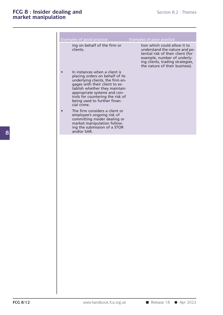| tion                                                                                                                                                                                                                                                                                      | Section 8.2 : Themes                                                                                                                                                                                    |  |
|-------------------------------------------------------------------------------------------------------------------------------------------------------------------------------------------------------------------------------------------------------------------------------------------|---------------------------------------------------------------------------------------------------------------------------------------------------------------------------------------------------------|--|
|                                                                                                                                                                                                                                                                                           |                                                                                                                                                                                                         |  |
| Examples of good practice                                                                                                                                                                                                                                                                 | Examples of poor practice                                                                                                                                                                               |  |
| ing on behalf of the firm or<br>clients.                                                                                                                                                                                                                                                  | tion which could allow it to<br>understand the nature and po-<br>tential risk of their client (for<br>example, number of underly-<br>ing clients, trading strategies,<br>the nature of their business). |  |
| In instances when a client is<br>placing orders on behalf of its<br>underlying clients, the firm en-<br>gages with their client to es-<br>tablish whether they maintain<br>appropriate systems and con-<br>trols for countering the risk of<br>being used to further finan-<br>cial crime |                                                                                                                                                                                                         |  |
| The firm considers a client or<br>employee's ongoing risk of<br>committing insider dealing or<br>market manipulation follow-<br>ing the submission of a STOR<br>and/or SAR.                                                                                                               |                                                                                                                                                                                                         |  |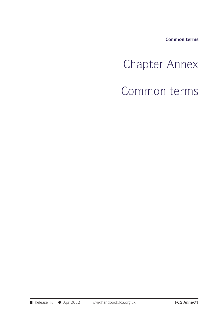**Common terms**

## Chapter Annex<br>
Chapter Annex<br>
Common terms Chapter Annex<br>Common terms<br>Common terms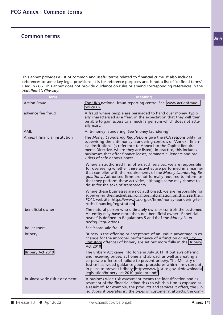This annex provides a list of common and useful terms related to financial crime. It also includes<br>references to some key legal provisions. It is for reference purposes and is not a list of 'defined terms'<br>used in ECG. Thi This annex provides a list of common and useful terms related to financial crime. It also includes<br>references to some key legal provisions. It is for reference purposes and is not a list of 'defined terms'<br>used in *FCG*. T *Handbook's Glossary*.

| Handbook's Glossary.<br><b>Term</b> | <b>Meaning</b>                                                                                                                                                                                                                                                                                                                                                                                  |  |  |  |  |
|-------------------------------------|-------------------------------------------------------------------------------------------------------------------------------------------------------------------------------------------------------------------------------------------------------------------------------------------------------------------------------------------------------------------------------------------------|--|--|--|--|
| <b>Action Fraud</b>                 | The UK's national fraud reporting centre. See: www.actionfraud.-<br>police.uk                                                                                                                                                                                                                                                                                                                   |  |  |  |  |
| advance fee fraud                   | A fraud where people are persuaded to hand over money, typic-<br>ally characterised as a 'fee', in the expectation that they will then<br>be able to gain access to a much larger sum which does not actu-<br>ally exist.                                                                                                                                                                       |  |  |  |  |
| <b>AML</b>                          | Anti-money laundering. See 'money laundering'.                                                                                                                                                                                                                                                                                                                                                  |  |  |  |  |
| Annex I financial institution       | The Money Laundering Regulations give the FCA responsibility for<br>supervising the anti-money laundering controls of 'Annex I finan-<br>cial institutions' (a reference to Annex I to the Capital Require-<br>ments Directive, where they are listed). In practice, this includes<br>businesses that offer finance leases, commercial lenders and pro-<br>viders of safe deposit boxes.        |  |  |  |  |
|                                     | Where an authorised firm offers such services, we are responsible<br>for overseeing whether these activities are performed in a manner<br>that complies with the requirements of the Money Laundering Re-<br>gulations. Authorised firms are not formally required to inform us<br>that they perform these activities, although some may choose to<br>do so for the sake of transparency.       |  |  |  |  |
|                                     | Where these businesses are not authorised, we are responsible for<br>supervising their activities. For more information on this, see the<br>FCA's website: https://www.fca.org.uk/firms/money-laundering-ter-<br>rorist-financing/registration                                                                                                                                                  |  |  |  |  |
| beneficial owner                    | The natural person who ultimately owns or controls the customer.<br>An entity may have more than one beneficial owner. 'Beneficial<br>owner' is defined in Regulations 5 and 6 of the Money Laun-<br>dering Regulations.                                                                                                                                                                        |  |  |  |  |
| boiler room                         | See 'share sale fraud'.                                                                                                                                                                                                                                                                                                                                                                         |  |  |  |  |
| bribery                             | Bribery is the offering or acceptance of an undue advantage in ex-<br>change for the improper performance of a function or activity.<br>Statutory offences of bribery are set out more fully in the Bribery<br>Act 2010.                                                                                                                                                                        |  |  |  |  |
| Bribery Act 2010                    | The Bribery Act came into force in July 2011. It outlaws offering<br>and receiving bribes, at home and abroad, as well as creating a<br>corporate offence of failure to prevent bribery. The Ministry of<br>Justice has issued guidance about procedures which firms can put<br>in place to prevent bribery: https://www.justice.gov.uk/downloads/<br>legislation/bribery-act-2010-guidance.pdf |  |  |  |  |
| business-wide risk assessment       | A business-wide risk assessment means the identification and as-<br>sessment of the financial crime risks to which a firm is exposed as<br>a result of, for example, the products and services it offers, the jur-<br>isdictions it operates in, the types of customer it attracts, the com-                                                                                                    |  |  |  |  |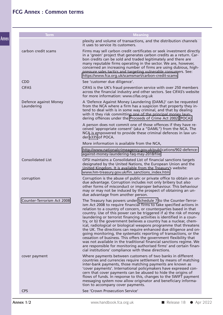| <b>Term</b>                         | <b>Meaning</b>                                                                                                                                                                                                                                                                                                                                                                                                                                                                                                                                                                                                                                                                                                                                                                                                                                                                                                                |
|-------------------------------------|-------------------------------------------------------------------------------------------------------------------------------------------------------------------------------------------------------------------------------------------------------------------------------------------------------------------------------------------------------------------------------------------------------------------------------------------------------------------------------------------------------------------------------------------------------------------------------------------------------------------------------------------------------------------------------------------------------------------------------------------------------------------------------------------------------------------------------------------------------------------------------------------------------------------------------|
|                                     | plexity and volume of transactions, and the distribution channels<br>it uses to service its customers.                                                                                                                                                                                                                                                                                                                                                                                                                                                                                                                                                                                                                                                                                                                                                                                                                        |
| carbon credit scams                 | Firms may sell carbon credit certificates or seek investment directly<br>in a 'green' project that generates carbon credits as a return. Car-<br>bon credits can be sold and traded legitimately and there are<br>many reputable firms operating in the sector. We are, however,<br>concerned an increasing number of firms are using dubious, high-<br>pressure sales tactics and targeting vulnerable consumers. See:<br>https://www.fca.org.uk/scamsmart/carbon-credit-scams                                                                                                                                                                                                                                                                                                                                                                                                                                               |
| <b>CDD</b>                          | See 'customer due diligence'.                                                                                                                                                                                                                                                                                                                                                                                                                                                                                                                                                                                                                                                                                                                                                                                                                                                                                                 |
| <b>CIFAS</b>                        | CIFAS is the UK's fraud prevention service with over 250 members<br>across the financial industry and other sectors. See CIFAS's website<br>for more information: www.cifas.org.uk                                                                                                                                                                                                                                                                                                                                                                                                                                                                                                                                                                                                                                                                                                                                            |
| Defence against Money<br>Laundering | A 'Defence Against Money Laundering (DAML)' can be requested<br>from the NCA where a firm has a suspicion that property they in-<br>tend to deal with is in some way criminal, and that by dealing<br>with it they risk committing one of the principal money laun-<br>dering offences under the Proceeds of Crime Act 2002 (POCA).                                                                                                                                                                                                                                                                                                                                                                                                                                                                                                                                                                                           |
|                                     | A person does not commit one of those offences if they have re-<br>ceived 'appropriate consent' (aka a "DAML") from the NCA. The<br>NCA is empowered to provide these criminal defences in law un-<br>der s335 of POCA.                                                                                                                                                                                                                                                                                                                                                                                                                                                                                                                                                                                                                                                                                                       |
|                                     | More information is available from the NCA,                                                                                                                                                                                                                                                                                                                                                                                                                                                                                                                                                                                                                                                                                                                                                                                                                                                                                   |
|                                     | http://www.nationalcrimeagency.gov.uk/publications/902-defence-<br>against-money-laundering-faq-may-2018/file                                                                                                                                                                                                                                                                                                                                                                                                                                                                                                                                                                                                                                                                                                                                                                                                                 |
| <b>Consolidated List</b>            | OFSI maintains a Consolidated List of financial sanctions targets<br>designated by the United Nations, the European Union and the<br>United Kingdom. It is available from the Treasury's website:<br>www.hm-treasury.gov.uk/fin_sanctions_index.htm                                                                                                                                                                                                                                                                                                                                                                                                                                                                                                                                                                                                                                                                           |
| corruption                          | Corruption is the abuse of public or private office to obtain an un-<br>due advantage. Corruption includes not only bribery but also<br>other forms of misconduct or improper behaviour. This behaviour<br>may or may not be induced by the prospect of obtaining an un-<br>due advantage from another person.                                                                                                                                                                                                                                                                                                                                                                                                                                                                                                                                                                                                                |
| Counter-Terrorism Act 2008          | The Treasury has powers under Schedule 7 to the Counter-Terror-<br>ism Act 2008 to require financial firms to take specified actions in<br>relation to a country of concern, or counterparties based in that<br>country. Use of this power can be triggered if a) the risk of money<br>laundering or terrorist financing activities is identified in a coun-<br>try, or b) the government believes a country has a nuclear, chem-<br>ical, radiological or biological weapons programme that threatens<br>the UK. The directions can require enhanced due diligence and on-<br>going monitoring, the systematic reporting of transactions, or the<br>cessation of business. This offers the government flexibility that<br>was not available in the traditional financial sanctions regime. We<br>are responsible for monitoring authorised firms' and certain finan-<br>cial institutions' compliance with these directions. |
| cover payment                       | Where payments between customers of two banks in different<br>countries and currencies require settlement by means of matching<br>inter-bank payments, those matching payments are known as<br>'cover payments'. International policymakers have expressed con-<br>cern that cover payments can be abused to hide the origins of<br>flows of funds. In response to this, changes to the SWIFT payment<br>messaging system now allow originator and beneficiary informa-<br>tion to accompany cover payments.                                                                                                                                                                                                                                                                                                                                                                                                                  |
| <b>CPS</b>                          | See 'Crown Prosecution Service'                                                                                                                                                                                                                                                                                                                                                                                                                                                                                                                                                                                                                                                                                                                                                                                                                                                                                               |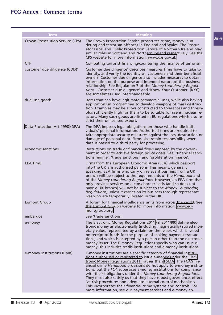| <b>Term</b>                     | <b>Meaning</b>                                                                                                                                                                                                                                                                                                                                                                                                                                                                                                                                                                                                                                                                                  |
|---------------------------------|-------------------------------------------------------------------------------------------------------------------------------------------------------------------------------------------------------------------------------------------------------------------------------------------------------------------------------------------------------------------------------------------------------------------------------------------------------------------------------------------------------------------------------------------------------------------------------------------------------------------------------------------------------------------------------------------------|
| Crown Prosecution Service (CPS) | The Crown Prosecution Service prosecutes crime, money laun-<br>dering and terrorism offences in England and Wales. The Procur-<br>ator Fiscal and Public Prosecution Service of Northern Ireland play<br>similar roles in Scotland and Northern Ireland respectively. See the<br>CPS website for more information: www.cps.gov.uk                                                                                                                                                                                                                                                                                                                                                               |
| <b>CTF</b>                      | Combating terrorist financing/countering the finance of terrorism.                                                                                                                                                                                                                                                                                                                                                                                                                                                                                                                                                                                                                              |
| customer due diligence (CDD)'   | Customer due diligence' describes measures firms have to take to<br>identify, and verify the identity of, customers and their beneficial<br>owners. Customer due diligence also includes measures to obtain<br>information on the purpose and intended nature of the business<br>relationship. See Regulation 7 of the Money Laundering Regula-<br>tions. 'Customer due diligence' and 'Know Your Customer' (KYC)<br>are sometimes used interchangeably.                                                                                                                                                                                                                                        |
| dual use goods                  | Items that can have legitimate commercial uses, while also having<br>applications in programmes to develop weapons of mass destruc-<br>tion. Examples may be alloys constructed to tolerances and thresh-<br>olds sufficiently high for them to be suitable for use in nuclear re-<br>actors. Many such goods are listed in EU regulations which also re-<br>strict their unlicensed export.                                                                                                                                                                                                                                                                                                    |
| Data Protection Act 1998 (DPA)  | The DPA imposes legal obligations on those who handle indi-<br>viduals' personal information. Authorised firms are required to<br>take appropriate security measures against the loss, destruction or<br>damage of personal data. Firms also retain responsibility when<br>data is passed to a third party for processing.                                                                                                                                                                                                                                                                                                                                                                      |
| economic sanctions              | Restrictions on trade or financial flows imposed by the govern-<br>ment in order to achieve foreign policy goals. See: 'financial sanc-<br>tions regime', 'trade sanctions', and 'proliferation finance'.                                                                                                                                                                                                                                                                                                                                                                                                                                                                                       |
| <b>EEA firms</b>                | Firms from the European Economic Area (EEA) which passport<br>into the UK are authorised persons. This means, generally<br>speaking, EEA firms who carry on relevant business from a UK<br>branch will be subject to the requirements of the Handbook and<br>of the Money Laundering Regulations. However, an EEA firm that<br>only provides services on a cross-border basis (and so does not<br>have a UK branch) will not be subject to the Money Laundering<br>Regulations, unless it carries on its business through representat-<br>ives who are temporarily located in the UK.                                                                                                           |
| <b>Egmont Group</b>             | A forum for financial intelligence units from across the world. See<br>the Egmont Group's website for more information: www.eg-<br>montgroup.org                                                                                                                                                                                                                                                                                                                                                                                                                                                                                                                                                |
| embargos                        | See 'trade sanctions'.                                                                                                                                                                                                                                                                                                                                                                                                                                                                                                                                                                                                                                                                          |
| e-money                         | The Electronic Money Regulations 2011 (SI 2011/99) define elec-<br>tronic money as electronically (including magnetically) stored mon-<br>etary value, represented by a claim on the issuer, which is issued<br>on receipt of funds for the purpose of making payment transac-<br>tions, and which is accepted by a person other than the electronic<br>money issuer. The E-money Regulations specify who can issue e-<br>money; this includes credit institutions and e-money institutions.                                                                                                                                                                                                    |
| e-money institutions (EMIs)     | E-money institutions are a specific category of financial institu-<br>tions authorised or registered to issue e-money under the Elec-<br>tronic Money Regulations 2011, rather than FSMA. The FCA's fin-<br>ancial crime Handbook provisions do not apply to e-money institu-<br>tions, but the FCA supervises e-money institutions for compliance<br>with their obligations under the Money Laundering Regulations.<br>They must also satisfy us that they have robust governance, effect-<br>ive risk procedures and adequate internal control mechanisms.<br>This incorporates their financial crime systems and controls. For<br>more information, see our payment services and e-money ap- |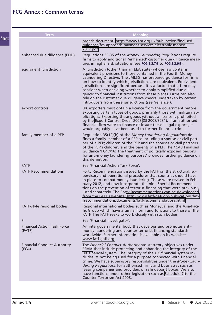| <b>Meaning</b>                                                                                                                                                                                                                                                                                                                                                                                                                                                                                                                                                                                                  |
|-----------------------------------------------------------------------------------------------------------------------------------------------------------------------------------------------------------------------------------------------------------------------------------------------------------------------------------------------------------------------------------------------------------------------------------------------------------------------------------------------------------------------------------------------------------------------------------------------------------------|
| proach document: https://www.fca.org.uk/publication/finalised-<br>guidance/fca-approach-payment-services-electronic-money-<br>2017.pdf                                                                                                                                                                                                                                                                                                                                                                                                                                                                          |
| Regulations 33-35 of the Money Laundering Regulations require<br>firms to apply additional, 'enhanced' customer due diligence meas-<br>ures in higher risk situations (see FCG 3.2.7G to FCG 3.2.9G).                                                                                                                                                                                                                                                                                                                                                                                                           |
| A jurisdiction (other than an EEA state) whose law contains<br>equivalent provisions to those contained in the Fourth Money<br>Laundering Directive. The JMLSG has prepared guidance for firms<br>on how to identify which jurisdictions are equivalent. Equivalent<br>jurisdictions are significant because it is a factor that a firm may<br>consider when deciding whether to apply 'simplified due dili-<br>gence' to financial institutions from these places. Firms can also<br>rely on the customer due diligence checks undertaken by certain<br>introducers from these jurisdictions (see 'reliance'). |
| UK exporters must obtain a licence from the government before<br>exporting certain types of goods, primarily those with military ap-<br>plications. Exporting these goods without a licence is prohibited<br>by the Export Control Order 2008 (SI 2008/3231). If an authorised<br>financial firm were to finance or insure these illegal exports, it<br>would arguably have been used to further financial crime.                                                                                                                                                                                               |
| Regulation 35(12)(b) of the Money Laundering Regulations de-<br>fines a family member of a PEP as including a spouse or civil part-<br>ner of a PEP; children of the PEP and the spouses or civil partners<br>of the PEP's children; and the parents of a PEP. The FCA's Finalised<br>Guidance 'FG17/16: The treatment of politically exposed persons<br>for anti-money laundering purposes' provides further guidance on<br>this definition.                                                                                                                                                                   |
| See 'Financial Action Task Force'.                                                                                                                                                                                                                                                                                                                                                                                                                                                                                                                                                                              |
| Forty Recommendations issued by the FATF on the structural, su-<br>pervisory and operational procedures that countries should have<br>in place to combat money laundering. These were revised in Feb-<br>ruary 2012, and now incorporate the nine Special Recommenda-<br>tions on the prevention of terrorist financing that were previously<br>listed separately. The Forty Recommendations can be downloaded<br>from the FATF's website: http://www.fatf-gafi.org/publications/fat-<br>frecommendations/documents/fatf-recommendations.html                                                                   |
| Regional international bodies such as Moneyval and the Asia-Paci-<br>fic Group which have a similar form and functions to those of the<br>FATF. The FATF seeks to work closely with such bodies.                                                                                                                                                                                                                                                                                                                                                                                                                |
| See 'Financial Investigator'.                                                                                                                                                                                                                                                                                                                                                                                                                                                                                                                                                                                   |
| An intergovernmental body that develops and promotes anti-<br>money laundering and counter terrorist financing standards<br>worldwide. Further information is available on its website:<br>www.fatf-gafi.org                                                                                                                                                                                                                                                                                                                                                                                                    |
| The Financial Conduct Authority has statutory objectives under<br>FSMA that include protecting and enhancing the integrity of the<br>UK financial system. The integrity of the UK financial system in-<br>cludes its not being used for a purpose connected with financial<br>crime. We have supervisory responsibilities under the Money Laun-<br>dering Regulations for authorised firms and businesses such as<br>leasing companies and providers of safe deposit boxes. We also<br>have functions under other legislation such as Schedule 7 to the<br>Counter-Terrorism Act 2008.                          |
|                                                                                                                                                                                                                                                                                                                                                                                                                                                                                                                                                                                                                 |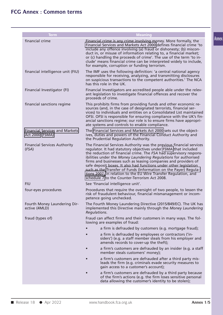| <b>Term</b>                                              | <b>Meaning</b>                                                                                                                                                                                                                                                                                                                                                                                                                                                                                                                                                                                                   |  |
|----------------------------------------------------------|------------------------------------------------------------------------------------------------------------------------------------------------------------------------------------------------------------------------------------------------------------------------------------------------------------------------------------------------------------------------------------------------------------------------------------------------------------------------------------------------------------------------------------------------------------------------------------------------------------------|--|
| financial crime                                          | Financial crime is any crime involving money. More formally, the<br>Financial Services and Markets Act 2000 defines financial crime 'to<br>include any offence involving (a) fraud or dishonesty; (b) miscon-<br>duct in, or misuse of information relating to, a financial market;<br>or (c) handling the proceeds of crime'. The use of the term 'to in-<br>clude' means financial crime can be interpreted widely to include,<br>for example, corruption or funding terrorism.                                                                                                                                |  |
| financial intelligence unit (FIU)                        | The IMF uses the following definition: 'a central national agency<br>responsible for receiving, analyzing, and transmitting disclosures<br>on suspicious transactions to the competent authorities.' The NCA<br>has this role in the UK.                                                                                                                                                                                                                                                                                                                                                                         |  |
| Financial Investigator (FI)                              | Financial Investigators are accredited people able under the relev-<br>ant legislation to investigate financial offences and recover the<br>proceeds of crime.                                                                                                                                                                                                                                                                                                                                                                                                                                                   |  |
| financial sanctions regime                               | This prohibits firms from providing funds and other economic re-<br>sources (and, in the case of designated terrorists, financial ser-<br>vices) to individuals and entities on a Consolidated List maintained<br>OFSI. OFSI is responsible for ensuring compliance with the UK's fin-<br>ancial sanctions regime; our role is to ensure firms have appropri-<br>ate systems and controls to enable compliance.                                                                                                                                                                                                  |  |
| <b>Financial Services and Markets</b><br>Act 2000 (FSMA) | The Financial Services and Markets Act 2000 sets out the object-<br>ives, duties and powers of the Financial Conduct Authority and<br>the Prudential Regulation Authority.                                                                                                                                                                                                                                                                                                                                                                                                                                       |  |
| <b>Financial Services Authority</b><br>(FSA)             | The Financial Services Authority was the previous financial services<br>regulator. It had statutory objectives under FSMA that included<br>the reduction of financial crime. The FSA had supervisory respons-<br>ibilities under the Money Laundering Regulations for authorised<br>firms and businesses such as leasing companies and providers of<br>safe deposit boxes. It also had functions under other legislation<br>such as the Transfer of Funds (Information on the Payer) Regula-<br>tions 2007, in relation to the EU Wire Transfer Regulation, and<br>schedule 7 to the Counter-Terrorism Act 2008. |  |
| <b>FIU</b>                                               | See 'financial intelligence unit'.                                                                                                                                                                                                                                                                                                                                                                                                                                                                                                                                                                               |  |
| four-eyes procedures                                     | Procedures that require the oversight of two people, to lessen the<br>risk of fraudulent behaviour, financial mismanagement or incom-<br>petence going unchecked.                                                                                                                                                                                                                                                                                                                                                                                                                                                |  |
| Fourth Money Laundering Dir-<br>ective (4MLD)            | The Fourth Money Laundering Directive (2015/849/EC). The UK has<br>implemented this Directive mainly through the Money Laundering<br>Regulations.                                                                                                                                                                                                                                                                                                                                                                                                                                                                |  |
| fraud (types of)                                         | Fraud can affect firms and their customers in many ways. The fol-<br>lowing are examples of fraud:                                                                                                                                                                                                                                                                                                                                                                                                                                                                                                               |  |
|                                                          | a firm is defrauded by customers (e.g. mortgage fraud);                                                                                                                                                                                                                                                                                                                                                                                                                                                                                                                                                          |  |
|                                                          | a firm is defrauded by employees or contractors ('in-<br>siders') (e.g. a staff member steals from his employer and<br>amends records to cover-up the theft);                                                                                                                                                                                                                                                                                                                                                                                                                                                    |  |
|                                                          | a firm's customers are defrauded by an insider (e.g. a staff<br>$\bullet$<br>member steals customers' money);                                                                                                                                                                                                                                                                                                                                                                                                                                                                                                    |  |
|                                                          | a firm's customers are defrauded after a third party mis-<br>leads the firm (e.g. criminals evade security measures to<br>gain access to a customer's account);                                                                                                                                                                                                                                                                                                                                                                                                                                                  |  |
|                                                          | a firm's customers are defrauded by a third party because<br>of the firm's actions (e.g. the firm loses sensitive personal<br>data allowing the customer's identity to be stolen);                                                                                                                                                                                                                                                                                                                                                                                                                               |  |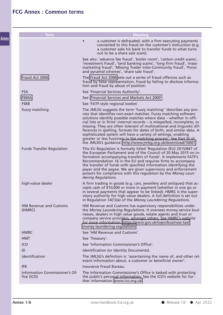| <b>Term</b>                                  | <b>Meaning</b>                                                                                                                                                                                                                                                                                                                                                                                                                                                                                                                                                                                                                                  |
|----------------------------------------------|-------------------------------------------------------------------------------------------------------------------------------------------------------------------------------------------------------------------------------------------------------------------------------------------------------------------------------------------------------------------------------------------------------------------------------------------------------------------------------------------------------------------------------------------------------------------------------------------------------------------------------------------------|
|                                              | a customer is defrauded, with a firm executing payments<br>connected to this fraud on the customer's instruction (e.g.<br>a customer asks his bank to transfer funds to what turns<br>out to be a share sale scam).                                                                                                                                                                                                                                                                                                                                                                                                                             |
|                                              | See also: 'advance fee fraud', 'boiler room', 'carbon credit scams',<br>'investment fraud', 'land banking scams', 'long firm fraud', 'mass-<br>marketing fraud', 'Missing Trader Inter-Community fraud', 'Ponzi<br>and pyramid schemes', 'share sale fraud'.                                                                                                                                                                                                                                                                                                                                                                                    |
| Fraud Act 2006                               | The Fraud Act 2006 sets out a series of fraud offences such as<br>fraud by false representation, fraud by failing to disclose informa-<br>tion and fraud by abuse of position.                                                                                                                                                                                                                                                                                                                                                                                                                                                                  |
| <b>FSA</b>                                   | See 'Financial Services Authority'.                                                                                                                                                                                                                                                                                                                                                                                                                                                                                                                                                                                                             |
| <b>FSMA</b>                                  | See 'Financial Services and Markets Act 2000'.                                                                                                                                                                                                                                                                                                                                                                                                                                                                                                                                                                                                  |
| <b>FSRB</b>                                  | See 'FATF-style regional bodies'.                                                                                                                                                                                                                                                                                                                                                                                                                                                                                                                                                                                                               |
| fuzzy matching                               | The JMLSG suggests the term 'fuzzy matching' 'describes any pro-<br>cess that identifies non-exact matches. Fuzzy matching software<br>solutions identify possible matches where data - whether in offi-<br>cial lists or in firms' internal records - is misspelled, incomplete, or<br>missing. They are often tolerant of multinational and linguistic dif-<br>ferences in spelling, formats for dates of birth, and similar data. A<br>sophisticated system will have a variety of settings, enabling<br>greater or less fuzziness in the matching process'. See Part III of<br>the JMLSG's guidance: http://www.jmlsg.org.uk/download/10007 |
| <b>Funds Transfer Regulation</b>             | This EU Regulation is formally titled 'Regulation (EU) 2015/847 of<br>the European Parliament and of the Council of 20 May 2015 on in-<br>formation accompanying transfers of funds'. It implements FATF's<br>Recommendation 16 in the EU and requires firms to accompany<br>the transfer of funds with specified information identifying the<br>payer and the payee. We are given supervisory and enforcement<br>powers for compliance with this regulation by the Money Laun-<br>dering Regulations.                                                                                                                                          |
| high-value dealer                            | A firm trading in goods (e.g. cars, jewellery and antiques) that ac-<br>cepts cash of €10,000 or more in payment (whether in one go or<br>in several payments that appear to be linked). HMRC is the super-<br>visory authority for high value dealers. A full definition is set out<br>in Regulation 14(1)(a) of the Money Laundering Regulations.                                                                                                                                                                                                                                                                                             |
| <b>HM Revenue and Customs</b><br>(HMRC)      | HM Revenue and Customs has supervisory responsibilities under<br>the Money Laundering Regulations. It oversees money service busi-<br>nesses, dealers in high value goods, estate agents and trust or<br>company service providers, amongst others. See HMRC's website<br>for more information: https://www.gov.uk/topic/business-tax/<br>money-laundering-regulations                                                                                                                                                                                                                                                                          |
| <b>HMRC</b>                                  | See 'HM Revenue and Customs'.                                                                                                                                                                                                                                                                                                                                                                                                                                                                                                                                                                                                                   |
| <b>HMT</b>                                   | See 'Treasury'.                                                                                                                                                                                                                                                                                                                                                                                                                                                                                                                                                                                                                                 |
| ICO                                          | See 'Information Commissioner's Office'.                                                                                                                                                                                                                                                                                                                                                                                                                                                                                                                                                                                                        |
| ID                                           | Identification (or Identity Documents).                                                                                                                                                                                                                                                                                                                                                                                                                                                                                                                                                                                                         |
| identification                               | The JMLSG's definition is: 'ascertaining the name of, and other rel-<br>evant information about, a customer or beneficial owner'.                                                                                                                                                                                                                                                                                                                                                                                                                                                                                                               |
| <b>IFB</b>                                   | Insurance Fraud Bureau.                                                                                                                                                                                                                                                                                                                                                                                                                                                                                                                                                                                                                         |
| Information Commissioner's Of-<br>fice (ICO) | The Information Commissioner's Office is tasked with protecting<br>the public's personal information. See the ICO's website for fur-<br>ther information: www.ico.org.uk                                                                                                                                                                                                                                                                                                                                                                                                                                                                        |
|                                              |                                                                                                                                                                                                                                                                                                                                                                                                                                                                                                                                                                                                                                                 |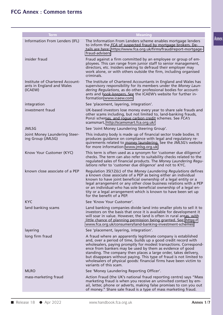| <b>Term</b>                                                             | <b>Meaning</b>                                                                                                                                                                                                                                                                                                                                                                                                                                                                                                |
|-------------------------------------------------------------------------|---------------------------------------------------------------------------------------------------------------------------------------------------------------------------------------------------------------------------------------------------------------------------------------------------------------------------------------------------------------------------------------------------------------------------------------------------------------------------------------------------------------|
| Information From Lenders (IFL)                                          | The Information From Lenders scheme enables mortgage lenders<br>to inform the FCA of suspected fraud by mortgage brokers. De-<br>tails are here: https://www.fca.org.uk/firms/fraud/report-mortgage-<br>fraud-advisers                                                                                                                                                                                                                                                                                        |
| insider fraud                                                           | Fraud against a firm committed by an employee or group of em-<br>ployees. This can range from junior staff to senior management,<br>directors, etc. Insiders seeking to defraud their employer may<br>work alone, or with others outside the firm, including organised<br>criminals.                                                                                                                                                                                                                          |
| Institute of Chartered Account-<br>ants in England and Wales<br>(ICAEW) | The Institute of Chartered Accountants in England and Wales has<br>supervisory responsibility for its members under the Money Laun-<br>dering Regulations, as do other professional bodies for account-<br>ants and book-keepers. See the ICAEW's website for further in-<br>formation:www.icaew.com                                                                                                                                                                                                          |
| integration                                                             | See 'placement, layering, integration'.                                                                                                                                                                                                                                                                                                                                                                                                                                                                       |
| investment fraud                                                        | UK-based investors lose money every year to share sale frauds and<br>other scams including, but not limited to, land-banking frauds,<br>Ponzi schemes, and rogue carbon credit schemes. See FCA's<br>scamsmart, http://scamsmart.fca.org.uk/                                                                                                                                                                                                                                                                  |
| <b>JMLSG</b>                                                            | See 'Joint Money Laundering Steering Group'.                                                                                                                                                                                                                                                                                                                                                                                                                                                                  |
| Joint Money Laundering Steer-<br>ing Group (JMLSG)                      | This industry body is made up of financial sector trade bodies. It<br>produces guidance on compliance with legal and regulatory re-<br>quirements related to money laundering. See the JMLSG's website<br>for more information: www.jmlsg.org.uk                                                                                                                                                                                                                                                              |
| Know Your Customer (KYC)                                                | This term is often used as a synonym for 'customer due diligence'<br>checks. The term can also refer to suitability checks related to the<br>regulated sales of financial products. The Money Laundering Regu-<br>lations refer to 'customer due diligence' and not to KYC.                                                                                                                                                                                                                                   |
| known close associate of a PEP                                          | Regulation 35(12)(c) of the Money Laundering Regulations defines<br>a known close associate of a PEP as being either an individual<br>known to have joint beneficial ownership of a legal entity or a<br>legal arrangement or any other close business relations with a PEP<br>or an individual who has sole beneficial ownership of a legal en-<br>tity or a legal arrangement which is known to have been set up<br>for the benefit of a PEP.                                                               |
| <b>KYC</b>                                                              | See 'Know Your Customer'.                                                                                                                                                                                                                                                                                                                                                                                                                                                                                     |
| land banking scams                                                      | Land banking companies divide land into smaller plots to sell it to<br>investors on the basis that once it is available for development it<br>will soar in value. However, the land is often in rural areas, with<br>little chance of planning permission being granted. See: https://<br>www.fca.org.uk/consumers/land-banking-investment-schemes                                                                                                                                                            |
| layering                                                                | See 'placement, layering, integration'.                                                                                                                                                                                                                                                                                                                                                                                                                                                                       |
| long firm fraud                                                         | A fraud where an apparently legitimate company is established<br>and, over a period of time, builds up a good credit record with<br>wholesalers, paying promptly for modest transactions. Correspond-<br>ence from bankers may be used by them as evidence of good<br>standing. The company then places a large order, takes delivery,<br>but disappears without paying. This type of fraud is not limited to<br>wholesalers of physical goods: financial firms have been victim to<br>variants of this scam. |
| <b>MLRO</b>                                                             | See 'Money Laundering Reporting Officer'.                                                                                                                                                                                                                                                                                                                                                                                                                                                                     |
| mass-marketing fraud                                                    | Action Fraud (the UK's national fraud reporting centre) says "Mass<br>marketing fraud is when you receive an uninvited contact by em-<br>ail, letter, phone or adverts, making false promises to con you out<br>of money." Share sale fraud is a type of mass marketing fraud.                                                                                                                                                                                                                                |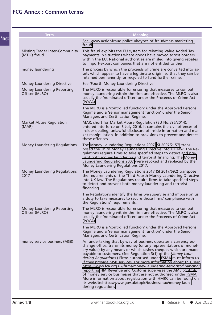| <b>Term</b>                                    | <b>Meaning</b>                                                                                                                                                                                                                                                                                                                                                                                                                                                                                                                                                                                                                                                                                                                                                                   |
|------------------------------------------------|----------------------------------------------------------------------------------------------------------------------------------------------------------------------------------------------------------------------------------------------------------------------------------------------------------------------------------------------------------------------------------------------------------------------------------------------------------------------------------------------------------------------------------------------------------------------------------------------------------------------------------------------------------------------------------------------------------------------------------------------------------------------------------|
|                                                | See: www.actionfraud.police.uk/types-of-fraud/mass-marketing-<br>fraud                                                                                                                                                                                                                                                                                                                                                                                                                                                                                                                                                                                                                                                                                                           |
| Missing Trader Inter-Community<br>(MTIC) fraud | This fraud exploits the EU system for rebating Value Added Tax<br>payments in situations where goods have moved across borders<br>within the EU. National authorities are misled into giving rebates<br>to import-export companies that are not entitled to them.                                                                                                                                                                                                                                                                                                                                                                                                                                                                                                                |
| money laundering                               | The process by which the proceeds of crime are converted into as-<br>sets which appear to have a legitimate origin, so that they can be<br>retained permanently, or recycled to fund further crime.                                                                                                                                                                                                                                                                                                                                                                                                                                                                                                                                                                              |
| Money Laundering Directive                     | See 'Fourth Money Laundering Directive'.                                                                                                                                                                                                                                                                                                                                                                                                                                                                                                                                                                                                                                                                                                                                         |
| Money Laundering Reporting<br>Officer (MLRO)   | The MLRO is responsible for ensuring that measures to combat<br>money laundering within the firm are effective. The MLRO is also<br>usually the 'nominated officer' under the Proceeds of Crime Act<br>(POCA).                                                                                                                                                                                                                                                                                                                                                                                                                                                                                                                                                                   |
|                                                | The MLRO is a 'controlled function' under the Approved Persons<br>Regime and a 'senior management function' under the Senior<br>Managers and Certification Regime.                                                                                                                                                                                                                                                                                                                                                                                                                                                                                                                                                                                                               |
| <b>Market Abuse Regulation</b><br>(MAR)        | MAR, short for Market Abuse Regulation (EU No.596/2014),<br>entered into force on 3 July 2016. It contains the civil offences of<br>insider dealing, unlawful disclosure of inside information and mar-<br>ket manipulation, in addition to provisions to prevent and detect<br>these offences.                                                                                                                                                                                                                                                                                                                                                                                                                                                                                  |
| <b>Money Laundering Regulations</b>            | The Money Laundering Regulations 2007 (SI 2007/2157) trans-<br>posed the Third Money Laundering Directive into UK law. The Re-<br>gulations require firms to take specified steps to detect and pre-<br>vent both money laundering and terrorist financing. The Money<br>Laundering Regulations 2007 were revoked and replaced by the<br>Money Laundering Regulations 2017.                                                                                                                                                                                                                                                                                                                                                                                                      |
| <b>Money Laundering Regulations</b><br>2017    | The Money Laundering Regulations 2017 (SI 2017/692) transpose<br>the requirements of the Third Fourth Money Laundering Directive<br>into UK law. The Regulations require firms to take specified steps<br>to detect and prevent both money laundering and terrorist<br>financing.                                                                                                                                                                                                                                                                                                                                                                                                                                                                                                |
|                                                | The Regulations identify the firms we supervise and impose on us<br>a duty to take measures to secure those firms' compliance with<br>the Regulations' requirements.                                                                                                                                                                                                                                                                                                                                                                                                                                                                                                                                                                                                             |
| Money Laundering Reporting<br>Officer (MLRO)   | The MLRO is responsible for ensuring that measures to combat<br>money laundering within the firm are effective. The MLRO is also<br>usually the 'nominated officer' under the Proceeds of Crime Act<br>(POCA).                                                                                                                                                                                                                                                                                                                                                                                                                                                                                                                                                                   |
|                                                | The MLRO is a 'controlled function' under the Approved Persons<br>Regime and a 'senior management function' under the Senior<br>Managers and Certification Regime.                                                                                                                                                                                                                                                                                                                                                                                                                                                                                                                                                                                                               |
| money service business (MSB)                   | An undertaking that by way of business operates a currency ex-<br>change office, transmits money (or any representations of monet-<br>ary value) by any means or which cashes cheques which are made<br>payable to customers. (See Regulation 3(1) of the Money Laun-<br>dering Regulations.) Firms authorised under FSMA must inform us<br>if they provide MSB services. For more information about this, see:<br>https://www.fca.org.uk/firms/money-laundering-terrorist-financing/<br>reporting HM Revenue and Customs supervises the AML controls<br>of money service businesses that are not authorised under FSMA.<br>More information about registration with HMRC can be found on<br>its website:https://www.gov.uk/topic/business-tax/money-laun-<br>dering-regulations |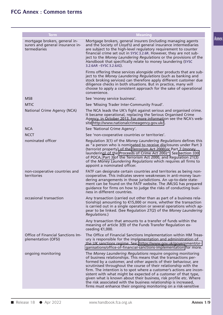| <b>Term</b>                                                                       | <b>Meaning</b>                                                                                                                                                                                                                                                                                                                                                                                                                                                                                                                                                                                                                |
|-----------------------------------------------------------------------------------|-------------------------------------------------------------------------------------------------------------------------------------------------------------------------------------------------------------------------------------------------------------------------------------------------------------------------------------------------------------------------------------------------------------------------------------------------------------------------------------------------------------------------------------------------------------------------------------------------------------------------------|
| mortgage brokers, general in-<br>surers and general insurance in-<br>termediaries | Mortgage brokers, general insurers (including managing agents<br>and the Society of Lloyd's) and general insurance intermediaries<br>are subject to the high-level regulatory requirement to counter<br>financial crime set out in SYSC 3.2.6R. However, they are not sub-<br>ject to the Money Laundering Regulations or the provisions of the<br>Handbook that specifically relate to money laundering (SYSC<br>3.2.6AR - SYSC 3.2.6JG).                                                                                                                                                                                    |
|                                                                                   | Firms offering these services alongside other products that are sub-<br>ject to the Money Laundering Regulations (such as banking and<br>stock broking services) can therefore apply different customer due<br>diligence checks in both situations. But in practice, many will<br>choose to apply a consistent approach for the sake of operational<br>convenience.                                                                                                                                                                                                                                                           |
| <b>MSB</b>                                                                        | See 'money service business'.                                                                                                                                                                                                                                                                                                                                                                                                                                                                                                                                                                                                 |
| <b>MTIC</b>                                                                       | See 'Missing Trader Inter-Community Fraud'.                                                                                                                                                                                                                                                                                                                                                                                                                                                                                                                                                                                   |
| National Crime Agency (NCA)                                                       | The NCA leads the UK's fight against serious and organised crime.<br>It became operational, replacing the Serious Organised Crime<br>Agency, in October 2013. For more information see the NCA's web-<br>site:http://www.nationalcrimeagency.gov.uk/.                                                                                                                                                                                                                                                                                                                                                                         |
| <b>NCA</b>                                                                        | See 'National Crime Agency'.                                                                                                                                                                                                                                                                                                                                                                                                                                                                                                                                                                                                  |
| <b>NCCT</b>                                                                       | See 'non-cooperative countries or territories'.                                                                                                                                                                                                                                                                                                                                                                                                                                                                                                                                                                               |
| nominated officer                                                                 | Regulation 3(1) of the Money Laundering Regulations defines this<br>as "a person who is nominated to receive disclosures under Part 3<br>(terrorist property) of the Terrorism Act 2000 or Part 7 (money<br>laundering) of the Proceeds of Crime Act 2002". See section 330<br>of POCA, Part 3 of the Terrorism Act 2000, and Regulation 21(3)<br>of the Money Laundering Regulations which requires all firms to<br>appoint a nominated officer.                                                                                                                                                                             |
| non-cooperative countries and<br>territories                                      | FATF can designate certain countries and territories as being non-<br>cooperative. This indicates severe weaknesses in anti-money laun-<br>dering arrangements in those jurisdictions. An up-to-date state-<br>ment can be found on the FATF website. The JMLSG has prepared<br>guidance for firms on how to judge the risks of conducting busi-<br>ness in different countries.                                                                                                                                                                                                                                              |
| occasional transaction                                                            | Any transaction (carried out other than as part of a business rela-<br>tionship) amounting to $\epsilon$ 15,000 or more, whether the transaction<br>is carried out in a single operation or several operations which ap-<br>pear to be linked. (See Regulation 27(2) of the Money Laundering<br>Regulations.)                                                                                                                                                                                                                                                                                                                 |
|                                                                                   | Any transaction that amounts to a transfer of funds within the<br>meaning of article 3(9) of the Funds Transfer Regulation ex-<br>ceeding €1,000.                                                                                                                                                                                                                                                                                                                                                                                                                                                                             |
| Office of Financial Sanctions Im-<br>plementation (OFSI)                          | The Office of Financial Sanctions Implementation within HM Treas-<br>ury is responsible for the implementation and administration of<br>the UK sanctions regime. See: https://www.gov.uk/government/or-<br>ganisations/office-of-financial-sanctions-implementation for more.                                                                                                                                                                                                                                                                                                                                                 |
| ongoing monitoring                                                                | The Money Laundering Regulations require ongoing monitoring<br>of business relationships. This means that the transactions per-<br>formed by a customer, and other aspects of their behaviour, are<br>scrutinised throughout the course of their relationship with the<br>firm. The intention is to spot where a customer's actions are incon-<br>sistent with what might be expected of a customer of that type,<br>given what is known about their business, risk profile etc. Where<br>the risk associated with the business relationship is increased,<br>firms must enhance their ongoing monitoring on a risk-sensitive |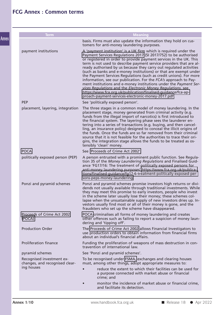| <b>Term</b>                                                 | <b>Meaning</b>                                                                                                                                                                                                                                                                                                                                                                                                                                                                                                                                                                                                                                                                                                                                                                                                                    |
|-------------------------------------------------------------|-----------------------------------------------------------------------------------------------------------------------------------------------------------------------------------------------------------------------------------------------------------------------------------------------------------------------------------------------------------------------------------------------------------------------------------------------------------------------------------------------------------------------------------------------------------------------------------------------------------------------------------------------------------------------------------------------------------------------------------------------------------------------------------------------------------------------------------|
|                                                             | basis. Firms must also update the information they hold on cus-<br>tomers for anti-money laundering purposes.                                                                                                                                                                                                                                                                                                                                                                                                                                                                                                                                                                                                                                                                                                                     |
| payment institutions                                        | A 'payment institution' is a UK firm which is required under the<br>Payment Services Regulations 2017 (SI 2017/752) to be authorised<br>or registered in order to provide payment services in the UK. This<br>term is not used to describe payment service providers that are al-<br>ready authorised by us because they carry out regulated activities<br>(such as banks and e-money institutions) or that are exempt under<br>the Payment Services Regulations (such as credit unions). For more<br>information, see our publication. For the FCA's approach to Pay-<br>ment institutions and e-money institutions under the Payment Ser-<br>vices Regulations and the Electronic Money Regulations, see<br>https://www.fca.org.uk/publication/finalised-guidance/fca-ap-<br>proach-payment-services-electronic-money-2017.pdf. |
| <b>PEP</b>                                                  | See 'politically exposed person'.                                                                                                                                                                                                                                                                                                                                                                                                                                                                                                                                                                                                                                                                                                                                                                                                 |
| placement, layering, integration                            | The three stages in a common model of money laundering. In the<br>placement stage, money generated from criminal activity (e.g.<br>funds from the illegal import of narcotics) is first introduced to<br>the financial system. The layering phase sees the launderer en-<br>tering into a series of transactions (e.g. buying, and then cancel-<br>ling, an insurance policy) designed to conceal the illicit origins of<br>the funds. Once the funds are so far removed from their criminal<br>source that it is not feasible for the authorities to trace their ori-<br>gins, the integration stage allows the funds to be treated as os-<br>tensibly 'clean' money.                                                                                                                                                            |
| <b>POCA</b>                                                 | See 'Proceeds of Crime Act 2002'.                                                                                                                                                                                                                                                                                                                                                                                                                                                                                                                                                                                                                                                                                                                                                                                                 |
| politically exposed person (PEP)                            | A person entrusted with a prominent public function. See Regula-<br>tion 35 of the Money Laundering Regulations and Finalised Guid-<br>ance 'FG17/16: The treatment of politically exposed persons for<br>anti-money laundering purposes' https://www.fca.org.uk/publica-<br>tions/finalised-guidance/fg17-6-treatment-politically-exposed-per-<br>sons-peps-money-laundering.                                                                                                                                                                                                                                                                                                                                                                                                                                                    |
| Ponzi and pyramid schemes                                   | Ponzi and pyramid schemes promise investors high returns or divi-<br>dends not usually available through traditional investments. While<br>they may meet this promise to early investors, people who invest<br>in the scheme later usually lose their money; these schemes col-<br>lapse when the unsustainable supply of new investors dries up. In-<br>vestors usually find most or all of their money is gone, and the<br>fraudsters who set up the scheme have disappeared.                                                                                                                                                                                                                                                                                                                                                   |
| Proceeds of Crime Act 2002<br>(POCA)                        | POCA criminalises all forms of money laundering and creates<br>other offences such as failing to report a suspicion of money laun-<br>dering and 'tipping off'.                                                                                                                                                                                                                                                                                                                                                                                                                                                                                                                                                                                                                                                                   |
| <b>Production Order</b>                                     | The Proceeds of Crime Act 2002 allows Financial Investigators to<br>use production orders to obtain information from financial firms<br>about an individual's financial affairs.                                                                                                                                                                                                                                                                                                                                                                                                                                                                                                                                                                                                                                                  |
| <b>Proliferation finance</b>                                | Funding the proliferation of weapons of mass destruction in con-<br>travention of international law.                                                                                                                                                                                                                                                                                                                                                                                                                                                                                                                                                                                                                                                                                                                              |
| pyramid schemes                                             | See 'Ponzi and pyramid schemes'.                                                                                                                                                                                                                                                                                                                                                                                                                                                                                                                                                                                                                                                                                                                                                                                                  |
| Recognised investment ex-<br>changes, and recognised clear- | To be recognised under FSMA, exchanges and clearing houses<br>must, among other things, adopt appropriate measures to:                                                                                                                                                                                                                                                                                                                                                                                                                                                                                                                                                                                                                                                                                                            |
| ing houses                                                  | reduce the extent to which their facilities can be used for<br>a purpose connected with market abuse or financial<br>crime; and                                                                                                                                                                                                                                                                                                                                                                                                                                                                                                                                                                                                                                                                                                   |
|                                                             | monitor the incidence of market abuse or financial crime,<br>and facilitate its detection.                                                                                                                                                                                                                                                                                                                                                                                                                                                                                                                                                                                                                                                                                                                                        |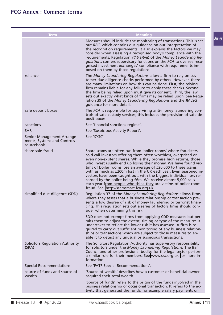| <b>Term</b>                                                             | <b>Meaning</b>                                                                                                                                                                                                                                                                                                                                                                                                                                                                                                                                                                                                                                                          |       |
|-------------------------------------------------------------------------|-------------------------------------------------------------------------------------------------------------------------------------------------------------------------------------------------------------------------------------------------------------------------------------------------------------------------------------------------------------------------------------------------------------------------------------------------------------------------------------------------------------------------------------------------------------------------------------------------------------------------------------------------------------------------|-------|
|                                                                         | Measures should include the monitoring of transactions. This is set<br>out REC, which contains our guidance on our interpretation of<br>the recognition requirements. It also explains the factors we may<br>consider when assessing a recognised body's compliance with the<br>requirements. Regulation 7(1)(a)(vii) of the Money Laundering Re-<br>gulations confers supervisory functions on the FCA to oversee reco-<br>gnised investment exchanges' compliance with requirements im-<br>posed on them by those regulations.                                                                                                                                        | Annex |
| reliance                                                                | The Money Laundering Regulations allow a firm to rely on cus-<br>tomer due diligence checks performed by others. However, there<br>are many limitations on how this can be done. First, the relying<br>firm remains liable for any failure to apply these checks. Second,<br>the firm being relied upon must give its consent. Third, the law<br>sets out exactly what kinds of firms may be relied upon. See Regu-<br>lation 39 of the Money Laundering Regulations and the JMLSG<br>quidance for more detail.                                                                                                                                                         |       |
| safe deposit boxes                                                      | The FCA is responsible for supervising anti-money laundering con-<br>trols of safe custody services; this includes the provision of safe de-<br>posit boxes.                                                                                                                                                                                                                                                                                                                                                                                                                                                                                                            |       |
| sanctions                                                               | See 'financial sanctions regime'.                                                                                                                                                                                                                                                                                                                                                                                                                                                                                                                                                                                                                                       |       |
| <b>SAR</b>                                                              | See 'Suspicious Activity Report'.                                                                                                                                                                                                                                                                                                                                                                                                                                                                                                                                                                                                                                       |       |
| Senior Management Arrange-<br>ments, Systems and Controls<br>sourcebook | See 'SYSC'.                                                                                                                                                                                                                                                                                                                                                                                                                                                                                                                                                                                                                                                             |       |
| share sale fraud                                                        | Share scams are often run from 'boiler rooms' where fraudsters<br>cold-call investors offering them often worthless, overpriced or<br>even non-existent shares. While they promise high returns, those<br>who invest usually end up losing their money. We have found vic-<br>tims of boiler rooms lose an average of £20,000 to these scams,<br>with as much as £200m lost in the UK each year. Even seasoned in-<br>vestors have been caught out, with the biggest individual loss re-<br>corded by the police being £6m. We receive almost 5,000 calls<br>each year from people who think they are victims of boiler room<br>fraud. See: http://scamsmart.fca.org.uk |       |
| simplified due diligence (SDD)                                          | Regulation 37 of the Money Laundering Regulations allows firms,<br>where they assess that a business relationship or transaction pre-<br>sents a low degree of risk of money laundering or terrorist finan-<br>cing. This regulation sets out a series of factors firms should con-<br>sider when determining this risk.                                                                                                                                                                                                                                                                                                                                                |       |
|                                                                         | SDD does not exempt firms from applying CDD measures but per-<br>mits them to adjust the extent, timing or type of the measures it<br>undertakes to reflect the lower risk it has assessed. A firm is re-<br>quired to carry out sufficient monitoring of any business relation-<br>ships or transactions which are subject to those measures to en-<br>able it to detect any unusual or suspicious transactions.                                                                                                                                                                                                                                                       |       |
| <b>Solicitors Regulation Authority</b><br>(SRA)                         | The Solicitors Regulation Authority has supervisory responsibility<br>for solicitors under the Money Laundering Regulations. The Bar<br>Council and other professional bodies for the legal sector perform<br>a similar role for their members. See www.sra.org.uk for more in-<br>formation.                                                                                                                                                                                                                                                                                                                                                                           |       |
| <b>Special Recommendations</b>                                          | See 'FATF Special Recommendations'.                                                                                                                                                                                                                                                                                                                                                                                                                                                                                                                                                                                                                                     |       |
| source of funds and source of<br>wealth                                 | 'Source of wealth' describes how a customer or beneficial owner<br>acquired their total wealth.                                                                                                                                                                                                                                                                                                                                                                                                                                                                                                                                                                         |       |
|                                                                         | 'Source of funds' refers to the origin of the funds involved in the<br>business relationship or occasional transaction. It refers to the ac-<br>tivity that generated the funds, for example salary payments or                                                                                                                                                                                                                                                                                                                                                                                                                                                         |       |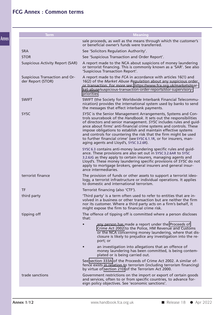| <b>Term</b>                                         | <b>Meaning</b>                                                                                                                                                                                                                                                                                                                                                                                                                                                                                                                        |
|-----------------------------------------------------|---------------------------------------------------------------------------------------------------------------------------------------------------------------------------------------------------------------------------------------------------------------------------------------------------------------------------------------------------------------------------------------------------------------------------------------------------------------------------------------------------------------------------------------|
|                                                     | sale proceeds, as well as the means through which the customer's<br>or beneficial owner's funds were transferred.                                                                                                                                                                                                                                                                                                                                                                                                                     |
| <b>SRA</b>                                          | See 'Solicitors Regulation Authority'.                                                                                                                                                                                                                                                                                                                                                                                                                                                                                                |
| <b>STOR</b>                                         | See 'Suspicious Transaction and Order Report'.                                                                                                                                                                                                                                                                                                                                                                                                                                                                                        |
| <b>Suspicious Activity Report (SAR)</b>             | A report made to the NCA about suspicions of money laundering<br>or terrorist financing. This is commonly known as a 'SAR'. See also<br>'Suspicious Transaction Report'.                                                                                                                                                                                                                                                                                                                                                              |
| Suspicious Transaction and Or-<br>der Report (STOR) | A report made to the FCA in accordance with articles 16(1) and<br>16(2) of the Market Abuse Regulation about any suspicious order<br>or transaction. For more see: https://www.fca.org.uk/markets/mar-<br>ket-abuse/suspicious-transaction-order-reports/stor-supervisory-<br>priorities                                                                                                                                                                                                                                              |
| <b>SWIFT</b>                                        | SWIFT (the Society for Worldwide Interbank Financial Telecommu-<br>nication) provides the international system used by banks to send<br>the messages that effect interbank payments.                                                                                                                                                                                                                                                                                                                                                  |
| <b>SYSC</b>                                         | SYSC is the Senior Management Arrangements, Systems and Con-<br>trols sourcebook of the Handbook. It sets out the responsibilities<br>of directors and senior management. SYSC includes rules and guid-<br>ance about firms' anti-financial crime systems and controls. These<br>impose obligations to establish and maintain effective systems<br>and controls for countering the risk that the firm might be used<br>to further financial crime' (see SYSC 6.1.1R, or for insurers, man-<br>aging agents and Lloyd's, SYSC 3.2.6R). |
|                                                     | SYSC 6.3 contains anti-money laundering specific rules and guid-<br>ance. These provisions are also set out in SYSC 3.2.6AR to SYSC<br>3.2.6JG as they apply to certain insurers, managing agents and<br>Lloyd's. These money laundering specific provisions of SYSC do not<br>apply to mortgage brokers, general insurers and general insur-<br>ance intermediaries.                                                                                                                                                                 |
| terrorist finance                                   | The provision of funds or other assets to support a terrorist ideo-<br>logy, a terrorist infrastructure or individual operations. It applies<br>to domestic and international terrorism.                                                                                                                                                                                                                                                                                                                                              |
| <b>TF</b>                                           | Terrorist financing (also 'CTF').                                                                                                                                                                                                                                                                                                                                                                                                                                                                                                     |
| third party                                         | 'Third party' is a term often used to refer to entities that are in-<br>volved in a business or other transaction but are neither the firm<br>nor its customer. Where a third party acts on a firm's behalf, it<br>might expose the firm to financial crime risk.                                                                                                                                                                                                                                                                     |
| tipping off                                         | The offence of tipping off is committed where a person discloses<br>that:                                                                                                                                                                                                                                                                                                                                                                                                                                                             |
|                                                     | any person has made a report under the Proceeds of<br>$\bullet$<br>Crime Act 2002 to the Police, HM Revenue and Customs<br>or the NCA concerning money laundering, where that dis-<br>closure is likely to prejudice any investigation into the re-<br>port; or                                                                                                                                                                                                                                                                       |
|                                                     | an investigation into allegations that an offence of<br>$\bullet$<br>money laundering has been committed, is being contem-<br>plated or is being carried out.                                                                                                                                                                                                                                                                                                                                                                         |
|                                                     | See section 333A of the Proceeds of Crime Act 2002. A similar of-<br>fence exists in relation to terrorism (including terrorism financing)<br>by virtue of section 21D of the Terrorism Act 2000.                                                                                                                                                                                                                                                                                                                                     |
| trade sanctions                                     | Government restrictions on the import or export of certain goods<br>and services, often to or from specific countries, to advance for-<br>eign policy objectives. See 'economic sanctions'.                                                                                                                                                                                                                                                                                                                                           |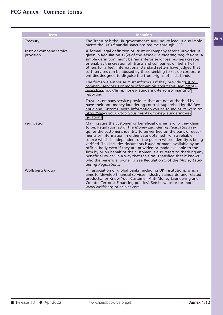| <b>Term</b><br><b>Meaning</b><br>The Treasury is the UK government's AML policy lead. It also imple-<br>ments the UK's financial sanctions regime through OFSI.<br>A formal legal definition of 'trust or company service provider' is<br>given in Regulation 12(2) of the Money Laundering Regulations. A<br>simple definition might be 'an enterprise whose business creates,<br>or enables the creation of, trusts and companies on behalf of<br>others for a fee'. International standard setters have judged that<br>such services can be abused by those seeking to set up corporate<br>entities designed to disguise the true origins of illicit funds.<br>The firms we authorise must inform us if they provide trust or<br>company services. For more information about this, see: https://<br>www.fca.org.uk/firms/money-laundering-terrorist-financing/<br>reporting<br>Trust or company service providers that are not authorised by us<br>have their anti-money laundering controls supervised by HM Rev-<br>enue and Customs. More information can be found at its website:<br>https://www.gov.uk/topic/business-tax/money-laundering-re-<br>gulations<br>Making sure the customer or beneficial owner is who they claim<br>to be. Regulation 28 of the Money Laundering Regulations re-<br>quires the customer's identity to be verified on the basis of docu-<br>ments or information in either case obtained from a reliable<br>source which is independent of the person whose identity is being<br>verified. This includes documents issued or made available by an<br>official body even if they are provided or made available to the<br>firm by or on behalf of the customer. It also refers to checking any<br>beneficial owner in a way that the firm is satisfied that it knows<br>who the beneficial owner is; see Regulation 5 of the Money Laun-<br>dering Regulations.<br>An association of global banks, including UK institutions, which<br>aims to 'develop financial services industry standards, and related<br>products, for Know Your Customer, Anti-Money Laundering and<br>Counter Terrorist Financing policies'. See its website for more:<br>www.wolfsberg-principles.com |                                       |  |
|-------------------------------------------------------------------------------------------------------------------------------------------------------------------------------------------------------------------------------------------------------------------------------------------------------------------------------------------------------------------------------------------------------------------------------------------------------------------------------------------------------------------------------------------------------------------------------------------------------------------------------------------------------------------------------------------------------------------------------------------------------------------------------------------------------------------------------------------------------------------------------------------------------------------------------------------------------------------------------------------------------------------------------------------------------------------------------------------------------------------------------------------------------------------------------------------------------------------------------------------------------------------------------------------------------------------------------------------------------------------------------------------------------------------------------------------------------------------------------------------------------------------------------------------------------------------------------------------------------------------------------------------------------------------------------------------------------------------------------------------------------------------------------------------------------------------------------------------------------------------------------------------------------------------------------------------------------------------------------------------------------------------------------------------------------------------------------------------------------------------------------------------------------------------------------------------------------------------|---------------------------------------|--|
|                                                                                                                                                                                                                                                                                                                                                                                                                                                                                                                                                                                                                                                                                                                                                                                                                                                                                                                                                                                                                                                                                                                                                                                                                                                                                                                                                                                                                                                                                                                                                                                                                                                                                                                                                                                                                                                                                                                                                                                                                                                                                                                                                                                                                   |                                       |  |
|                                                                                                                                                                                                                                                                                                                                                                                                                                                                                                                                                                                                                                                                                                                                                                                                                                                                                                                                                                                                                                                                                                                                                                                                                                                                                                                                                                                                                                                                                                                                                                                                                                                                                                                                                                                                                                                                                                                                                                                                                                                                                                                                                                                                                   |                                       |  |
|                                                                                                                                                                                                                                                                                                                                                                                                                                                                                                                                                                                                                                                                                                                                                                                                                                                                                                                                                                                                                                                                                                                                                                                                                                                                                                                                                                                                                                                                                                                                                                                                                                                                                                                                                                                                                                                                                                                                                                                                                                                                                                                                                                                                                   | Treasury                              |  |
|                                                                                                                                                                                                                                                                                                                                                                                                                                                                                                                                                                                                                                                                                                                                                                                                                                                                                                                                                                                                                                                                                                                                                                                                                                                                                                                                                                                                                                                                                                                                                                                                                                                                                                                                                                                                                                                                                                                                                                                                                                                                                                                                                                                                                   | trust or company service<br>provision |  |
|                                                                                                                                                                                                                                                                                                                                                                                                                                                                                                                                                                                                                                                                                                                                                                                                                                                                                                                                                                                                                                                                                                                                                                                                                                                                                                                                                                                                                                                                                                                                                                                                                                                                                                                                                                                                                                                                                                                                                                                                                                                                                                                                                                                                                   |                                       |  |
|                                                                                                                                                                                                                                                                                                                                                                                                                                                                                                                                                                                                                                                                                                                                                                                                                                                                                                                                                                                                                                                                                                                                                                                                                                                                                                                                                                                                                                                                                                                                                                                                                                                                                                                                                                                                                                                                                                                                                                                                                                                                                                                                                                                                                   |                                       |  |
|                                                                                                                                                                                                                                                                                                                                                                                                                                                                                                                                                                                                                                                                                                                                                                                                                                                                                                                                                                                                                                                                                                                                                                                                                                                                                                                                                                                                                                                                                                                                                                                                                                                                                                                                                                                                                                                                                                                                                                                                                                                                                                                                                                                                                   | verification                          |  |
|                                                                                                                                                                                                                                                                                                                                                                                                                                                                                                                                                                                                                                                                                                                                                                                                                                                                                                                                                                                                                                                                                                                                                                                                                                                                                                                                                                                                                                                                                                                                                                                                                                                                                                                                                                                                                                                                                                                                                                                                                                                                                                                                                                                                                   | <b>Wolfsberg Group</b>                |  |